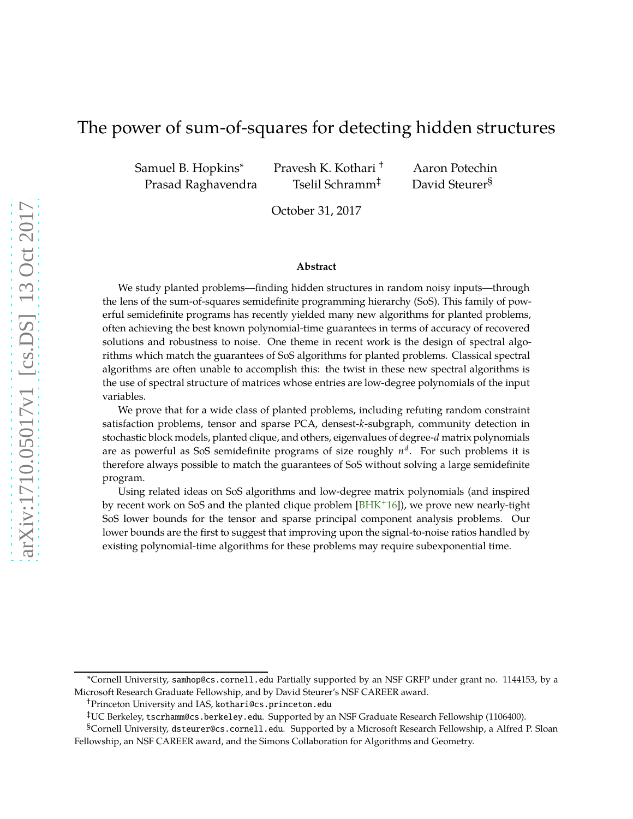# The power of sum-of-squares for detecting hidden structures

Samuel B. Hopkins<sup>∗</sup> Pravesh K. Kothari † Aaron Potechin Prasad Raghavendra Tselil Schramm<sup>‡</sup> David Steurer<sup>§</sup>

October 31, 2017

#### **Abstract**

We study planted problems—finding hidden structures in random noisy inputs—through the lens of the sum-of-squares semidefinite programming hierarchy (SoS). This family of powerful semidefinite programs has recently yielded many new algorithms for planted problems, often achieving the best known polynomial-time guarantees in terms of accuracy of recovered solutions and robustness to noise. One theme in recent work is the design of spectral algorithms which match the guarantees of SoS algorithms for planted problems. Classical spectral algorithms are often unable to accomplish this: the twist in these new spectral algorithms is the use of spectral structure of matrices whose entries are low-degree polynomials of the input variables.

We prove that for a wide class of planted problems, including refuting random constraint satisfaction problems, tensor and sparse PCA, densest-*k*-subgraph, community detection in stochastic block models, planted clique, and others, eigenvalues of degree-*d* matrix polynomials are as powerful as SoS semidefinite programs of size roughly *n d* . For such problems it is therefore always possible to match the guarantees of SoS without solving a large semidefinite program.

Using related ideas on SoS algorithms and low-degree matrix polynomials (and inspired by recent work on SoS and the planted clique problem [BHK+16]), we prove new nearly-tight SoS lower bounds for the tensor and sparse principal component analysis problems. Our lower bounds are the first to suggest that improving upon the signal-to-noise ratios handled by existing polynomial-time algorithms for these problems may require subexponential time.

<sup>∗</sup>Cornell University, samhop@cs.cornell.edu Partially supported by an NSF GRFP under grant no. 1144153, by a Microsoft Research Graduate Fellowship, and by David Steurer's NSF CAREER award.

<sup>†</sup>Princeton University and IAS, kothari@cs.princeton.edu

<sup>‡</sup>UC Berkeley, tscrhamm@cs.berkeley.edu. Supported by an NSF Graduate Research Fellowship (1106400).

<sup>§</sup>Cornell University, dsteurer@cs.cornell.edu. Supported by a Microsoft Research Fellowship, a Alfred P. Sloan Fellowship, an NSF CAREER award, and the Simons Collaboration for Algorithms and Geometry.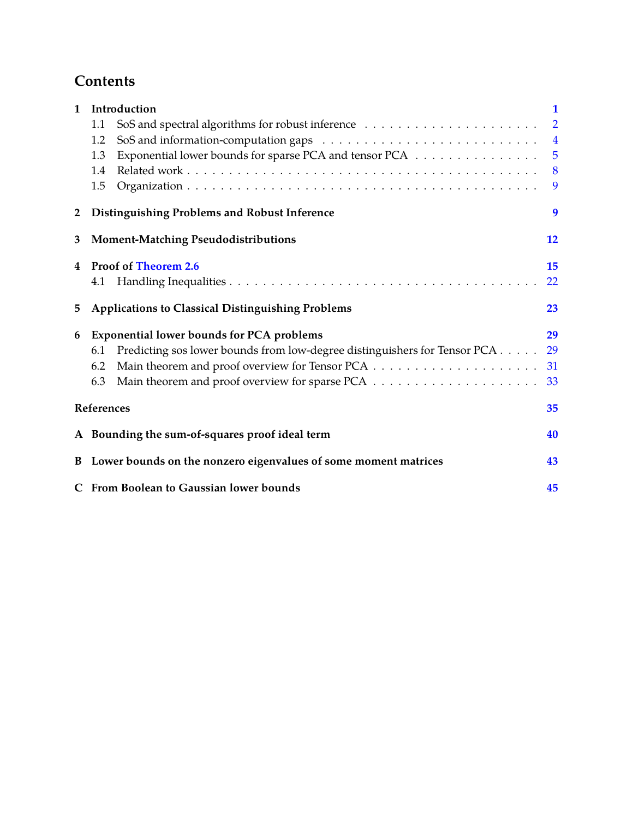# **Contents**

| $\mathbf{1}$   | Introduction                                                                     | 1              |
|----------------|----------------------------------------------------------------------------------|----------------|
|                | 1.1                                                                              | $\overline{2}$ |
|                | 1.2                                                                              | $\overline{4}$ |
|                | Exponential lower bounds for sparse PCA and tensor PCA<br>1.3                    | $\overline{5}$ |
|                | 1.4                                                                              | 8              |
|                | 1.5                                                                              | 9              |
| $\overline{2}$ | <b>Distinguishing Problems and Robust Inference</b>                              | 9              |
| 3              | <b>Moment-Matching Pseudodistributions</b>                                       | 12             |
| 4              | <b>Proof of Theorem 2.6</b>                                                      | 15             |
|                | 4.1                                                                              | 22             |
| 5              | <b>Applications to Classical Distinguishing Problems</b>                         | 23             |
| 6              | <b>Exponential lower bounds for PCA problems</b>                                 | 29             |
|                | Predicting sos lower bounds from low-degree distinguishers for Tensor PCA<br>6.1 | 29             |
|                | 6.2                                                                              | 31             |
|                | 6.3                                                                              | 33             |
|                | References                                                                       | 35             |
|                | A Bounding the sum-of-squares proof ideal term                                   | 40             |
|                | B Lower bounds on the nonzero eigenvalues of some moment matrices                | 43             |
|                | C From Boolean to Gaussian lower bounds                                          | 45             |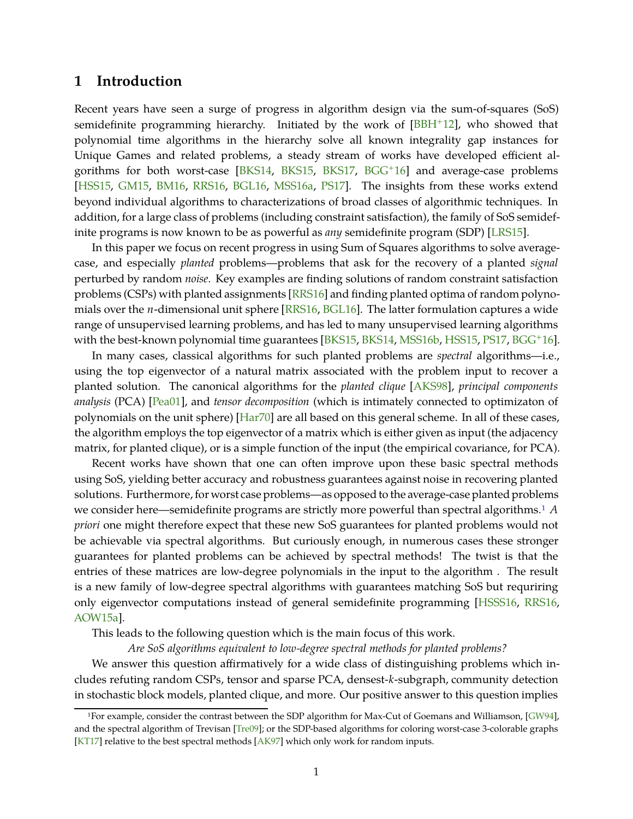# <span id="page-2-2"></span><span id="page-2-0"></span>**1 Introduction**

Recent years have seen a surge of progress in algorithm design via the sum-of-squares (SoS) semidefinite programming hierarchy. Initiated by the work of  $[BBH^+12]$ , who showed that polynomial time algorithms in the hierarchy solve all known integrality gap instances for Unique Games and related problems, a steady stream of works have developed efficient algorithms for both worst-case  $[BKS14, BKS15, BKS17, BGG<sup>+</sup>16]$  and average-case problems [HSS15, GM15, BM16, RRS16, BGL16, MSS16a, PS17]. The insights from these works extend beyond individual algorithms to characterizations of broad classes of algorithmic techniques. In addition, for a large class of problems (including constraint satisfaction), the family of SoS semidefinite programs is now known to be as powerful as *any* semidefinite program (SDP) [LRS15].

In this paper we focus on recent progress in using Sum of Squares algorithms to solve averagecase, and especially *planted* problems—problems that ask for the recovery of a planted *signal* perturbed by random *noise*. Key examples are finding solutions of random constraint satisfaction problems (CSPs) with planted assignments [RRS16] and finding planted optima of random polynomials over the *n*-dimensional unit sphere [RRS16, BGL16]. The latter formulation captures a wide range of unsupervised learning problems, and has led to many unsupervised learning algorithms with the best-known polynomial time guarantees [BKS15, BKS14, MSS16b, HSS15, PS17, BGG<sup>+</sup>16].

In many cases, classical algorithms for such planted problems are *spectral* algorithms—i.e., using the top eigenvector of a natural matrix associated with the problem input to recover a planted solution. The canonical algorithms for the *planted clique* [AKS98], *principal components analysis* (PCA) [\[Pea01\]](#page-40-0), and *tensor decomposition* (which is intimately connected to optimizaton of polynomials on the unit sphere) [\[Har70\]](#page-39-0) are all based on this general scheme. In all of these cases, the algorithm employs the top eigenvector of a matrix which is either given as input (the adjacency matrix, for planted clique), or is a simple function of the input (the empirical covariance, for PCA).

Recent works have shown that one can often improve upon these basic spectral methods using SoS, yielding better accuracy and robustness guarantees against noise in recovering planted solutions. Furthermore, for worst case problems—as opposed to the average-case planted problems we consider here—semidefinite programs are strictly more powerful than spectral algorithms.[1](#page-2-1) *A priori* one might therefore expect that these new SoS guarantees for planted problems would not be achievable via spectral algorithms. But curiously enough, in numerous cases these stronger guarantees for planted problems can be achieved by spectral methods! The twist is that the entries of these matrices are low-degree polynomials in the input to the algorithm . The result is a new family of low-degree spectral algorithms with guarantees matching SoS but requriring only eigenvector computations instead of general semidefinite programming [HSSS16, RRS16, [AOW15a\]](#page-37-0).

This leads to the following question which is the main focus of this work.

*Are SoS algorithms equivalent to low-degree spectral methods for planted problems?*

We answer this question affirmatively for a wide class of distinguishing problems which includes refuting random CSPs, tensor and sparse PCA, densest-*k*-subgraph, community detection in stochastic block models, planted clique, and more. Our positive answer to this question implies

<span id="page-2-1"></span><sup>1</sup>For example, consider the contrast between the SDP algorithm for Max-Cut of Goemans and Williamson, [GW94], and the spectral algorithm of Trevisan [Tre09]; or the SDP-based algorithms for coloring worst-case 3-colorable graphs [\[KT17\]](#page-39-1) relative to the best spectral methods [AK97] which only work for random inputs.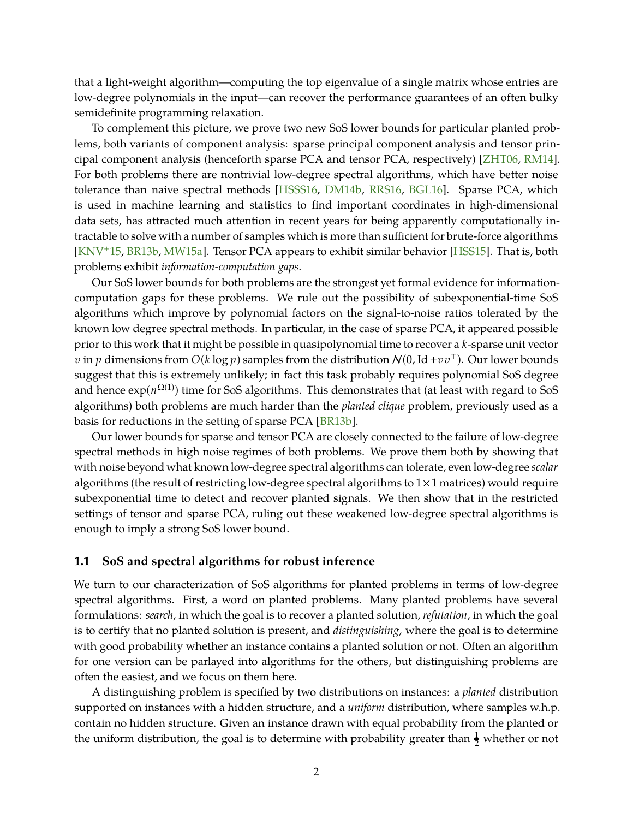<span id="page-3-1"></span>that a light-weight algorithm—computing the top eigenvalue of a single matrix whose entries are low-degree polynomials in the input—can recover the performance guarantees of an often bulky semidefinite programming relaxation.

To complement this picture, we prove two new SoS lower bounds for particular planted problems, both variants of component analysis: sparse principal component analysis and tensor principal component analysis (henceforth sparse PCA and tensor PCA, respectively) [\[ZHT06,](#page-40-1) RM14]. For both problems there are nontrivial low-degree spectral algorithms, which have better noise tolerance than naive spectral methods [HSSS16, DM14b, RRS16, BGL16]. Sparse PCA, which is used in machine learning and statistics to find important coordinates in high-dimensional data sets, has attracted much attention in recent years for being apparently computationally intractable to solve with a number of samples which is more than sufficient for brute-force algorithms [\[KNV](#page-39-2)+15, [BR13b,](#page-38-0) MW15a]. Tensor PCA appears to exhibit similar behavior [HSS15]. That is, both problems exhibit *information-computation gaps*.

Our SoS lower bounds for both problems are the strongest yet formal evidence for informationcomputation gaps for these problems. We rule out the possibility of subexponential-time SoS algorithms which improve by polynomial factors on the signal-to-noise ratios tolerated by the known low degree spectral methods. In particular, in the case of sparse PCA, it appeared possible prior to this work that it might be possible in quasipolynomial time to recover a *k*-sparse unit vector *v* in *p* dimensions from  $O(k \log p)$  samples from the distribution  $N(0, \text{Id} + v v<sup>T</sup>)$ . Our lower bounds suggest that this is extremely unlikely; in fact this task probably requires polynomial SoS degree and hence  $\exp(n^{\Omega(1)})$  time for SoS algorithms. This demonstrates that (at least with regard to SoS algorithms) both problems are much harder than the *planted clique* problem, previously used as a basis for reductions in the setting of sparse PCA [\[BR13b\]](#page-38-0).

Our lower bounds for sparse and tensor PCA are closely connected to the failure of low-degree spectral methods in high noise regimes of both problems. We prove them both by showing that with noise beyond what known low-degree spectral algorithms can tolerate, even low-degree *scalar* algorithms (the result of restricting low-degree spectral algorithms to 1×1 matrices) would require subexponential time to detect and recover planted signals. We then show that in the restricted settings of tensor and sparse PCA, ruling out these weakened low-degree spectral algorithms is enough to imply a strong SoS lower bound.

#### <span id="page-3-0"></span>**1.1 SoS and spectral algorithms for robust inference**

We turn to our characterization of SoS algorithms for planted problems in terms of low-degree spectral algorithms. First, a word on planted problems. Many planted problems have several formulations: *search*, in which the goal is to recover a planted solution, *refutation*, in which the goal is to certify that no planted solution is present, and *distinguishing*, where the goal is to determine with good probability whether an instance contains a planted solution or not. Often an algorithm for one version can be parlayed into algorithms for the others, but distinguishing problems are often the easiest, and we focus on them here.

A distinguishing problem is specified by two distributions on instances: a *planted* distribution supported on instances with a hidden structure, and a *uniform* distribution, where samples w.h.p. contain no hidden structure. Given an instance drawn with equal probability from the planted or the uniform distribution, the goal is to determine with probability greater than  $\frac{1}{2}$  whether or not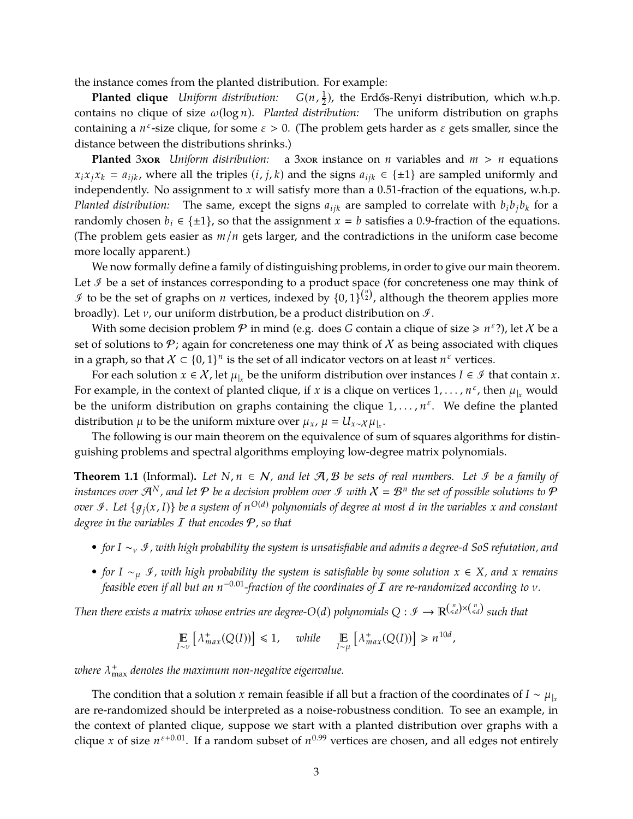the instance comes from the planted distribution. For example:

**Planted clique** *Uniform distribution:* 1  $\frac{1}{2}$ ), the Erdős-Renyi distribution, which w.h.p. contains no clique of size ω(log *n*). *Planted distribution:* The uniform distribution on graphs containing a  $n^{\varepsilon}$ -size clique, for some  $\varepsilon > 0$ . (The problem gets harder as  $\varepsilon$  gets smaller, since the distance between the distributions shrinks.)

**Planted** 3xor *Uniform distribution:* a 3xor instance on *n* variables and  $m > n$  equations  $x_i x_j x_k = a_{ijk}$ , where all the triples  $(i, j, k)$  and the signs  $a_{ijk} \in \{\pm 1\}$  are sampled uniformly and independently. No assignment to *x* will satisfy more than a 0.51-fraction of the equations, w.h.p. *Planted distribution:* The same, except the signs  $a_{ijk}$  are sampled to correlate with  $b_i b_j b_k$  for a randomly chosen  $b_i \in \{\pm 1\}$ , so that the assignment  $x = b$  satisfies a 0.9-fraction of the equations. (The problem gets easier as *m*/*n* gets larger, and the contradictions in the uniform case become more locally apparent.)

We now formally define a family of distinguishing problems, in order to give our main theorem. Let  $\mathcal I$  be a set of instances corresponding to a product space (for concreteness one may think of  $\mathcal I$  to be the set of graphs on *n* vertices, indexed by  $\{0,1\}^{\binom{n}{2}}$ , although the theorem applies more broadly). Let  $\nu$ , our uniform distrbution, be a product distribution on  $\mathcal{I}$ .

With some decision problem  $P$  in mind (e.g. does *G* contain a clique of size  $\ge n^{\varepsilon}$ ?), let *X* be a set of solutions to  $\mathcal P$ ; again for concreteness one may think of  $\mathcal X$  as being associated with cliques in a graph, so that  $X \subset \{0,1\}^n$  is the set of all indicator vectors on at least  $n^{\varepsilon}$  vertices.

For each solution  $x \in \mathcal{X}$ , let  $\mu_{|x}$  be the uniform distribution over instances  $I \in \mathcal{I}$  that contain  $x.$ For example, in the context of planted clique, if *x* is a clique on vertices  $1, \ldots, n^{\varepsilon}$ , then  $\mu_{x}$  would be the uniform distribution on graphs containing the clique  $1, \ldots, n^{\varepsilon}$ . We define the planted distribution  $\mu$  to be the uniform mixture over  $\mu_x$ ,  $\mu = U_{x \sim \chi} \mu_{|x}$ .

The following is our main theorem on the equivalence of sum of squares algorithms for distinguishing problems and spectral algorithms employing low-degree matrix polynomials.

<span id="page-4-0"></span>**Theorem 1.1** (Informal). Let *N*,  $n \in \mathcal{N}$ , and let  $\mathcal{A}, \mathcal{B}$  be sets of real numbers. Let *∮* be a family of *instances over*  $\mathcal{A}^N$ *, and let*  $\mathcal P$  *be a decision problem over*  $\mathcal I$  *with*  $\mathcal X=\mathcal B^n$  *the set of possible solutions to*  $\mathcal P$ *over §* . Let  $\{g_j(x, I)\}$  be a system of  $n^{O(d)}$  polynomials of degree at most  $d$  in the variables  $x$  and constant *degree in the variables* I *that encodes* P*, so that*

- *• for <sup>I</sup>* <sup>∼</sup><sup>ν</sup> <sup>I</sup>*, with high probability the system is unsatisfiable and admits a degree-<sup>d</sup> SoS refutation, and*
- *• for <sup>I</sup>* <sup>∼</sup><sup>µ</sup> <sup>I</sup>*, with high probability the system is satisfiable by some solution <sup>x</sup>* <sup>∈</sup> *<sup>X</sup>, and <sup>x</sup> remains feasible even if all but an n* <sup>−</sup>0.01*-fraction of the coordinates of* <sup>I</sup> *are re-randomized according to* <sup>ν</sup>*.*

*Then there exists a matrix whose entries are degree-O(d) polynomials*  $Q: \mathscr{I} \to \mathbb{R}^{\binom{n}{\leqslant d} \times \binom{n}{\leqslant d}}$  *such that* 

$$
\mathop{\mathbb{E}}_{I \sim \nu} \left[ \lambda^+_{max}(Q(I)) \right] \leq 1, \quad while \quad \mathop{\mathbb{E}}_{I \sim \mu} \left[ \lambda^+_{max}(Q(I)) \right] \geq n^{10d},
$$

*where* λ + max *denotes the maximum non-negative eigenvalue.*

The condition that a solution *x* remain feasible if all but a fraction of the coordinates of *I* ∼  $\mu$ <sub>|*x*</sub> are re-randomized should be interpreted as a noise-robustness condition. To see an example, in the context of planted clique, suppose we start with a planted distribution over graphs with a clique *x* of size  $n^{\epsilon+0.01}$ . If a random subset of  $n^{0.99}$  vertices are chosen, and all edges not entirely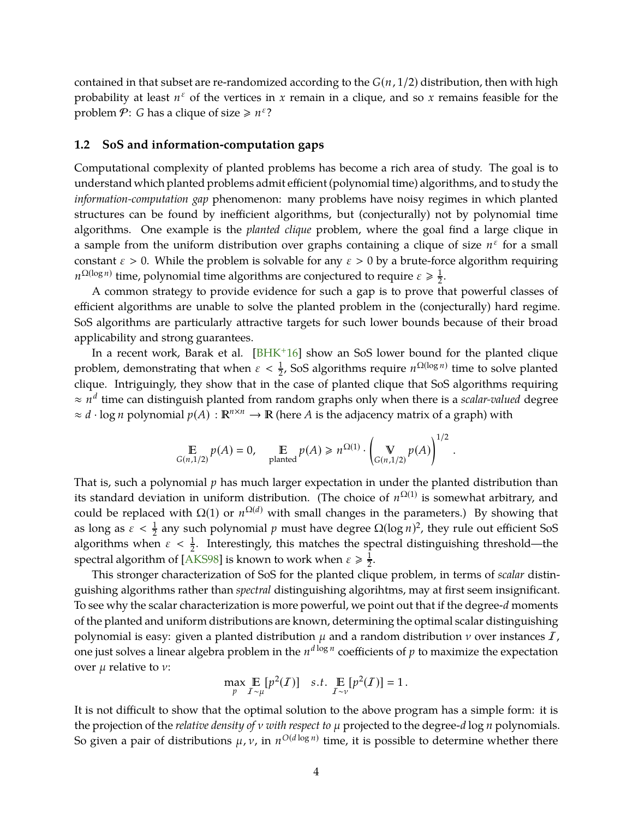<span id="page-5-1"></span>contained in that subset are re-randomized according to the *G*(*n*, 1/2) distribution, then with high probability at least  $n^{\varepsilon}$  of the vertices in x remain in a clique, and so x remains feasible for the problem  $P$ : *G* has a clique of size  $\ge n^{\varepsilon}$ ?

### <span id="page-5-0"></span>**1.2 SoS and information-computation gaps**

Computational complexity of planted problems has become a rich area of study. The goal is to understand which planted problems admit efficient (polynomial time) algorithms, and to study the *information-computation gap* phenomenon: many problems have noisy regimes in which planted structures can be found by inefficient algorithms, but (conjecturally) not by polynomial time algorithms. One example is the *planted clique* problem, where the goal find a large clique in a sample from the uniform distribution over graphs containing a clique of size  $n^{\varepsilon}$  for a small constant  $\varepsilon > 0$ . While the problem is solvable for any  $\varepsilon > 0$  by a brute-force algorithm requiring  $n^{\Omega(\log n)}$  time, polynomial time algorithms are conjectured to require  $\varepsilon \geqslant \frac{1}{2}$  $\frac{1}{2}$ .

A common strategy to provide evidence for such a gap is to prove that powerful classes of efficient algorithms are unable to solve the planted problem in the (conjecturally) hard regime. SoS algorithms are particularly attractive targets for such lower bounds because of their broad applicability and strong guarantees.

In a recent work, Barak et al. [BHK<sup>+</sup>16] show an SoS lower bound for the planted clique problem, demonstrating that when  $\varepsilon < \frac{1}{2}$ , SoS algorithms require  $n^{\Omega(\log n)}$  time to solve planted clique. Intriguingly, they show that in the case of planted clique that SoS algorithms requiring ≈ *n d* time can distinguish planted from random graphs only when there is a *scalar-valued* degree  $\approx d \cdot \log n$  polynomial  $p(A) : \mathbb{R}^{n \times n} \to \mathbb{R}$  (here *A* is the adjacency matrix of a graph) with

$$
\mathop{\mathbb{E}}_{G(n,1/2)} p(A) = 0, \quad \mathop{\mathbb{E}}_{\text{planted}} p(A) \geq n^{\Omega(1)} \cdot \left(\mathop{\mathbb{V}}_{G(n,1/2)} p(A)\right)^{1/2}.
$$

That is, such a polynomial *p* has much larger expectation in under the planted distribution than its standard deviation in uniform distribution. (The choice of  $n^{\Omega(1)}$  is somewhat arbitrary, and could be replaced with  $Ω(1)$  or  $n<sup>Ω(d)</sup>$  with small changes in the parameters.) By showing that as long as  $\varepsilon < \frac{1}{2}$  any such polynomial  $p$  must have degree  $\Omega(\log n)^2$ , they rule out efficient SoS algorithms when  $\varepsilon < \frac{1}{2}$ . Interestingly, this matches the spectral distinguishing threshold—the spectral algorithm of [AKS98] is known to work when  $\varepsilon \geqslant \frac{1}{2}$  $\frac{1}{2}$ .

This stronger characterization of SoS for the planted clique problem, in terms of *scalar* distinguishing algorithms rather than *spectral* distinguishing algorihtms, may at first seem insignificant. To see why the scalar characterization is more powerful, we point out that if the degree-*d* moments of the planted and uniform distributions are known, determining the optimal scalar distinguishing polynomial is easy: given a planted distribution  $\mu$  and a random distribution  $\nu$  over instances  $I$ , one just solves a linear algebra problem in the  $n^{d \log n}$  coefficients of  $p$  to maximize the expectation over  $\mu$  relative to  $\nu$ :

$$
\max_{p} \mathop{\mathbb{E}}_{\mathcal{I} \sim \mu} [p^2(\mathcal{I})] \quad s.t. \quad \mathop{\mathbb{E}}_{\mathcal{I} \sim \nu} [p^2(\mathcal{I})] = 1.
$$

It is not difficult to show that the optimal solution to the above program has a simple form: it is the projection of the *relative density of* ν *with respect to* µ projected to the degree-*d* log *n* polynomials. So given a pair of distributions  $\mu$ ,  $\nu$ , in  $n^{O(d\log n)}$  time, it is possible to determine whether there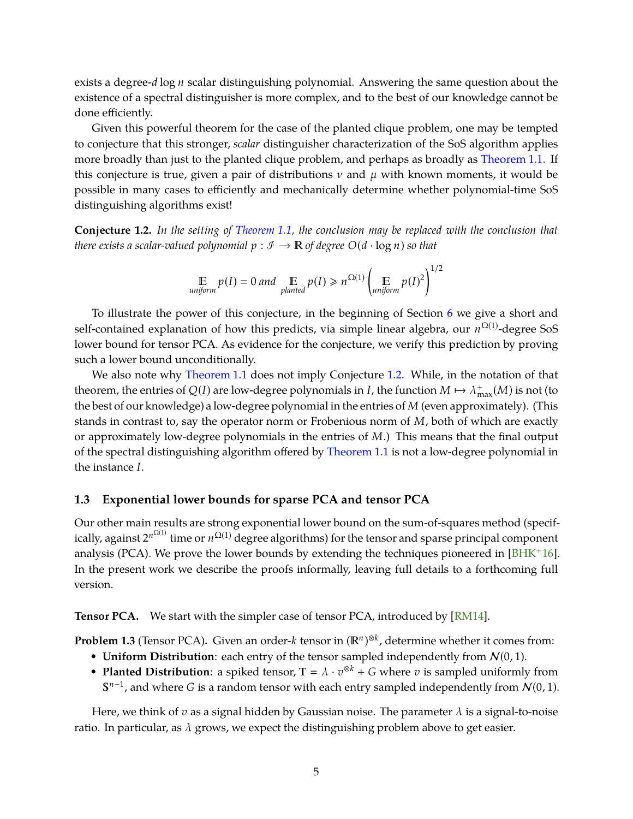<span id="page-6-2"></span>exists a degree-*d* log *n* scalar distinguishing polynomial. Answering the same question about the existence of a spectral distinguisher is more complex, and to the best of our knowledge cannot be done efficiently.

Given this powerful theorem for the case of the planted clique problem, one may be tempted to conjecture that this stronger, *scalar* distinguisher characterization of the SoS algorithm applies more broadly than just to the planted clique problem, and perhaps as broadly as [Theorem 1.1.](#page-4-0) If this conjecture is true, given a pair of distributions  $\nu$  and  $\mu$  with known moments, it would be possible in many cases to efficiently and mechanically determine whether polynomial-time SoS distinguishing algorithms exist!

<span id="page-6-1"></span>**Conjecture 1.2.** *In the setting of [Theorem 1.1,](#page-4-0) the conclusion may be replaced with the conclusion that there exists a scalar-valued polynomial*  $p : \mathcal{I} \to \mathbb{R}$  of degree  $O(d \cdot \log n)$  so that

$$
\mathbb{E}_{uniform} p(I) = 0 \text{ and } \mathbb{E}_{planeted} p(I) \ge n^{\Omega(1)} \left( \mathbb{E}_{uniform} p(I)^2 \right)^{1/2}
$$

To illustrate the power of this conjecture, in the beginning of Section [6](#page-30-0) we give a short and self-contained explanation of how this predicts, via simple linear algebra, our *n*<sup>Ω(1)</sup>-degree SoS lower bound for tensor PCA. As evidence for the conjecture, we verify this prediction by proving such a lower bound unconditionally.

We also note why [Theorem 1.1](#page-4-0) does not imply Conjecture [1.2.](#page-6-1) While, in the notation of that theorem, the entries of  $Q(I)$  are low-degree polynomials in *I*, the function  $M \mapsto \lambda_{\max}^+(M)$  is not (to the best of our knowledge) a low-degree polynomial in the entries of *M* (even approximately). (This stands in contrast to, say the operator norm or Frobenious norm of *M*, both of which are exactly or approximately low-degree polynomials in the entries of *M*.) This means that the final output of the spectral distinguishing algorithm offered by [Theorem 1.1](#page-4-0) is not a low-degree polynomial in the instance *I*.

# <span id="page-6-0"></span>**1.3 Exponential lower bounds for sparse PCA and tensor PCA**

Our other main results are strong exponential lower bound on the sum-of-squares method (specifically, against  $2^{n^{\Omega(1)}}$  time or  $n^{\Omega(1)}$  degree algorithms) for the tensor and sparse principal component analysis (PCA). We prove the lower bounds by extending the techniques pioneered in [BHK+16]. In the present work we describe the proofs informally, leaving full details to a forthcoming full version.

**Tensor PCA.** We start with the simpler case of tensor PCA, introduced by [RM14].

**Problem 1.3** (Tensor PCA)**.** Given an order-*<sup>k</sup>* tensor in (*<sup>n</sup>* ) ⊗*k* , determine whether it comes from:

- **Uniform Distribution**: each entry of the tensor sampled independently from  $N(0, 1)$ .
- **Planted Distribution**: a spiked tensor,  $T = \lambda \cdot v^{\otimes k} + G$  where *v* is sampled uniformly from  $S^{n-1}$ , and where *G* is a random tensor with each entry sampled independently from  $\mathcal{N}(0, 1)$ .

Here, we think of  $v$  as a signal hidden by Gaussian noise. The parameter  $\lambda$  is a signal-to-noise ratio. In particular, as  $\lambda$  grows, we expect the distinguishing problem above to get easier.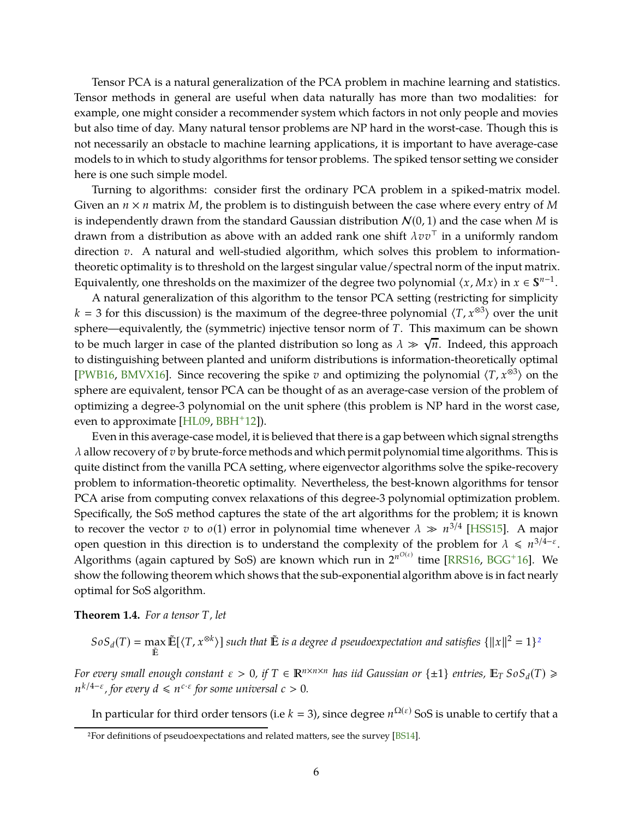<span id="page-7-2"></span>Tensor PCA is a natural generalization of the PCA problem in machine learning and statistics. Tensor methods in general are useful when data naturally has more than two modalities: for example, one might consider a recommender system which factors in not only people and movies but also time of day. Many natural tensor problems are NP hard in the worst-case. Though this is not necessarily an obstacle to machine learning applications, it is important to have average-case models to in which to study algorithms for tensor problems. The spiked tensor setting we consider here is one such simple model.

Turning to algorithms: consider first the ordinary PCA problem in a spiked-matrix model. Given an *n* × *n* matrix *M*, the problem is to distinguish between the case where every entry of *M* is independently drawn from the standard Gaussian distribution  $N(0, 1)$  and the case when *M* is drawn from a distribution as above with an added rank one shift λ*vv*⊤ in a uniformly random direction *v*. A natural and well-studied algorithm, which solves this problem to informationtheoretic optimality is to threshold on the largest singular value/spectral norm of the input matrix. Equivalently, one thresholds on the maximizer of the degree two polynomial  $\langle x, Mx \rangle$  in  $x \in \mathbb{S}^{n-1}$ .

A natural generalization of this algorithm to the tensor PCA setting (restricting for simplicity  $k = 3$  for this discussion) is the maximum of the degree-three polynomial  $\langle T, x^{\otimes 3} \rangle$  over the unit sphere—equivalently, the (symmetric) injective tensor norm of *T*. This maximum can be shown to be much larger in case of the planted distribution so long as  $\lambda \gg \sqrt{n}$ . Indeed, this approach to distinguishing between planted and uniform distributions is information-theoretically optimal [PWB16, BMVX16]. Since recovering the spike *v* and optimizing the polynomial  $\langle T, x^{\otimes 3} \rangle$  on the sphere are equivalent, tensor PCA can be thought of as an average-case version of the problem of optimizing a degree-3 polynomial on the unit sphere (this problem is NP hard in the worst case, even to approximate  $[HL09, BBH<sup>+</sup>12]$ ).

Even in this average-case model, it is believed that there is a gap between which signal strengths  $\lambda$  allow recovery of  $v$  by brute-force methods and which permit polynomial time algorithms. This is quite distinct from the vanilla PCA setting, where eigenvector algorithms solve the spike-recovery problem to information-theoretic optimality. Nevertheless, the best-known algorithms for tensor PCA arise from computing convex relaxations of this degree-3 polynomial optimization problem. Specifically, the SoS method captures the state of the art algorithms for the problem; it is known to recover the vector *v* to *o*(1) error in polynomial time whenever  $\lambda \gg n^{3/4}$  [HSS15]. A major open question in this direction is to understand the complexity of the problem for  $\lambda \leq n^{3/4-\epsilon}$ . Algorithms (again captured by SoS) are known which run in 2<sup>nO(ε)</sup> time [RRS16, BGG<sup>+</sup>16]. We show the following theorem which shows that the sub-exponential algorithm above is in fact nearly optimal for SoS algorithm.

<span id="page-7-1"></span>**Theorem 1.4.** *For a tensor T, let*

$$
SoS_d(T) = \max_{\tilde{E}} \tilde{E}[\langle T, x^{\otimes k} \rangle] \text{ such that } \tilde{E} \text{ is a degree } d \text{ pseudocxpectation and satisfies } \{||x||^2 = 1\}^2
$$

*For every small enough constant*  $\varepsilon > 0$ , if  $T \in \mathbb{R}^{n \times n \times n}$  has iid Gaussian or  $\{\pm 1\}$  entries,  $\mathbb{E}_T$  So $S_d(T) \geq$  $n^{k/4-\varepsilon}$ , for every  $d \leqslant n^{c \cdot \varepsilon}$  for some universal  $c > 0$ .

In particular for third order tensors (i.e  $k=3$ ), since degree  $n^{\Omega(\varepsilon)}$  SoS is unable to certify that a

<span id="page-7-0"></span><sup>2</sup>For definitions of pseudoexpectations and related matters, see the survey [BS14].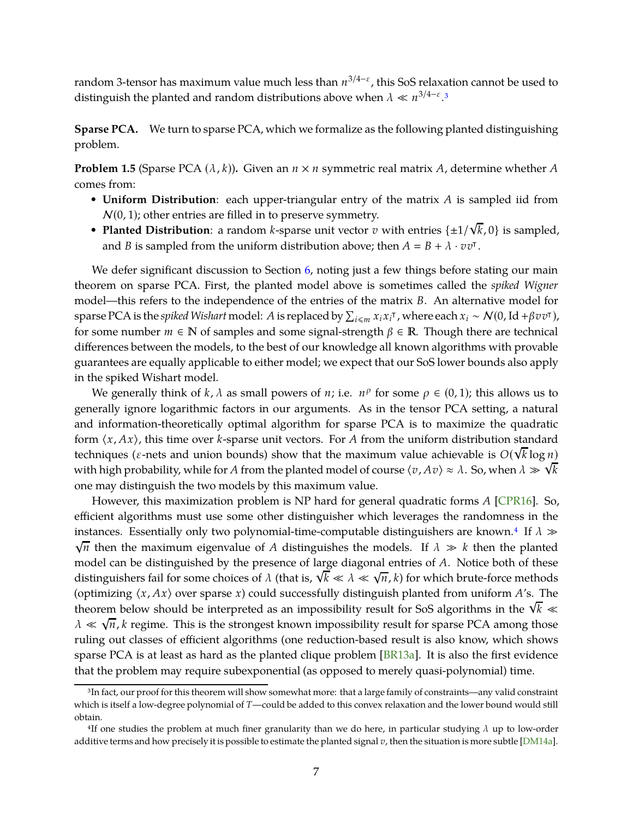<span id="page-8-2"></span>random 3-tensor has maximum value much less than *n* 3/4−ε , this SoS relaxation cannot be used to distinguish the planted and random distributions above when  $\lambda \ll n^{3/4-\epsilon}$  $\lambda \ll n^{3/4-\epsilon}$  $\lambda \ll n^{3/4-\epsilon}$ .<sup>3</sup>

**Sparse PCA.** We turn to sparse PCA, which we formalize as the following planted distinguishing problem.

**Problem 1.5** (Sparse PCA  $(\lambda, k)$ ). Given an  $n \times n$  symmetric real matrix *A*, determine whether *A* comes from:

- **Uniform Distribution**: each upper-triangular entry of the matrix *A* is sampled iid from  $N(0, 1)$ ; other entries are filled in to preserve symmetry.
- **Planted Distribution**: a random *k*-sparse unit vector *v* with entries  $\{\pm 1/\sqrt{k}, 0\}$  is sampled, and *B* is sampled from the uniform distribution above; then  $A = B + \lambda \cdot v v^{\dagger}$ .

We defer significant discussion to Section [6,](#page-30-0) noting just a few things before stating our main theorem on sparse PCA. First, the planted model above is sometimes called the *spiked Wigner* model—this refers to the independence of the entries of the matrix *B*. An alternative model for sparse PCA is the *spiked Wishart* model: *A* is replaced by  $\sum_{i\leqslant m}x_ix_i^{\intercal}$  , where each  $x_i\sim\mathcal{N}(0, \mathrm{Id}+\beta vv^{\intercal})$ , for some number  $m \in \mathbb{N}$  of samples and some signal-strength  $\beta \in \mathbb{R}$ . Though there are technical differences between the models, to the best of our knowledge all known algorithms with provable guarantees are equally applicable to either model; we expect that our SoS lower bounds also apply in the spiked Wishart model.

We generally think of *k*,  $\lambda$  as small powers of *n*; i.e.  $n^{\rho}$  for some  $\rho \in (0,1)$ ; this allows us to generally ignore logarithmic factors in our arguments. As in the tensor PCA setting, a natural and information-theoretically optimal algorithm for sparse PCA is to maximize the quadratic form  $\langle x, Ax \rangle$ , this time over *k*-sparse unit vectors. For *A* from the uniform distribution standard techniques ( $\varepsilon$ -nets and union bounds) show that the maximum value achievable is  $O(\sqrt{k} \log n)$ with high probability, while for *A* from the planted model of course  $\langle v, Av \rangle \approx \lambda$ . So, when  $\lambda \gg \sqrt{k}$ one may distinguish the two models by this maximum value.

However, this maximization problem is NP hard for general quadratic forms *A* [CPR16]. So, efficient algorithms must use some other distinguisher which leverages the randomness in the instances. Essentially only two polynomial-time-computable distinguishers are known.<sup>[4](#page-8-1)</sup> If  $\lambda \gg$  $\sqrt{n}$  then the maximum eigenvalue of *A* distinguishes the models. If  $\lambda \gg k$  then the planted model can be distinguished by the presence of large diagonal entries of *A*. Notice both of these distinguishers fail for some choices of  $\lambda$  (that is,  $\sqrt{k} \ll \lambda \ll \sqrt{n}$ , *k*) for which brute-force methods (optimizing  $\langle x, Ax \rangle$  over sparse *x*) could successfully distinguish planted from uniform *A*'s. The theorem below should be interpreted as an impossibility result for SoS algorithms in the  $\sqrt{k}$  $\lambda \ll \sqrt{n}$ , *k* regime. This is the strongest known impossibility result for sparse PCA among those ruling out classes of efficient algorithms (one reduction-based result is also know, which shows sparse PCA is at least as hard as the planted clique problem [BR13a]. It is also the first evidence that the problem may require subexponential (as opposed to merely quasi-polynomial) time.

<span id="page-8-0"></span><sup>&</sup>lt;sup>3</sup>In fact, our proof for this theorem will show somewhat more: that a large family of constraints—any valid constraint which is itself a low-degree polynomial of *T*—could be added to this convex relaxation and the lower bound would still obtain.

<span id="page-8-1"></span><sup>&</sup>lt;sup>4</sup>If one studies the problem at much finer granularity than we do here, in particular studying  $\lambda$  up to low-order additive terms and how precisely it is possible to estimate the planted signal *v*, then the situation is more subtle [DM14a].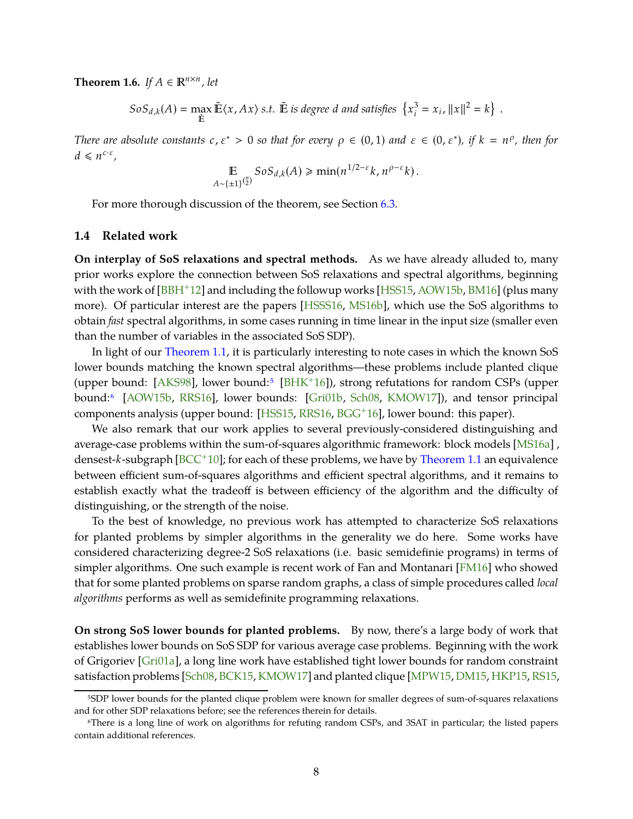<span id="page-9-4"></span><span id="page-9-3"></span>**Theorem 1.6.** *If*  $A \in \mathbb{R}^{n \times n}$ , *let* 

 $SoS_{d,k}(A) = \max_{\tilde{\mathbb{E}}} \tilde{\mathbb{E}} \langle x, Ax \rangle \text{ s.t. } \tilde{\mathbb{E}} \text{ is degree } d \text{ and satisfies } \left\{ x_i^3 \right\}$  $x_i^3 = x_i$ ,  $||x||^2 = k$  }.

*There are absolute constants*  $c, \varepsilon^* > 0$  *so that for every*  $\rho \in (0, 1)$  *and*  $\varepsilon \in (0, \varepsilon^*)$ *, if*  $k = n^{\rho}$ *, then for*  $d \leq n^{c \cdot \varepsilon},$ 

$$
\mathbb{E}_{A \sim {\pm 1\}}_2^{\binom{n}{2}} \text{SoS}_{d,k}(A) \geq \min(n^{1/2-\varepsilon} k, n^{\rho-\varepsilon} k).
$$

For more thorough discussion of the theorem, see Section [6.3.](#page-34-0)

### <span id="page-9-0"></span>**1.4 Related work**

**On interplay of SoS relaxations and spectral methods.** As we have already alluded to, many prior works explore the connection between SoS relaxations and spectral algorithms, beginning with the work of [BBH<sup>+</sup>12] and including the followup works [HSS15, AOW15b, BM16] (plus many more). Of particular interest are the papers [HSSS16, MS16b], which use the SoS algorithms to obtain *fast* spectral algorithms, in some cases running in time linear in the input size (smaller even than the number of variables in the associated SoS SDP).

In light of our [Theorem 1.1,](#page-4-0) it is particularly interesting to note cases in which the known SoS lower bounds matching the known spectral algorithms—these problems include planted clique (upper bound: [AKS98], lower bound:<sup>[5](#page-9-1)</sup> [BHK<sup>+</sup>16]), strong refutations for random CSPs (upper bound:[6](#page-9-2) [AOW15b, RRS16], lower bounds: [Gri01b, Sch08, KMOW17]), and tensor principal components analysis (upper bound: [HSS15, RRS16, BGG+16], lower bound: this paper).

We also remark that our work applies to several previously-considered distinguishing and average-case problems within the sum-of-squares algorithmic framework: block models [MS16a] , densest-*k*-subgraph [\[BCC](#page-37-1)+10]; for each of these problems, we have by [Theorem 1.1](#page-4-0) an equivalence between efficient sum-of-squares algorithms and efficient spectral algorithms, and it remains to establish exactly what the tradeoff is between efficiency of the algorithm and the difficulty of distinguishing, or the strength of the noise.

To the best of knowledge, no previous work has attempted to characterize SoS relaxations for planted problems by simpler algorithms in the generality we do here. Some works have considered characterizing degree-2 SoS relaxations (i.e. basic semidefinie programs) in terms of simpler algorithms. One such example is recent work of Fan and Montanari [FM16] who showed that for some planted problems on sparse random graphs, a class of simple procedures called *local algorithms* performs as well as semidefinite programming relaxations.

**On strong SoS lower bounds for planted problems.** By now, there's a large body of work that establishes lower bounds on SoS SDP for various average case problems. Beginning with the work of Grigoriev [Gri01a], a long line work have established tight lower bounds for random constraint satisfaction problems [Sch08, [BCK15,](#page-37-2) KMOW17] and planted clique [\[MPW15,](#page-39-3) DM15, HKP15, RS15,

<span id="page-9-1"></span><sup>5</sup>SDP lower bounds for the planted clique problem were known for smaller degrees of sum-of-squares relaxations and for other SDP relaxations before; see the references therein for details.

<span id="page-9-2"></span><sup>6</sup>There is a long line of work on algorithms for refuting random CSPs, and 3SAT in particular; the listed papers contain additional references.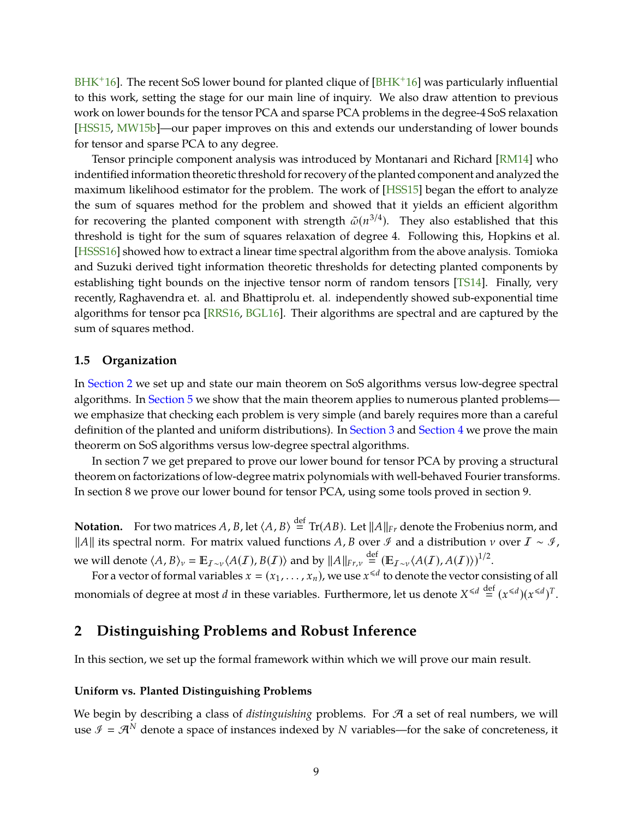<span id="page-10-2"></span> $BHK<sup>+</sup>16$ . The recent SoS lower bound for planted clique of  $[BHK<sup>+</sup>16]$  was particularly influential to this work, setting the stage for our main line of inquiry. We also draw attention to previous work on lower bounds for the tensor PCA and sparse PCA problems in the degree-4 SoS relaxation [HSS15, MW15b]—our paper improves on this and extends our understanding of lower bounds for tensor and sparse PCA to any degree.

Tensor principle component analysis was introduced by Montanari and Richard [RM14] who indentified information theoretic threshold for recovery ofthe planted component and analyzed the maximum likelihood estimator for the problem. The work of [HSS15] began the effort to analyze the sum of squares method for the problem and showed that it yields an efficient algorithm for recovering the planted component with strength  $\tilde{\omega}(n^{3/4})$ . They also established that this threshold is tight for the sum of squares relaxation of degree 4. Following this, Hopkins et al. [HSSS16] showed how to extract a linear time spectral algorithm from the above analysis. Tomioka and Suzuki derived tight information theoretic thresholds for detecting planted components by establishing tight bounds on the injective tensor norm of random tensors [\[TS14\]](#page-40-2). Finally, very recently, Raghavendra et. al. and Bhattiprolu et. al. independently showed sub-exponential time algorithms for tensor pca [RRS16, BGL16]. Their algorithms are spectral and are captured by the sum of squares method.

### <span id="page-10-0"></span>**1.5 Organization**

In [Section 2](#page-10-1) we set up and state our main theorem on SoS algorithms versus low-degree spectral algorithms. In [Section 5](#page-24-0) we show that the main theorem applies to numerous planted problems we emphasize that checking each problem is very simple (and barely requires more than a careful definition of the planted and uniform distributions). In [Section 3](#page-13-0) and [Section 4](#page-16-0) we prove the main theorerm on SoS algorithms versus low-degree spectral algorithms.

In section 7 we get prepared to prove our lower bound for tensor PCA by proving a structural theorem on factorizations of low-degree matrix polynomials with well-behaved Fourier transforms. In section 8 we prove our lower bound for tensor PCA, using some tools proved in section 9.

**Notation.** For two matrices *A*, *B*, let  $\langle A, B \rangle \stackrel{\text{def}}{=} \text{Tr}(AB)$ . Let  $||A||_{Fr}$  denote the Frobenius norm, and *||A||* its spectral norm. For matrix valued functions *A*, *B* over *∮* and a distribution *ν* over *I* ∼ *∮*, we will denote  $\langle A, B \rangle_{\nu} = \mathbb{E}_{I \sim \nu} \langle A(I), B(I) \rangle$  and by  $||A||_{F_{I, \nu}} \stackrel{\text{def}}{=} (\mathbb{E}_{I \sim \nu} \langle A(I), A(I) \rangle)^{1/2}$ .

For a vector of formal variables  $x = (x_1, \ldots, x_n)$ , we use  $x^{\le d}$  to denote the vector consisting of all monomials of degree at most *d* in these variables. Furthermore, let us denote  $X^{\le d} \stackrel{\text{def}}{=} (x^{\le d})(x^{\le d})^T$ .

# <span id="page-10-1"></span>**2 Distinguishing Problems and Robust Inference**

In this section, we set up the formal framework within which we will prove our main result.

### **Uniform vs. Planted Distinguishing Problems**

We begin by describing a class of *distinguishing* problems. For  $\mathcal A$  a set of real numbers, we will use  $\mathcal{I} = \mathcal{A}^N$  denote a space of instances indexed by *N* variables—for the sake of concreteness, it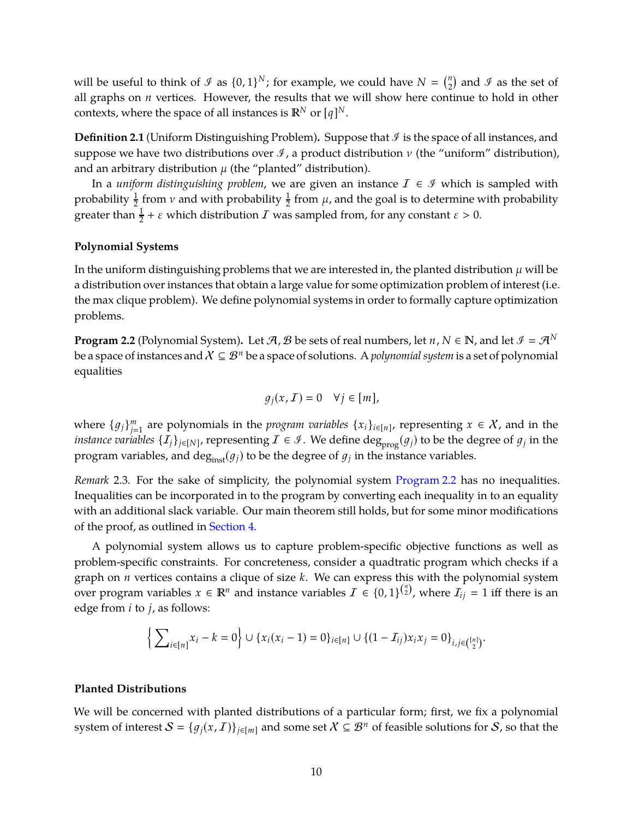will be useful to think of  $\mathcal{I}$  as  $\{0, 1\}^N$ ; for example, we could have  $N = \binom{n}{2}$  $\binom{n}{2}$  and  $\mathcal I$  as the set of all graphs on *n* vertices. However, the results that we will show here continue to hold in other contexts, where the space of all instances is  $\mathbb{R}^N$  or  $[q]^N$ .

**Definition 2.1** (Uniform Distinguishing Problem). Suppose that  $\mathcal{I}$  is the space of all instances, and suppose we have two distributions over  $\mathcal I$ , a product distribution  $\nu$  (the "uniform" distribution), and an arbitrary distribution  $\mu$  (the "planted" distribution).

In a *uniform distinguishing problem*, we are given an instance  $I \in \mathcal{I}$  which is sampled with probability  $\frac{1}{2}$  from  $\nu$  and with probability  $\frac{1}{2}$  from  $\mu$ , and the goal is to determine with probability greater than  $\frac{1}{2} + \varepsilon$  which distribution  $I$  was sampled from, for any constant  $\varepsilon > 0$ .

## **Polynomial Systems**

In the uniform distinguishing problems that we are interested in, the planted distribution  $\mu$  will be a distribution over instances that obtain a large value for some optimization problem of interest (i.e. the max clique problem). We define polynomial systems in order to formally capture optimization problems.

<span id="page-11-0"></span>**Program 2.2** (Polynomial System). Let  $A$ ,  $B$  be sets of real numbers, let  $n, N \in \mathbb{N}$ , and let  $\mathcal{I} = A^N$ be a space of instances and  $X \subseteq \mathcal{B}^n$  be a space of solutions. A *polynomial system* is a set of polynomial equalities

$$
g_j(x, \mathcal{I}) = 0 \quad \forall j \in [m],
$$

where  $\{g_j\}_{j=1}^m$  are polynomials in the *program variables*  $\{x_i\}_{i\in[n]}$ , representing  $x \in \mathcal{X}$ , and in the *instance variables*  $\{I_j\}_{j\in[N]}$ *,* representing  $I\in\mathcal{I}.$  We define  $\deg_{\rm prog}(g_j)$  to be the degree of  $g_j$  in the program variables, and  $\deg_{\text{inst}}(g_j)$  to be the degree of  $g_j$  in the instance variables.

*Remark* 2.3*.* For the sake of simplicity, the polynomial system [Program 2.2](#page-11-0) has no inequalities. Inequalities can be incorporated in to the program by converting each inequality in to an equality with an additional slack variable. Our main theorem still holds, but for some minor modifications of the proof, as outlined in [Section 4.](#page-16-0)

A polynomial system allows us to capture problem-specific objective functions as well as problem-specific constraints. For concreteness, consider a quadtratic program which checks if a graph on *n* vertices contains a clique of size *k*. We can express this with the polynomial system over program variables  $x \in \mathbb{R}^n$  and instance variables  $\mathcal{I} \in \{0,1\}^{n \choose 2}$ , where  $\mathcal{I}_{ij} = 1$  iff there is an edge from *i* to *j*, as follows:

$$
\Big\{\sum_{i\in[n]}x_i-k=0\Big\}\cup\{x_i(x_i-1)=0\}_{i\in[n]}\cup\{(1-\mathcal{I}_{ij})x_ix_j=0\}_{i,j\in\binom{[n]}{2}}.
$$

### **Planted Distributions**

We will be concerned with planted distributions of a particular form; first, we fix a polynomial system of interest  $S = \{g_j(x, I)\}_{j \in [m]}$  and some set  $X \subseteq \mathcal{B}^n$  of feasible solutions for S, so that the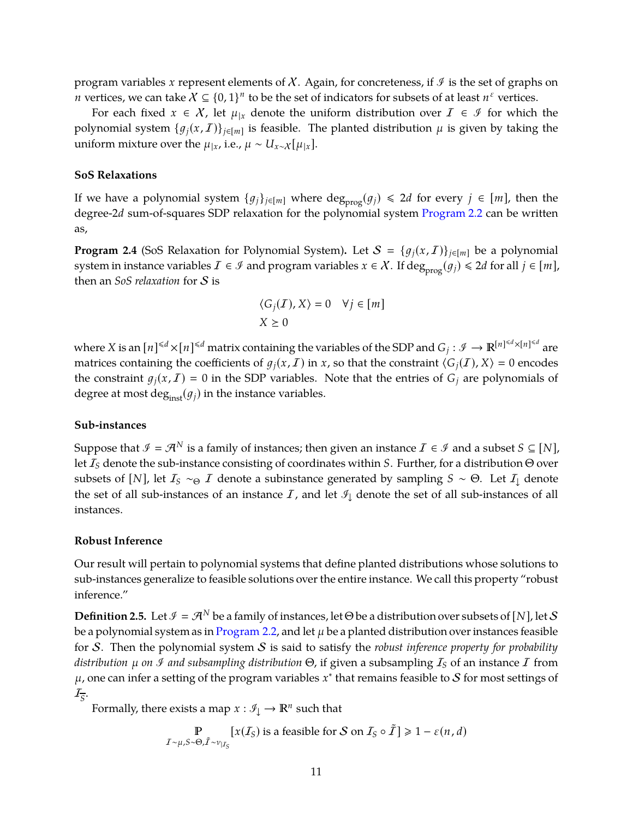program variables *x* represent elements of  $\chi$ . Again, for concreteness, if  $\mathcal{I}$  is the set of graphs on *n* vertices, we can take  $X \subseteq \{0,1\}^n$  to be the set of indicators for subsets of at least  $n^{\varepsilon}$  vertices.

For each fixed  $x \in X$ , let  $\mu|x$  denote the uniform distribution over  $I \in \mathcal{I}$  for which the polynomial system  $\{g_j(x, \mathcal{I})\}_{j\in[m]}$  is feasible. The planted distribution  $\mu$  is given by taking the uniform mixture over the  $\mu_{|x}$ , i.e.,  $\mu \sim U_{x \sim \chi}[\mu_{|x}]$ .

#### **SoS Relaxations**

If we have a polynomial system  $\{g_j\}_{j\in[m]}$  where  $\deg_{\text{prog}}(g_j) \le 2d$  for every  $j \in [m]$ , then the degree-2*d* sum-of-squares SDP relaxation for the polynomial system [Program 2.2](#page-11-0) can be written as,

<span id="page-12-0"></span>**Program 2.4** (SoS Relaxation for Polynomial System). Let  $S = \{g_i(x, I)\}_{i \in [m]}$  be a polynomial system in instance variables  $\mathcal{I} \in \mathcal{I}$  and program variables  $x \in \mathcal{X}$ . If  $\deg_{\text{prog}}(g_i) \leq 2d$  for all  $j \in [m]$ , then an *SoS relaxation* for S is

$$
\begin{aligned} & \langle G_j(I),X\rangle = 0 \quad \forall j\in[m] \\ & X \geq 0 \end{aligned}
$$

where X is an  $[n]^{4d} \times [n]^{4d}$  matrix containing the variables of the SDP and  $G_j: \mathscr{I} \to \mathbb{R}^{[n]^{4d} \times [n]^{4d}}$  are matrices containing the coefficients of  $g_j(x, I)$  in *x*, so that the constraint  $\langle G_j(I), X \rangle = 0$  encodes the constraint  $g_j(x, I) = 0$  in the SDP variables. Note that the entries of  $G_j$  are polynomials of degree at most deg<sub>inst</sub>( $g_j$ ) in the instance variables.

#### **Sub-instances**

Suppose that  $\mathcal{I} = \mathcal{A}^N$  is a family of instances; then given an instance  $\mathcal{I} \in \mathcal{I}$  and a subset  $S \subseteq [N]$ , let I*<sup>S</sup>* denote the sub-instance consisting of coordinates within *S*. Further, for a distribution Θ over subsets of [*N*], let  $I_S \sim_\Theta I$  denote a subinstance generated by sampling  $S \sim \Theta$ . Let  $I_{\perp}$  denote the set of all sub-instances of an instance  $I$ , and let  $\mathcal{I}_\perp$  denote the set of all sub-instances of all instances.

#### **Robust Inference**

Our result will pertain to polynomial systems that define planted distributions whose solutions to sub-instances generalize to feasible solutions over the entire instance. We call this property "robust inference."

**Definition 2.5.** Let  $\mathcal{I} = \mathcal{A}^N$  be a family of instances, let  $\Theta$  be a distribution over subsets of [*N*], let S be a polynomial system as in [Program 2.2,](#page-11-0) and let  $\mu$  be a planted distribution over instances feasible for S. Then the polynomial system S is said to satisfy the *robust inference property for probability distribution* µ *on* <sup>I</sup> *and subsampling distribution* Θ, if given a subsampling I*<sup>S</sup>* of an instance I from  $\mu$ , one can infer a setting of the program variables  $x^*$  that remains feasible to  ${\cal S}$  for most settings of I*S* .

Formally, there exists a map  $x : \mathcal{I}_{\downarrow} \to \mathbb{R}^n$  such that

$$
\mathbb{P}\underset{\tilde{I}\sim\mu,\tilde{S}\sim\Theta,\tilde{I}\sim\nu_{|\tilde{I}_{S}}}{\mathbb{P}\left[x(\tilde{I}_{S})\text{ is a feasible for }S\text{ on }\tilde{I}_{S}\circ\tilde{I}\right]\geqslant 1-\varepsilon(n,d)}
$$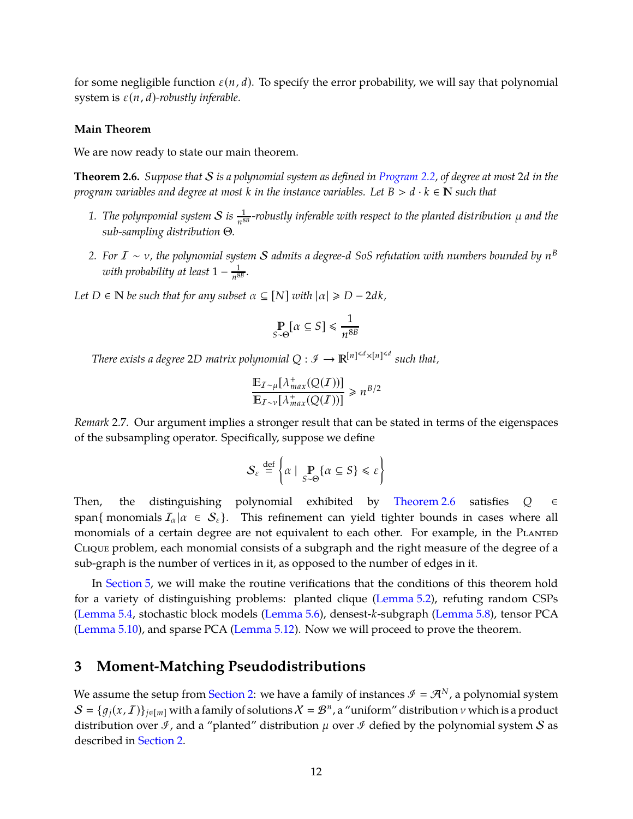for some negligible function  $\varepsilon(n, d)$ . To specify the error probability, we will say that polynomial system is  $\varepsilon(n, d)$ -robustly inferable.

### **Main Theorem**

We are now ready to state our main theorem.

<span id="page-13-1"></span>**Theorem 2.6.** *Suppose that* S *is a polynomial system as defined in [Program](#page-11-0) 2.2, of degree at most* 2*d in the program variables and degree at most k in the instance variables. Let*  $B > d \cdot k \in \mathbb{N}$  such that

- 1. The polynpomial system  $S$  is  $\frac{1}{n^{8B}}$ -robustly inferable with respect to the planted distribution  $\mu$  and the *sub-sampling distribution* Θ*.*
- *2. For* I ∼ ν*, the polynomial system* S *admits a degree-d SoS refutation with numbers bounded by n B with probability at least* 1 − 1  $\frac{1}{n^{8B}}$ .
- *Let*  $D \in \mathbb{N}$  *be such that for any subset*  $\alpha \subseteq [N]$  *with*  $|\alpha| \ge D 2dk$ *,*

$$
\mathop{\mathbb{P}}_{S \sim \Theta} [\alpha \subseteq S] \le \frac{1}{n^{8B}}
$$

*There exists a degree* 2*D matrix polynomial*  $Q: \mathscr{I} \to \mathbb{R}^{[n]^{ such that,$ 

$$
\frac{\mathbb{E}_{I \sim \mu}[\lambda_{max}^{+}(Q(I))] }{\mathbb{E}_{I \sim \nu}[\lambda_{max}^{+}(Q(I))]}\geq n^{B/2}
$$

*Remark* 2.7*.* Our argument implies a stronger result that can be stated in terms of the eigenspaces of the subsampling operator. Specifically, suppose we define

$$
\mathcal{S}_{\varepsilon} \stackrel{\text{def}}{=} \left\{ \alpha \mid \, \mathop{\mathbb{P}}_{S \sim \Theta} \{ \alpha \subseteq S \} \leq \varepsilon \right\}
$$

Then, the distinguishing polynomial exhibited by [Theorem 2.6](#page-13-1) satisfies *Q* ∈ span{ monomials  $I_{\alpha} | \alpha \in S_{\epsilon}$ }. This refinement can yield tighter bounds in cases where all monomials of a certain degree are not equivalent to each other. For example, in the PLANTED Clique problem, each monomial consists of a subgraph and the right measure of the degree of a sub-graph is the number of vertices in it, as opposed to the number of edges in it.

In [Section 5,](#page-24-0) we will make the routine verifications that the conditions of this theorem hold for a variety of distinguishing problems: planted clique [\(Lemma 5.2\)](#page-24-1), refuting random CSPs [\(Lemma 5.4,](#page-25-0) stochastic block models [\(Lemma 5.6\)](#page-26-0), densest-*k*-subgraph [\(Lemma 5.8\)](#page-27-0), tensor PCA [\(Lemma 5.10\)](#page-28-0), and sparse PCA [\(Lemma 5.12\)](#page-29-0). Now we will proceed to prove the theorem.

# <span id="page-13-0"></span>**3 Moment-Matching Pseudodistributions**

We assume the setup from [Section 2:](#page-10-1) we have a family of instances  $\mathcal{I} = \mathcal{A}^N$ , a polynomial system  $S = \{g_j(x, I)\}_{j\in[m]}$  with a family of solutions  $X = B^n$ , a "uniform" distribution  $\nu$  which is a product distribution over  $\mathcal{I}$ , and a "planted" distribution  $\mu$  over  $\mathcal{I}$  defied by the polynomial system  $S$  as described in [Section 2.](#page-10-1)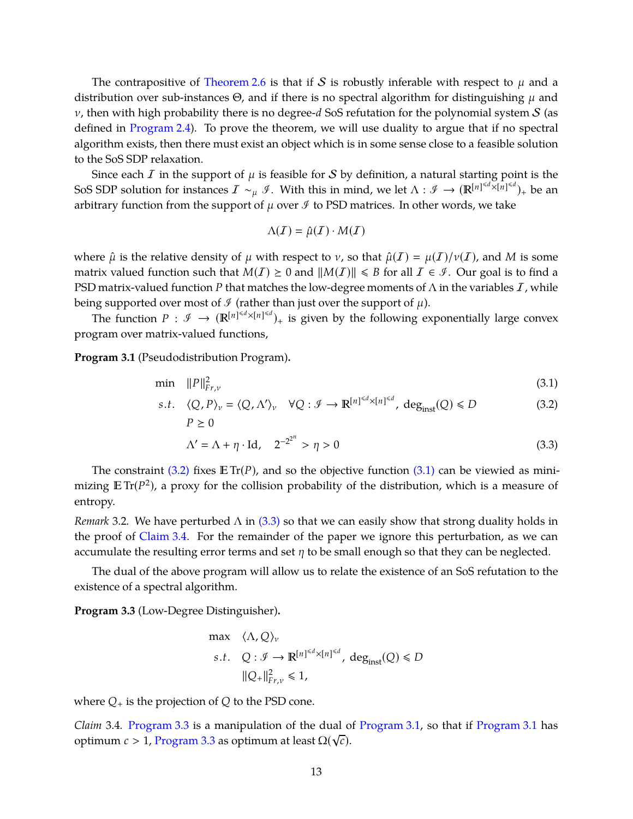The contrapositive of [Theorem 2.6](#page-13-1) is that if S is robustly inferable with respect to  $\mu$  and a distribution over sub-instances  $\Theta$ , and if there is no spectral algorithm for distinguishing  $\mu$  and  $v$ , then with high probability there is no degree- $d$  SoS refutation for the polynomial system  $S$  (as defined in [Program 2.4\)](#page-12-0). To prove the theorem, we will use duality to argue that if no spectral algorithm exists, then there must exist an object which is in some sense close to a feasible solution to the SoS SDP relaxation.

Since each  $I$  in the support of  $\mu$  is feasible for  $S$  by definition, a natural starting point is the SoS SDP solution for instances  $I \sim_\mu \mathscr{I}$ . With this in mind, we let  $\Lambda : \mathscr{I} \to (\mathbb{R}^{[n]^{ be an$ arbitrary function from the support of  $\mu$  over  $\mathcal I$  to PSD matrices. In other words, we take

<span id="page-14-2"></span><span id="page-14-1"></span><span id="page-14-0"></span>
$$
\Lambda(\mathcal{I})=\hat{\mu}(\mathcal{I})\cdot M(\mathcal{I})
$$

where  $\hat{\mu}$  is the relative density of  $\mu$  with respect to  $\nu$ , so that  $\hat{\mu}(I) = \mu(I)/\nu(I)$ , and M is some matrix valued function such that  $M(I) \geq 0$  and  $||M(I)|| \leq B$  for all  $I \in \mathcal{I}$ . Our goal is to find a PSD matrix-valued function *P* that matches the low-degree moments of  $\Lambda$  in the variables  $I$ , while being supported over most of  $\mathcal I$  (rather than just over the support of  $\mu$ ).

The function  $P : \mathcal{I} \to (\mathbb{R}^{[n]^{\leq d} \times [n]^{\leq d}})_+$  is given by the following exponentially large convex program over matrix-valued functions,

<span id="page-14-5"></span>**Program 3.1** (Pseudodistribution Program)**.**

$$
\min \|P\|_{Fr,\nu}^2 \tag{3.1}
$$

$$
s.t. \quad \langle Q, P \rangle_{\nu} = \langle Q, \Lambda' \rangle_{\nu} \quad \forall Q : \mathcal{I} \to \mathbb{R}^{\lfloor n \rfloor \le d} \times \lfloor n \rfloor \le d, \ \deg_{inst}(Q) \le D
$$
\n
$$
P \ge 0 \tag{3.2}
$$

$$
\Lambda' = \Lambda + \eta \cdot \text{Id}, \quad 2^{-2^{2^n}} > \eta > 0 \tag{3.3}
$$

The constraint [\(3.2\)](#page-14-0) fixes  $\mathbb{E} \text{Tr}(P)$ , and so the objective function [\(3.1\)](#page-14-1) can be viewied as minimizing  $\mathbb{E} \text{Tr}(P^2)$ , a proxy for the collision probability of the distribution, which is a measure of entropy.

*Remark* 3.2*.* We have perturbed Λ in [\(3.3\)](#page-14-2) so that we can easily show that strong duality holds in the proof of [Claim 3.4.](#page-14-3) For the remainder of the paper we ignore this perturbation, as we can accumulate the resulting error terms and set  $\eta$  to be small enough so that they can be neglected.

The dual of the above program will allow us to relate the existence of an SoS refutation to the existence of a spectral algorithm.

<span id="page-14-4"></span>**Program 3.3** (Low-Degree Distinguisher)**.**

$$
\begin{aligned}\n\max \quad & \langle \Lambda, Q \rangle_{\nu} \\
\text{s.t.} \quad & Q: \mathcal{I} \to \mathbb{R}^{[n]^{&\leq d} \times [n]^{&\leq d}}, \ \text{deg}_{\text{inst}}(Q) \leq D \\
& \|Q_{+}\|_{Fr,\nu}^2 \leq 1,\n\end{aligned}
$$

where  $Q_+$  is the projection of  $Q$  to the PSD cone.

<span id="page-14-3"></span>*Claim* 3.4*.* [Program 3.3](#page-14-4) is a manipulation of the dual of [Program 3.1,](#page-14-5) so that if [Program 3.1](#page-14-5) has optimum *c* > 1, [Program 3.3](#page-14-4) as optimum at least  $\Omega(\sqrt{c})$ .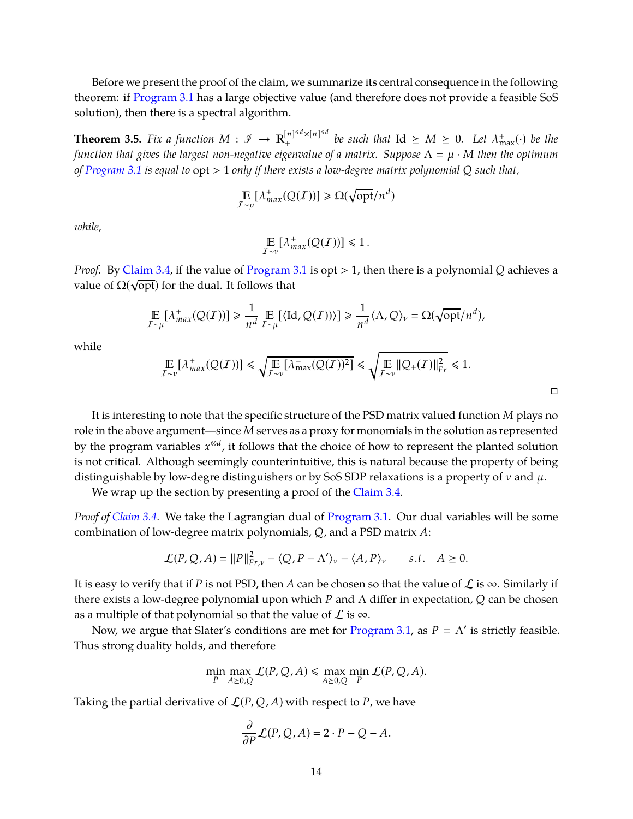Before we present the proof of the claim, we summarize its central consequence in the following theorem: if [Program 3.1](#page-14-5) has a large objective value (and therefore does not provide a feasible SoS solution), then there is a spectral algorithm.

<span id="page-15-0"></span>**Theorem 3.5.** *Fix a function*  $M: \mathscr{I} \to \mathbb{R}_{+}^{[n] \le d \times [n] \le d}$  $\int_{+}^{\lfloor n \rfloor^{\leq d} \times \lfloor n \rfloor^{\leq d}}$  *be such that*  $\text{Id} \geq M \geq 0$ *. Let*  $\lambda_{\max}^{\ddag}(\cdot)$  *be the function that gives the largest non-negative eigenvalue of a matrix. Suppose*  $\Lambda = \mu \cdot M$  *then the optimum of [Program 3.1](#page-14-5) is equal to* opt > 1 *only if there exists a low-degree matrix polynomial Q such that,*

$$
\mathop{\mathbb{E}}_{I \sim \mu} [\lambda^+_{max}(Q(I))] \geq \Omega(\sqrt{\text{opt}}/n^d)
$$

*while,*

$$
\mathop{\mathbb{E}}_{I \sim \nu} [\lambda_{max}^+(Q(I))] \leq 1.
$$

*Proof.* By [Claim 3.4,](#page-14-3) if the value of [Program 3.1](#page-14-5) is opt > 1, then there is a polynomial *Q* achieves a value of  $\Omega(\sqrt{\text{opt}})$  for the dual. It follows that

$$
\mathop{\mathbb{E}}_{I \sim \mu} [\lambda^+_{max}(Q(I))] \ge \frac{1}{n^d} \mathop{\mathbb{E}}_{I \sim \mu} [\langle \text{Id}, Q(I) \rangle] \ge \frac{1}{n^d} \langle \Lambda, Q \rangle_{\nu} = \Omega(\sqrt{\text{opt}}/n^d),
$$

while

$$
\mathop{\mathbb{E}}_{I \sim \nu} \left[ \lambda_{max}^+(Q(I)) \right] \leq \sqrt{\mathop{\mathbb{E}}_{I \sim \nu} \left[ \lambda_{max}^+(Q(I))^2 \right]} \leq \sqrt{\mathop{\mathbb{E}}_{I \sim \nu} \| Q_+(I) \|_{Fr}^2} \leq 1.
$$

 $\Box$ 

It is interesting to note that the specific structure of the PSD matrix valued function *M* plays no role in the above argument—since *M* serves as a proxy for monomials in the solution as represented by the program variables *x* ⊗*d* , it follows that the choice of how to represent the planted solution is not critical. Although seemingly counterintuitive, this is natural because the property of being distinguishable by low-degre distinguishers or by SoS SDP relaxations is a property of  $\nu$  and  $\mu$ .

We wrap up the section by presenting a proof of the [Claim 3.4.](#page-14-3)

*Proof of [Claim 3.4.](#page-14-3)* We take the Lagrangian dual of [Program 3.1.](#page-14-5) Our dual variables will be some combination of low-degree matrix polynomials, *Q*, and a PSD matrix *A*:

$$
\mathcal{L}(P,Q,A) = ||P||_{F\mathbf{r},\mathbf{v}}^2 - \langle Q,P-\Lambda'\rangle_{\mathbf{v}} - \langle A,P\rangle_{\mathbf{v}} \qquad s.t. \quad A \ge 0.
$$

It is easy to verify that if *P* is not PSD, then *A* can be chosen so that the value of  $\mathcal{L}$  is  $\infty$ . Similarly if there exists a low-degree polynomial upon which *P* and Λ differ in expectation, *Q* can be chosen as a multiple of that polynomial so that the value of  $\mathcal L$  is  $\infty$ .

Now, we argue that Slater's conditions are met for [Program 3.1,](#page-14-5) as  $P = \Lambda'$  is strictly feasible. Thus strong duality holds, and therefore

$$
\min_{P} \max_{A \ge 0,Q} \mathcal{L}(P,Q,A) \le \max_{A \ge 0,Q} \min_{P} \mathcal{L}(P,Q,A).
$$

Taking the partial derivative of  $\mathcal{L}(P, Q, A)$  with respect to P, we have

$$
\frac{\partial}{\partial P} \mathcal{L}(P, Q, A) = 2 \cdot P - Q - A.
$$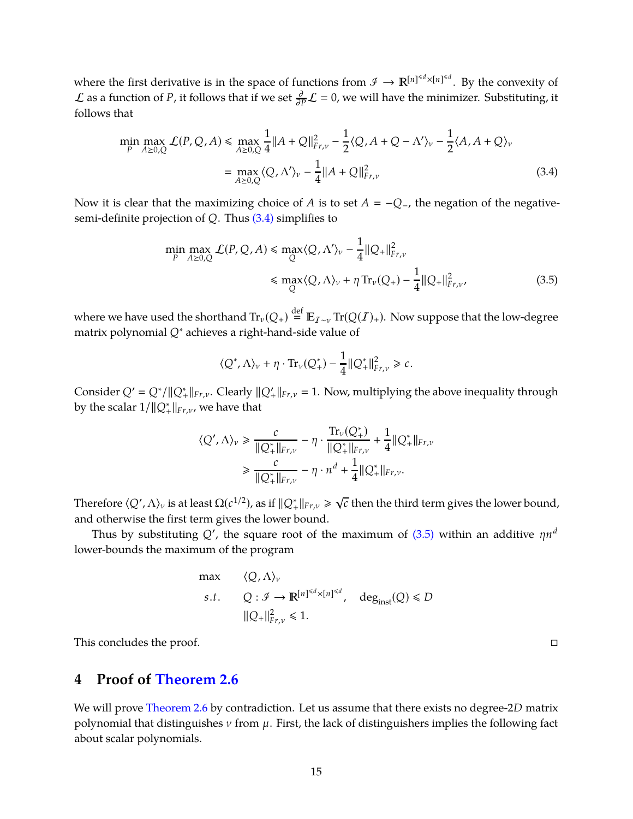where the first derivative is in the space of functions from  $\mathscr{I} \to \mathbb{R}^{[n]^{\leq d} \times [n]^{\leq d}}$ . By the convexity of  $\mathcal L$  as a function of *P*, it follows that if we set  $\frac{\partial}{\partial P} \mathcal L = 0$ , we will have the minimizer. Substituting, it follows that

$$
\min_{P} \max_{A \ge 0,Q} \mathcal{L}(P,Q,A) \le \max_{A \ge 0,Q} \frac{1}{4} ||A+Q||_{F_{r,\nu}}^2 - \frac{1}{2} \langle Q, A+Q-\Lambda' \rangle_{\nu} - \frac{1}{2} \langle A, A+Q \rangle_{\nu}
$$

$$
= \max_{A \ge 0,Q} \langle Q, \Lambda' \rangle_{\nu} - \frac{1}{4} ||A+Q||_{F_{r,\nu}}^2 \tag{3.4}
$$

Now it is clear that the maximizing choice of *A* is to set  $A = -Q$ <sub>−</sub>, the negation of the negativesemi-definite projection of *Q*. Thus [\(3.4\)](#page-16-1) simplifies to

$$
\min_{P} \max_{A \ge 0, Q} \mathcal{L}(P, Q, A) \le \max_{Q} \langle Q, \Lambda' \rangle_{\nu} - \frac{1}{4} ||Q_{+}||_{F_{r, \nu}}^{2}
$$
\n
$$
\le \max_{Q} \langle Q, \Lambda \rangle_{\nu} + \eta \operatorname{Tr}_{\nu}(Q_{+}) - \frac{1}{4} ||Q_{+}||_{F_{r, \nu}}^{2}, \tag{3.5}
$$

where we have used the shorthand  $\text{Tr}_{\nu}(Q_+) \stackrel{\text{def}}{=} \mathbb{E}_{I \sim \nu} \text{Tr}(Q(I)_+)$ . Now suppose that the low-degree matrix polynomial *Q*∗ achieves a right-hand-side value of

<span id="page-16-2"></span><span id="page-16-1"></span>
$$
\langle Q^*, \Lambda \rangle_{\nu} + \eta \cdot \text{Tr}_{\nu}(Q^*) - \frac{1}{4} ||Q^*_{+}||^2_{Fr,\nu} \geq c.
$$

Consider  $Q' = Q^*/||Q^*_{+}||_{Fr,\nu}$ . Clearly  $||Q'_{+}||_{Fr,\nu} = 1$ . Now, multiplying the above inequality through by the scalar  $1/\|\mathcal{Q}^*_+\|_{Fr,\nu}$ , we have that

$$
\langle Q', \Lambda \rangle_{\nu} \ge \frac{c}{\|Q^*_{+}\|_{Fr, \nu}} - \eta \cdot \frac{\text{Tr}_{\nu}(Q^*_{+})}{\|Q^*_{+}\|_{Fr, \nu}} + \frac{1}{4} \|Q^*_{+}\|_{Fr, \nu}
$$

$$
\ge \frac{c}{\|Q^*_{+}\|_{Fr, \nu}} - \eta \cdot n^d + \frac{1}{4} \|Q^*_{+}\|_{Fr, \nu}.
$$

Therefore  $\langle Q',\Lambda\rangle_v$  is at least  $\Omega(c^{1/2})$ , as if  $\|Q_+^*\|_{Fr,v}\geqslant \sqrt{c}$  then the third term gives the lower bound, and otherwise the first term gives the lower bound.

Thus by substituting  $Q'$ , the square root of the maximum of [\(3.5\)](#page-16-2) within an additive  $\eta n^d$ lower-bounds the maximum of the program

max 
$$
\langle Q, \Lambda \rangle_v
$$
  
\ns.t.  $Q : \mathcal{I} \to \mathbb{R}^{\lfloor n \rfloor^{\le d} \times \lfloor n \rfloor^{\le d}}$ ,  $deg_{inst}(Q) \le D$   
\n $||Q_+||_{Fr,v}^2 \le 1$ .

<span id="page-16-0"></span>This concludes the proof.

# **4 Proof of [Theorem 2.6](#page-13-1)**

We will prove [Theorem 2.6](#page-13-1) by contradiction. Let us assume that there exists no degree-2*D* matrix polynomial that distinguishes  $\nu$  from  $\mu$ . First, the lack of distinguishers implies the following fact about scalar polynomials.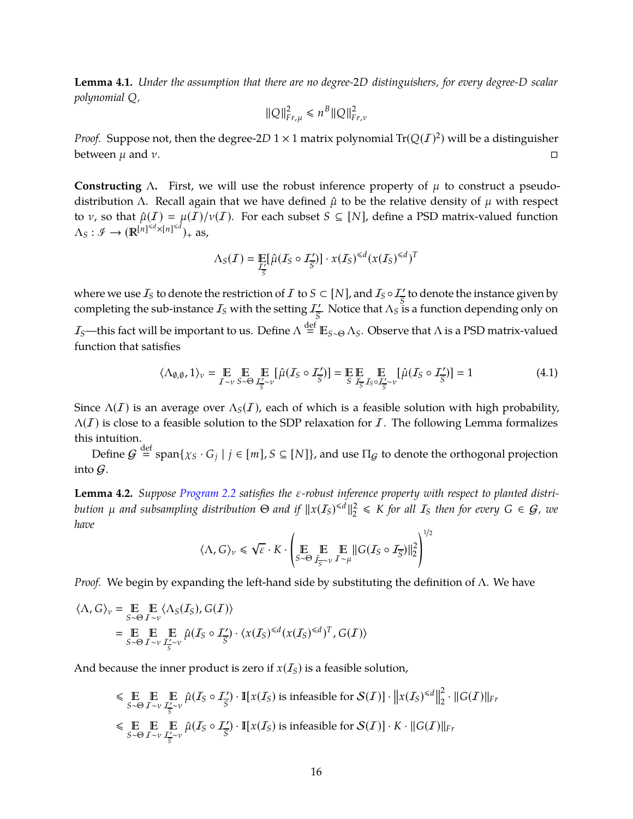<span id="page-17-0"></span>**Lemma 4.1.** *Under the assumption that there are no degree-*2*D distinguishers, for every degree-D scalar polynomial Q,*

$$
\|Q\|_{Fr,\mu}^2 \le n^B \|Q\|_{Fr,\nu}^2
$$

*Proof.* Suppose not, then the degree-2D  $1 \times 1$  matrix polynomial  $\text{Tr}(Q(I)^2)$  will be a distinguisher between  $\mu$  and  $\nu$ .

**Constructing** Λ. First, we will use the robust inference property of  $\mu$  to construct a pseudodistribution Λ. Recall again that we have defined  $\hat{\mu}$  to be the relative density of  $\mu$  with respect to *v*, so that  $\hat{\mu}(I) = \mu(I)/\nu(I)$ . For each subset  $S \subseteq [N]$ , define a PSD matrix-valued function  $\Lambda_S : \mathcal{I} \to (\mathbb{R}^{[n]^{ \leq d} \times [n]^{ \leq d}})_+$  as,

$$
\Lambda_S(\mathcal{I}) = \mathop{\mathbb{E}}_{\mathcal{I}'_S} [\hat{\mu}(\mathcal{I}_S \circ \mathcal{I}'_S)] \cdot x(\mathcal{I}_S)^{\leq d} (x(\mathcal{I}_S)^{\leq d})^T
$$

where we use  $I_S$  to denote the restriction of  $I$  to  $S\subset [N]$ , and  $I_S\circ I_{\overline S}'$  to denote the instance given by completing the sub-instance  $I_S$  with the setting  $I_S'$ . Notice that  $\Lambda_S$  is  $\frac{7}{s}$ . Notice that  $\Lambda_S$  is a function depending only on

 $I_S$ —this fact will be important to us. Define  $Λ$   $\stackrel{\text{def}}{=}$   $\mathbb{E}_{S \sim Θ}$   $Λ_S$ . Observe that  $Λ$  is a PSD matrix-valued function that satisfies

<span id="page-17-2"></span>
$$
\langle \Lambda_{\emptyset,\emptyset}, 1 \rangle_{\nu} = \underset{I \sim \nu}{\mathbb{E}} \underset{S \sim \Theta}{\mathbb{E}} \underset{I_{\overline{S}}' \sim \nu}{\mathbb{E}} [\hat{\mu}(I_S \circ I_{\overline{S}}')] = \underset{S}{\mathbb{E}} \underset{I_{\overline{S}}' \sim \nu}{\mathbb{E}} [\underset{I_{\emptyset}(I_S \circ I_{\overline{S}}')}{\mathbb{E}}] = 1
$$
(4.1)

Since  $\Lambda(I)$  is an average over  $\Lambda_S(I)$ , each of which is a feasible solution with high probability,  $\Lambda(I)$  is close to a feasible solution to the SDP relaxation for I. The following Lemma formalizes this intuition.

Define  $G\stackrel{\rm def}{=}\operatorname{span}\{\chi_S\cdot G_j\mid j\in [m], S\subseteq [N]\},$  and use  $\Pi_G$  to denote the orthogonal projection into G.

<span id="page-17-1"></span>**Lemma 4.2.** *Suppose [Program 2.2](#page-11-0) satisfies the* ε*-robust inference property with respect to planted distribution* μ and subsampling distribution  $\Theta$  and if  $\|x(I_S)^{\le d}\|_2^2$  $\mathcal{L}_2^2 \leq K$  for all  $I_S$  then for every  $G \in \mathcal{G}$ , we *have*

$$
\langle \Lambda, G \rangle_{\nu} \leq \sqrt{\varepsilon} \cdot K \cdot \left( \mathop{\mathbb{E}}_{S \sim \Theta} \mathop{\mathbb{E}}_{\tilde{\mathcal{I}}_S \sim \nu} \mathop{\mathbb{E}}_{I \sim \mu} \| G(\mathcal{I}_S \circ \mathcal{I}_{\overline{S}}) \|_2^2 \right)^{1/2}
$$

*Proof.* We begin by expanding the left-hand side by substituting the definition of Λ. We have

$$
\langle \Lambda, G \rangle_{v} = \mathop{\mathbb{E}}_{S \sim \Theta} \mathop{\mathbb{E}}_{I \sim v} \langle \Lambda_{S}(I_{S}), G(I) \rangle
$$
  
= 
$$
\mathop{\mathbb{E}}_{S \sim \Theta} \mathop{\mathbb{E}}_{I \sim v} \mathop{\mathbb{E}}_{I_{S} \sim v} \hat{\mu}(I_{S} \circ I_{\overline{S}}') \cdot \langle x(I_{S})^{\le d} (x(I_{S})^{\le d})^{T}, G(I) \rangle
$$

And because the inner product is zero if  $x(I<sub>S</sub>)$  is a feasible solution,

$$
\leq \mathop{\mathbb{E}}_{S \sim \Theta} \mathop{\mathbb{E}}_{I \sim \nu} \mathop{\mathbb{E}}_{\frac{I'}{S} \sim \nu} \hat{\mu}(I_S \circ I'_{\overline{S}}) \cdot \mathop{\mathbb{I}}[x(I_S) \text{ is infeasible for } \mathcal{S}(I)] \cdot \|x(I_S)^{\leq d}\|_2^2 \cdot \|G(I)\|_{Fr}
$$
  

$$
\leq \mathop{\mathbb{E}}_{S \sim \Theta} \mathop{\mathbb{E}}_{I \sim \nu} \mathop{\mathbb{E}}_{\frac{I'}{S} \sim \nu} \hat{\mu}(I_S \circ I'_{\overline{S}}) \cdot \mathop{\mathbb{I}}[x(I_S) \text{ is infeasible for } \mathcal{S}(I)] \cdot K \cdot \|G(I)\|_{Fr}
$$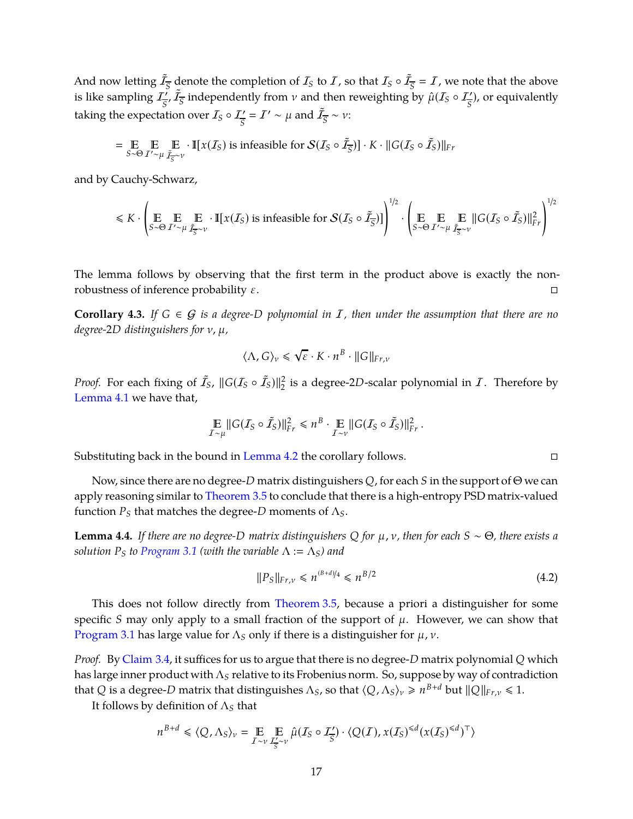And now letting  $\tilde{I}_{\overline{S}}$  denote the completion of  $I_S$  to  $I$ , so that  $I_S \circ \tilde{I}_{\overline{S}} = I$ , we note that the above is like sampling  $I^{\prime}_{\overline{S}}$  $\frac{d^2y}{ds^2}$  independently from *v* and then reweighting by  $\hat{\mu}(I_S \circ I_{\overline{S}}')$ , or equivalently taking the expectation over  $I_S \circ I_{\overline{S}}' = I' \sim \mu$  and  $\tilde{I}_{\overline{S}} \sim \nu$ :

$$
= \underset{S \sim \Theta}{\mathbb{E}} \underset{I' \sim \mu}{\mathbb{E}} \underset{\tilde{I}_{S} \sim \nu}{\mathbb{E}} \cdot \mathbb{I}[x(I_{S}) \text{ is infeasible for } S(I_{S} \circ \tilde{I}_{S})] \cdot K \cdot ||G(I_{S} \circ \tilde{I}_{S})||_{Fr}
$$

and by Cauchy-Schwarz,

$$
\leq K \cdot \left( \underset{S \sim \Theta}{\mathbb{E}} \underset{I' \sim \mu}{\mathbb{E}} \underset{\tilde{I}_S \sim \nu}{\mathbb{E}} \cdot \mathbb{I}[x(\mathcal{I}_S) \text{ is infeasible for } \mathcal{S}(\mathcal{I}_S \circ \tilde{\mathcal{I}}_S)] \right)^{1/2} \cdot \left( \underset{S \sim \Theta}{\mathbb{E}} \underset{I' \sim \mu}{\mathbb{E}} \underset{\tilde{I}_S \sim \nu}{\mathbb{E}} |G(\mathcal{I}_S \circ \tilde{\mathcal{I}}_S)| \big|_{Fr}^2 \right)^{1/2}
$$

The lemma follows by observing that the first term in the product above is exactly the nonrobustness of inference probability  $ε$ .

<span id="page-18-0"></span>**Corollary 4.3.** *If*  $G \in \mathcal{G}$  *is a degree-D polynomial in*  $I$ *, then under the assumption that there are no degree-*2*D distinguishers for* ν, µ*,*

$$
\langle \Lambda, G \rangle_{\nu} \leq \sqrt{\varepsilon} \cdot K \cdot n^{B} \cdot \|G\|_{Fr, \nu}
$$

*Proof.* For each fixing of  $\tilde{I}_S$ ,  $||G(I_S \circ \tilde{I}_S)||^2_2$  is a degree-2*D*-scalar polynomial in  $I$ . Therefore by [Lemma 4.1](#page-17-0) we have that,

$$
\mathop{\mathbb{E}}_{I\sim\mu} \|G(I_S \circ \tilde{I}_S)\|_{Fr}^2 \leq n^B \cdot \mathop{\mathbb{E}}_{I\sim\nu} \|G(I_S \circ \tilde{I}_S)\|_{Fr}^2.
$$

Substituting back in the bound in [Lemma 4.2](#page-17-1) the corollary follows.

Now, since there are no degree-*D* matrix distinguishers *Q*, for each *S* in the support of Θ we can apply reasoning similar to [Theorem 3.5](#page-15-0) to conclude that there is a high-entropy PSD matrix-valued function  $P_S$  that matches the degree- $D$  moments of  $\Lambda_S$ .

**Lemma 4.4.** *If there are no degree-D matrix distinguishers*  $Q$  *for*  $\mu$ *, v, then for each*  $S \sim \Theta$ *, there exists a solution*  $P_S$  *to Program* 3.1 (with the variable  $\Lambda := \Lambda_S$ ) and

<span id="page-18-1"></span>
$$
||P_S||_{Fr,\nu} \le n^{(B+d)/4} \le n^{B/2}
$$
\n(4.2)

This does not follow directly from [Theorem 3.5,](#page-15-0) because a priori a distinguisher for some specific *S* may only apply to a small fraction of the support of  $\mu$ . However, we can show that [Program 3.1](#page-14-5) has large value for  $\Lambda_S$  only if there is a distinguisher for  $\mu$ ,  $\nu$ .

*Proof.* By [Claim 3.4,](#page-14-3) it suffices for us to argue that there is no degree-*D* matrix polynomial *Q* which has large inner product with Λ*<sup>S</sup>* relative to its Frobenius norm. So, suppose by way of contradiction that *Q* is a degree-*D* matrix that distinguishes  $\Lambda_S$ , so that  $\langle Q, \Lambda_S \rangle_v \geq n^{B+d}$  but  $||Q||_{Fr,v} \leq 1$ .

It follows by definition of Λ*<sup>S</sup>* that

$$
n^{B+d} \leq \langle Q, \Lambda_S \rangle_v = \mathop{\mathbb{E}}_{I \sim v} \mathop{\mathbb{E}}_{\frac{I' \sim v}{S} \sim v} \hat{\mu}(I_S \circ I'_{\overline{S}}) \cdot \langle Q(I), x(I_S)^{\leq d} (x(I_S)^{\leq d})^\top \rangle
$$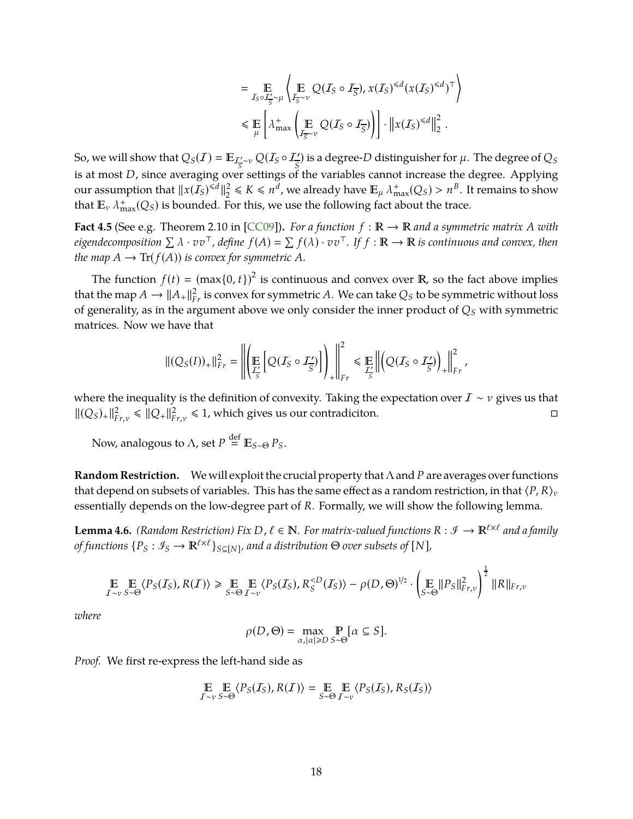$$
= \mathop{\mathbb{E}}_{I_S \circ I_S^{\prime} \sim \mu} \left\langle \mathop{\mathbb{E}}_{I_{\overline{S}} \sim \nu} Q(I_S \circ I_{\overline{S}}), x(I_S)^{\leq d} (x(I_S)^{\leq d})^\top \right\rangle
$$
  

$$
\leq \mathop{\mathbb{E}}_{\mu} \left[ \lambda^+_{\max} \left( \mathop{\mathbb{E}}_{I_{\overline{S}} \sim \nu} Q(I_S \circ I_{\overline{S}}) \right) \right] \cdot \left\| x(I_S)^{\leq d} \right\|_2^2.
$$

<span id="page-19-1"></span>So, we will show that  $Q_S(I) = \mathbb{E}_{\mathcal{I}'_{\overline{S}} \sim \nu} Q(I_S \circ I'_{\overline{S}})$  is a degree-*D* distinguisher for  $\mu$ . The degree of  $Q_S$ *S* is at most *D*, since averaging over settings of the variables cannot increase the degree. Applying our assumption that  $||x(I_S)^{\le d}||_2^2$  $2 \le K \le n^d$ , we already have  $\mathbb{E}_{\mu} \lambda_{\max}^+(Q_S) > n^B$ . It remains to show that  $\mathbb{E}_{\nu} \lambda_{\max}^+(Q_S)$  is bounded. For this, we use the following fact about the trace.

**Fact 4.5** (See e.g. Theorem 2.10 in [\[CC09\]](#page-38-1)). For a function  $f : \mathbb{R} \to \mathbb{R}$  and a symmetric matrix A with *eigendecomposition*  $\Sigma \lambda \cdot v v^{\top}$ , define  $f(A) = \Sigma f(\lambda) \cdot v v^{\top}$ . If  $f : \mathbb{R} \to \mathbb{R}$  is continuous and convex, then *the map*  $A \to \text{Tr}(f(A))$  *is convex for symmetric*  $A$ *.* 

The function  $f(t) = (\max\{0, t\})^2$  is continuous and convex over **R**, so the fact above implies that the map  $A \to ||A_+||^2_{Fr}$  is convex for symmetric  $A$ . We can take  $Q_S$  to be symmetric without loss of generality, as in the argument above we only consider the inner product of *Q<sup>S</sup>* with symmetric matrices. Now we have that

$$
\| (Q_S(I))_+\|_{Fr}^2 = \left\| \left( \mathop{\mathbb{E}}_{\frac{f'}{S}} \left[ Q(I_S \circ I_{\overline{S}}') \right] \right)_+ \right\|_{Fr}^2 \leq \mathop{\mathbb{E}}_{\frac{f'}{S}} \left\| \left( Q(I_S \circ I_{\overline{S}}') \right)_+ \right\|_{Fr}^2,
$$

where the inequality is the definition of convexity. Taking the expectation over  $I \sim v$  gives us that  $||(Q_S)_+||_F^2$  ${}_{F}^2 r, v \leq ||Q_+||_F^2$  $P_{F,r,v}^2 \leq 1$ , which gives us our contradiciton.

Now, analogous to  $\Lambda$ , set  $P \stackrel{\text{def}}{=} \mathbb{E}_{S \sim \Theta} P_S$ .

**Random Restriction.** We will exploit the crucial property that Λ and *P* are averages over functions that depend on subsets of variables. This has the same effect as a random restriction, in that  $\langle P, R \rangle$ <sub>*v*</sub> essentially depends on the low-degree part of *R*. Formally, we will show the following lemma.

<span id="page-19-0"></span>**Lemma 4.6.** *(Random Restriction) Fix D,*  $\ell \in \mathbb{N}$ *. For matrix-valued functions R* :  $\mathcal{I} \to \mathbb{R}^{\ell \times \ell}$  and a family *of functions*  $\{P_S : \mathscr{I}_S \to \mathbb{R}^{\ell \times \ell}\}_{S \subseteq [N]}$ , and a distribution  $\Theta$  *over subsets of*  $[N]$ ,

$$
\mathop{\mathbb{E}}_{I \sim v} \mathop{\mathbb{E}}_{S \sim \Theta} \langle P_S(I_S), R(I) \rangle \ge \mathop{\mathbb{E}}_{S \sim \Theta} \mathop{\mathbb{E}}_{I \sim v} \langle P_S(I_S), R_S^{
$$

*where*

$$
\rho(D,\Theta) = \max_{\alpha,|\alpha| \ge D} \Pr_{S \sim \Theta}[\alpha \subseteq S].
$$

*Proof.* We first re-express the left-hand side as

$$
\mathop{\mathbb{E}}_{I \sim v} \mathop{\mathbb{E}}_{S \sim \Theta} \langle P_S(I_S), R(I) \rangle = \mathop{\mathbb{E}}_{S \sim \Theta} \mathop{\mathbb{E}}_{I \sim v} \langle P_S(I_S), R_S(I_S) \rangle
$$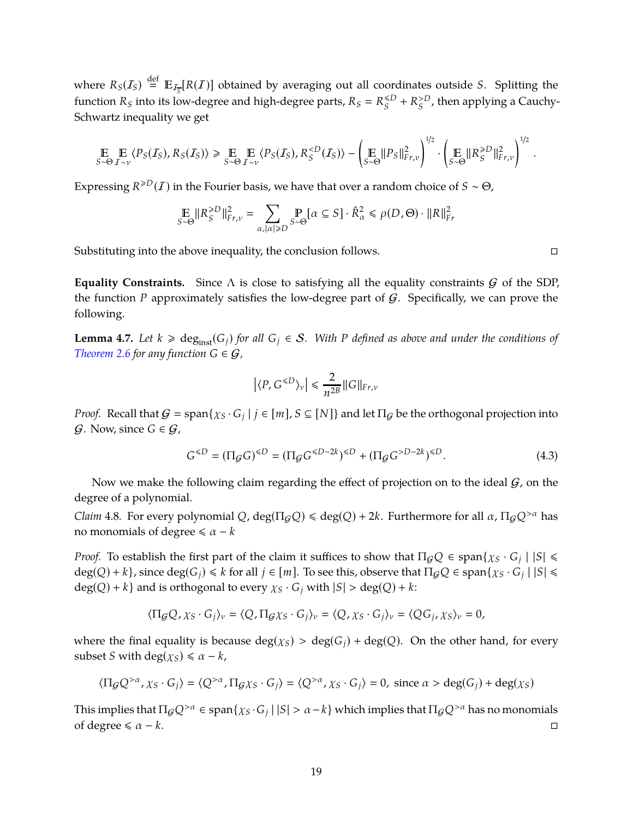where  $R_S(I_S) \stackrel{\text{def}}{=} \mathbb{E}_{I_{\overline{S}}}[R(I)]$  obtained by averaging out all coordinates outside *S*. Splitting the function  $R_S$  into its low-degree and high-degree parts,  $R_S = R_S^{\leq D}$  $S^{CD}$  +  $R_S^{>D}$  $S^D$ , then applying a Cauchy-Schwartz inequality we get

$$
\mathop{\mathbb{E}}_{S \sim \Theta} \mathop{\mathbb{E}}_{\mathcal{I} \sim \nu} \langle P_S(\mathcal{I}_S), R_S(\mathcal{I}_S) \rangle \geq \mathop{\mathbb{E}}_{S \sim \Theta} \mathop{\mathbb{E}}_{\mathcal{I} \sim \nu} \langle P_S(\mathcal{I}_S), R_S^{D}||_{F_{r,\nu}}^2 \right)^{1/2}.
$$

Expressing  $R^{\ge D}(I)$  in the Fourier basis, we have that over a random choice of  $S \sim \Theta$ ,

$$
\mathop{\mathbb{E}}_{S \sim \Theta} \| R_S^{ \ge D} \|_{Fr, \nu}^2 = \sum_{\alpha, |\alpha| \ge D} \mathop{\mathbb{P}}_{S \sim \Theta} \big[ \alpha \subseteq S \big] \cdot \hat{R}_\alpha^2 \le \rho(D, \Theta) \cdot \| R \|_{Fr}^2
$$

Substituting into the above inequality, the conclusion follows.

**Equality Constraints.** Since  $\Lambda$  is close to satisfying all the equality constraints  $G$  of the SDP, the function *P* approximately satisfies the low-degree part of  $G$ . Specifically, we can prove the following.

<span id="page-20-1"></span>**Lemma 4.7.** *Let*  $k \geq \text{deg}_{inst}(G_i)$  *for all*  $G_i \in S$ *.* With *P defined as above and under the conditions of [Theorem 2.6](#page-13-1) for any function*  $G \in \mathcal{G}$ ,

$$
\left| \langle P, G^{\leq D} \rangle_{\nu} \right| \leq \frac{2}{n^{2B}} \| G \|_{Fr, \nu}
$$

*Proof.* Recall that  $G = \text{span}\{ \chi_S \cdot G_j \mid j \in [m], S \subseteq [N] \}$  and let  $\Pi_G$  be the orthogonal projection into  $G$ . Now, since  $G \in \mathcal{G}$ ,

$$
G^{\leq D} = (\Pi_{\mathcal{G}} G)^{\leq D} = (\Pi_{\mathcal{G}} G^{\leq D-2k})^{\leq D} + (\Pi_{\mathcal{G}} G^{>D-2k})^{\leq D}.
$$
 (4.3)

Now we make the following claim regarding the effect of projection on to the ideal  $G$ , on the degree of a polynomial.

*Claim* 4.8. For every polynomial *Q*, deg( $\Pi$ <sub>*G*</sub>*Q*)  $\le$  deg(*Q*) + 2*k*. Furthermore for all  $\alpha$ ,  $\Pi$ <sub>*G</sub>Q*<sup>> $\alpha$ </sup> has</sub> no monomials of degree  $\le \alpha - k$ 

*Proof.* To establish the first part of the claim it suffices to show that  $\Pi_{G}Q \in \text{span}\{\chi_S \cdot G_j \mid |S| \leq \chi_S \cdot G_j\}$  $deg(Q) + k$ , since  $deg(G_j) \le k$  for all  $j \in [m]$ . To see this, observe that  $\Pi_{\mathcal{G}}Q \in span\{\chi_S \cdot G_j \mid |S| \le k\}$  $deg(Q) + k$  and is orthogonal to every  $\chi_S \cdot G_i$  with  $|S| > deg(Q) + k$ .

$$
\langle \Pi_{\mathcal{G}} Q, \chi_S \cdot G_j \rangle_v = \langle Q, \Pi_{\mathcal{G}} \chi_S \cdot G_j \rangle_v = \langle Q, \chi_S \cdot G_j \rangle_v = \langle Q G_j, \chi_S \rangle_v = 0,
$$

where the final equality is because  $deg(\chi_S) > deg(G_i) + deg(Q)$ . On the other hand, for every subset *S* with deg( $\chi_S$ )  $\le \alpha - k$ ,

$$
\langle \Pi_{\mathcal{G}} Q^{>\alpha}, \chi_S \cdot G_j \rangle = \langle Q^{>\alpha}, \Pi_{\mathcal{G}} \chi_S \cdot G_j \rangle = \langle Q^{>\alpha}, \chi_S \cdot G_j \rangle = 0, \text{ since } \alpha > \text{deg}(G_j) + \text{deg}(\chi_S)
$$

This implies that  $\Pi_G Q^{>\alpha} \in \text{span}\{\chi_S \cdot G_j \mid |S| > \alpha - k\}$  which implies that  $\Pi_G Q^{>\alpha}$  has no monomials of degree  $\le \alpha - k$ .  $□$ 

<span id="page-20-0"></span>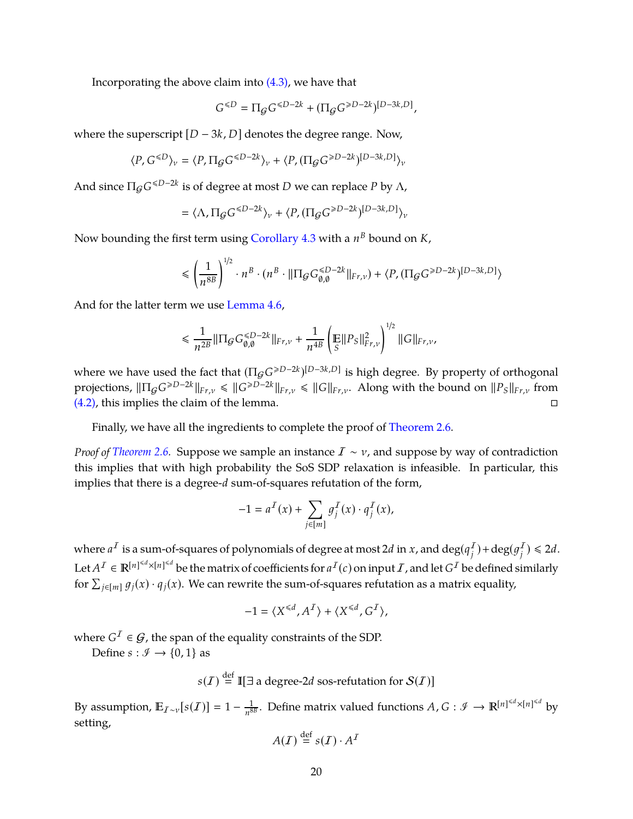Incorporating the above claim into  $(4.3)$ , we have that

$$
G^{\leq D}=\Pi_{\mathcal{G}}G^{\leq D-2k}+(\Pi_{\mathcal{G}}G^{\geq D-2k})^{[D-3k,D]},
$$

where the superscript  $[D − 3k, D]$  denotes the degree range. Now,

$$
\langle P, G^{\leq D} \rangle_v = \langle P, \Pi_{\mathcal{G}} G^{\leq D-2k} \rangle_v + \langle P, (\Pi_{\mathcal{G}} G^{\geq D-2k})^{[D-3k,D]} \rangle_v
$$

And since  $\Pi_{\mathcal{G}}G^{\leq D-2k}$  is of degree at most *D* we can replace *P* by  $\Lambda$ ,

$$
= \langle \Lambda, \Pi_{\mathcal{G}}G^{\leq D-2k} \rangle_{\nu} + \langle P, (\Pi_{\mathcal{G}}G^{\geq D-2k})^{[D-3k, D]} \rangle_{\nu}
$$

Now bounding the first term using [Corollary 4.3](#page-18-0) with a  $n^B$  bound on *K*,

$$
\leqslant \left(\frac{1}{n^{8B}}\right)^{1/2} \cdot n^B \cdot (n^B \cdot \|\Pi_{\mathcal{G}}G_{\emptyset,\emptyset}^{\leqslant D-2k}\|_{\mathsf{Fr},\nu}) + \langle P, (\Pi_{\mathcal{G}}G^{\geqslant D-2k})^{[D-3k,D]}\rangle
$$

And for the latter term we use [Lemma 4.6,](#page-19-0)

$$
\leq \frac{1}{n^{2B}} \|\Pi_{\mathcal{G}} G_{\emptyset,\emptyset}^{\leq D-2k}\|_{Fr,\nu} + \frac{1}{n^{4B}} \left(\mathbb{E} \|P_S\|_{Fr,\nu}^2\right)^{1/2} \|G\|_{Fr,\nu},
$$

where we have used the fact that  $(\Pi_{\mathcal{G}}G^{\ge D-2k})^{[D-3k,D]}$  is high degree. By property of orthogonal  $\text{projections, } \|\Pi_{\mathcal{G}}G^{\geq D-2k}\|_{Fr,\nu} \leq \|\overline{G}^{\geq D-2k}\|_{Fr,\nu} \leq \|\overline{G}\|_{Fr,\nu}$ . Along with the bound on  $\|P_S\|_{Fr,\nu}$  from [\(4.2\),](#page-18-1) this implies the claim of the lemma.

Finally, we have all the ingredients to complete the proof of [Theorem 2.6.](#page-13-1)

*Proof of [Theorem 2.6.](#page-13-1)* Suppose we sample an instance *I* ∼ ν, and suppose by way of contradiction this implies that with high probability the SoS SDP relaxation is infeasible. In particular, this implies that there is a degree-*d* sum-of-squares refutation of the form,

$$
-1 = a^{\mathcal{I}}(x) + \sum_{j \in [m]} g_j^{\mathcal{I}}(x) \cdot q_j^{\mathcal{I}}(x),
$$

where  $a^I$  is a sum-of-squares of polynomials of degree at most 2d in *x*, and  $\deg(q^I_j) + \deg(q^I_j) \leq 2d$ . Let  $A^I \in \mathbb{R}^{[n]^{&d} \times [n]^{&d}}$  be the matrix of coefficients for  $a^I(c)$  on input  $I$ , and let  $G^I$  be defined similarly for  $\sum_{j\in[m]}g_j(x)\cdot q_j(x)$ . We can rewrite the sum-of-squares refutation as a matrix equality,

$$
-1 = \langle X^{\leq d}, A^I \rangle + \langle X^{\leq d}, G^I \rangle,
$$

where  $G^I \in \mathcal{G}$ , the span of the equality constraints of the SDP.

Define  $s : \mathcal{I} \to \{0, 1\}$  as

$$
s(I) \stackrel{\text{def}}{=} \mathbb{I}[\exists \text{ a degree-2}d \text{ sos-refutation for } S(I)]
$$

By assumption,  $\mathbb{E}_{I\sim v}[s(I)] = 1 - \frac{1}{n^8}$  $\frac{1}{n^{8B}}$ . Define matrix valued functions  $A$ ,  $G : \mathscr{I} \to \mathbb{R}^{\lfloor n \rfloor \le d} \times \lfloor n \rfloor \le d$  by setting,

$$
A(\mathcal{I}) \stackrel{\text{def}}{=} s(\mathcal{I}) \cdot A^{\mathcal{I}}
$$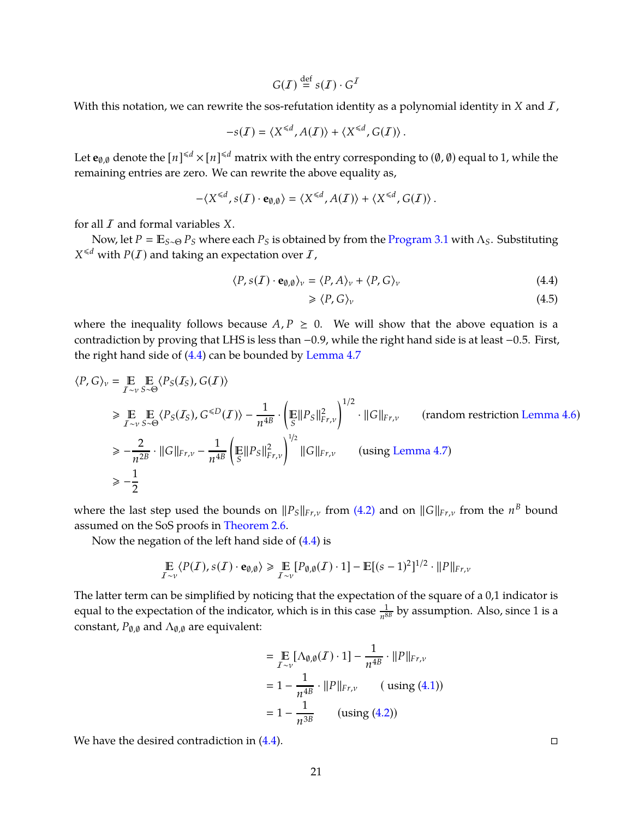$$
G(\mathcal{I}) \stackrel{\text{def}}{=} s(\mathcal{I}) \cdot G^{\mathcal{I}}
$$

With this notation, we can rewrite the sos-refutation identity as a polynomial identity in *X* and *I*,

$$
-s(\mathcal{I}) = \langle X^{\leq d}, A(\mathcal{I}) \rangle + \langle X^{\leq d}, G(\mathcal{I}) \rangle.
$$

Let  $e_{\emptyset,\emptyset}$  denote the  $[n]^{4d} \times [n]^{4d}$  matrix with the entry corresponding to  $(\emptyset,\emptyset)$  equal to 1, while the remaining entries are zero. We can rewrite the above equality as,

$$
-\langle X^{\leq d}, s(I) \cdot \mathbf{e}_{\emptyset, \emptyset} \rangle = \langle X^{\leq d}, A(I) \rangle + \langle X^{\leq d}, G(I) \rangle.
$$

for all I and formal variables *X*.

Now, let  $P = \mathbb{E}_{S \sim \Theta} P_S$  where each  $P_S$  is obtained by from the [Program 3.1](#page-14-5) with  $\Lambda_S$ . Substituting  $X^{\leq d}$  with  $P(I)$  and taking an expectation over  $I$ ,

$$
\langle P, s(\mathcal{I}) \cdot \mathbf{e}_{\emptyset, \emptyset} \rangle_{\nu} = \langle P, A \rangle_{\nu} + \langle P, G \rangle_{\nu}
$$
\n(4.4)

<span id="page-22-0"></span>
$$
\geqslant \langle P, G \rangle_{\nu} \tag{4.5}
$$

where the inequality follows because  $A, P \geq 0$ . We will show that the above equation is a contradiction by proving that LHS is less than −0.9, while the right hand side is at least −0.5. First, the right hand side of [\(4.4\)](#page-22-0) can be bounded by [Lemma 4.7](#page-20-1)

$$
\langle P, G \rangle_{v} = \underset{I \sim v}{{\mathbb{E}}} \underset{S \sim \Theta}{{\mathbb{E}}} \langle P_{S}(I_{S}), G(I) \rangle
$$
  
\n
$$
\geq \underset{I \sim v}{{\mathbb{E}}} \underset{S \sim \Theta}{{\mathbb{E}}} \langle P_{S}(I_{S}), G^{  
\n
$$
\geq -\frac{2}{n^{2B}} \cdot ||G||_{F_{r,v}} - \frac{1}{n^{4B}} \left( \underset{S}{\mathbb{E}} ||P_{S}||_{F_{r,v}}^{2} \right)^{1/2} ||G||_{F_{r,v}} \quad \text{(using Lemma 4.7)}
$$
  
\n
$$
\geq -\frac{1}{2}
$$
$$

where the last step used the bounds on  $||P_S||_{Fr,\nu}$  from [\(4.2\)](#page-18-1) and on  $||G||_{Fr,\nu}$  from the  $n^B$  bound assumed on the SoS proofs in [Theorem 2.6.](#page-13-1)

Now the negation of the left hand side of [\(4.4\)](#page-22-0) is

$$
\mathop{\mathbb{E}}_{I \sim \nu} \langle P(I), s(I) \cdot \mathbf{e}_{\emptyset, \emptyset} \rangle \ge \mathop{\mathbb{E}}_{I \sim \nu} [P_{\emptyset, \emptyset}(I) \cdot 1] - \mathop{\mathbb{E}}[(s-1)^2]^{1/2} \cdot ||P||_{Fr, \nu}
$$

The latter term can be simplified by noticing that the expectation of the square of a 0,1 indicator is equal to the expectation of the indicator, which is in this case  $\frac{1}{n^{8B}}$  by assumption. Also, since 1 is a constant,  $P_{\emptyset,\emptyset}$  and  $\Lambda_{\emptyset,\emptyset}$  are equivalent:

$$
= \mathop{\mathbb{E}}_{\mathcal{I} \sim \nu} [\Lambda_{\emptyset, \emptyset}(\mathcal{I}) \cdot 1] - \frac{1}{n^{4B}} \cdot ||P||_{\mathcal{F}, \nu}
$$
  
=  $1 - \frac{1}{n^{4B}} \cdot ||P||_{\mathcal{F}, \nu}$  (using (4.1))  
=  $1 - \frac{1}{n^{3B}}$  (using (4.2))

We have the desired contradiction in  $(4.4)$ .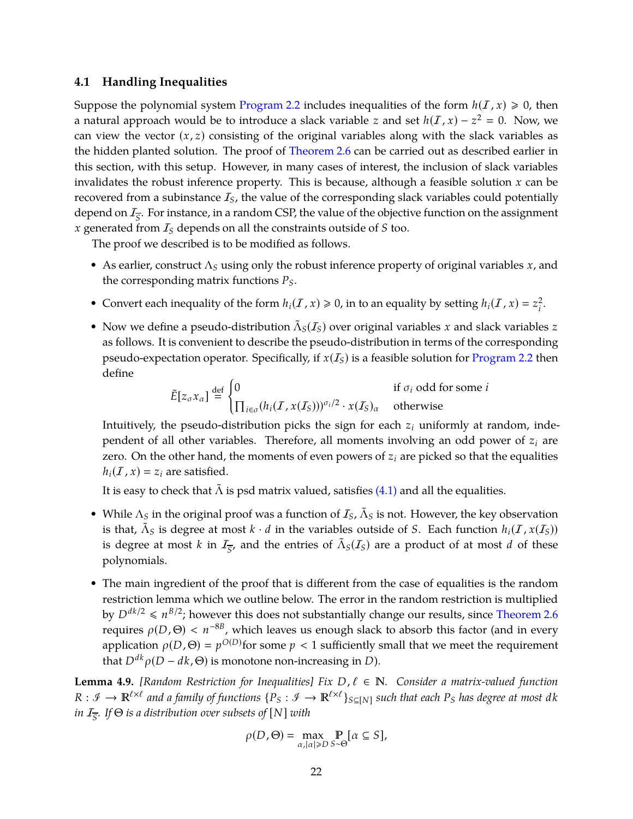#### <span id="page-23-0"></span>**4.1 Handling Inequalities**

Suppose the polynomial system [Program 2.2](#page-11-0) includes inequalities of the form  $h(I, x) \ge 0$ , then a natural approach would be to introduce a slack variable *z* and set  $h(\mathcal{I}, x) - z^2 = 0$ . Now, we can view the vector  $(x, z)$  consisting of the original variables along with the slack variables as the hidden planted solution. The proof of [Theorem 2.6](#page-13-1) can be carried out as described earlier in this section, with this setup. However, in many cases of interest, the inclusion of slack variables invalidates the robust inference property. This is because, although a feasible solution *x* can be recovered from a subinstance  $I<sub>S</sub>$ , the value of the corresponding slack variables could potentially depend on I*<sup>S</sup>* . For instance, in a random CSP, the value of the objective function on the assignment *x* generated from I*<sup>S</sup>* depends on all the constraints outside of *S* too.

The proof we described is to be modified as follows.

- As earlier, construct Λ*<sup>S</sup>* using only the robust inference property of original variables *x*, and the corresponding matrix functions *PS*.
- Convert each inequality of the form  $h_i(\mathcal{I}, x) \ge 0$ , in to an equality by setting  $h_i(\mathcal{I}, x) = z_i^2$ *i* .
- Now we define a pseudo-distribution  $\tilde{\Lambda}_S(I_S)$  over original variables *x* and slack variables *z* as follows. It is convenient to describe the pseudo-distribution in terms of the corresponding pseudo-expectation operator. Specifically, if  $x(I<sub>S</sub>)$  is a feasible solution for [Program 2.2](#page-11-0) then define

$$
\tilde{E}[z_{\sigma}x_{\alpha}] \stackrel{\text{def}}{=} \begin{cases}\n0 & \text{if } \sigma_i \text{ odd for some } i \\
\prod_{i \in \sigma} (h_i(\mathcal{I}, x(\mathcal{I}_S)))^{\sigma_i/2} \cdot x(\mathcal{I}_S)_{\alpha} & \text{otherwise}\n\end{cases}
$$

Intuitively, the pseudo-distribution picks the sign for each *z<sup>i</sup>* uniformly at random, independent of all other variables. Therefore, all moments involving an odd power of  $z_i$  are zero. On the other hand, the moments of even powers of  $z_i$  are picked so that the equalities  $h_i(I, x) = z_i$  are satisfied.

It is easy to check that  $\tilde{\Lambda}$  is psd matrix valued, satisfies [\(4.1\)](#page-17-2) and all the equalities.

- While  $\Lambda_S$  in the original proof was a function of  $\mathcal{I}_S$ ,  $\tilde{\Lambda}_S$  is not. However, the key observation is that,  $\tilde{\Lambda}_S$  is degree at most  $k \cdot d$  in the variables outside of *S*. Each function  $h_i(\mathcal{I}, x(\mathcal{I}_S))$ is degree at most *k* in  $I_{\overline{S}}$ , and the entries of  $\tilde{\Lambda}_S(I_S)$  are a product of at most *d* of these polynomials.
- The main ingredient of the proof that is different from the case of equalities is the random restriction lemma which we outline below. The error in the random restriction is multiplied by  $D^{dk/2} \leqslant n^{B/2}$ ; however this does not substantially change our results, since [Theorem 2.6](#page-13-1) requires  $ρ(D, Θ) < n^{-8B}$ , which leaves us enough slack to absorb this factor (and in every application  $\rho(D,\Theta) = p^{O(D)}$  for some  $p < 1$  sufficiently small that we meet the requirement that  $D^{dk} \rho(D - dk, \Theta)$  is monotone non-increasing in *D*).

**Lemma 4.9.** *[Random Restriction for Inequalities] Fix D,*  $\ell \in \mathbb{N}$ *. Consider a matrix-valued function*  $R:\mathscr{I}\to\mathbb{R}^{\ell\times\ell}$  and a family of functions  $\{P_S:\mathscr{I}\to\mathbb{R}^{\ell\times\ell}\}_{S\subseteq[N]}$  such that each  $P_S$  has degree at most dk *in* I*<sup>S</sup> . If* Θ *is a distribution over subsets of* [*N*] *with*

$$
\rho(D,\Theta) = \max_{\alpha,|\alpha| \ge D} \Pr_{S \sim \Theta} [\alpha \subseteq S],
$$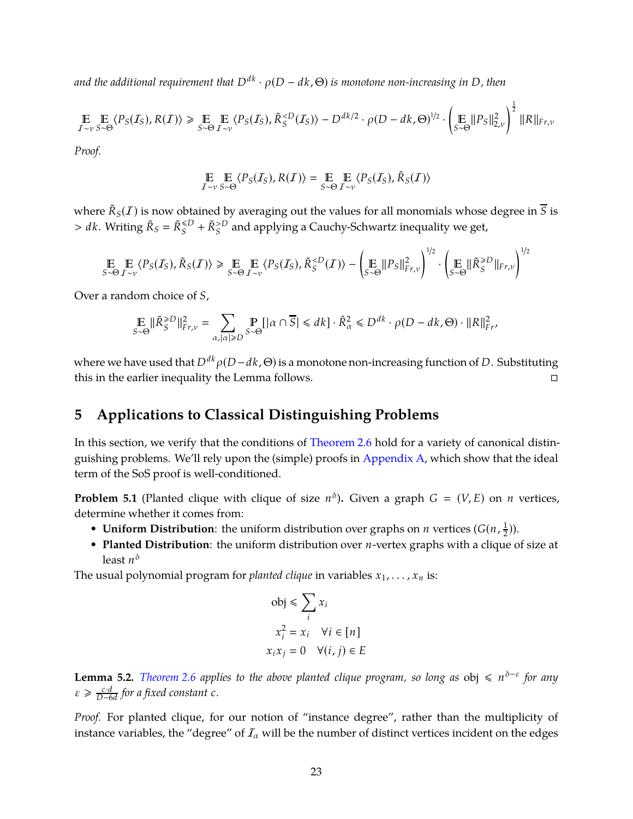*and the additional requirement that Ddk* · ρ(*D* − *dk*, Θ) *is monotone non-increasing in D, then*

$$
\mathop{\mathbb{E}}_{I \sim v} \mathop{\mathbb{E}}_{S \sim \Theta} \langle P_S(I_S), R(I) \rangle \ge \mathop{\mathbb{E}}_{S \sim \Theta} \mathop{\mathbb{E}}_{I \sim v} \langle P_S(I_S), \tilde{R}_S^{
$$

*Proof.*

$$
\mathop{\mathbb{E}}_{I \sim v} \mathop{\mathbb{E}}_{S \sim \Theta} \langle P_S(I_S), R(I) \rangle = \mathop{\mathbb{E}}_{S \sim \Theta} \mathop{\mathbb{E}}_{I \sim v} \langle P_S(I_S), \tilde{R}_S(I) \rangle
$$

where  $\tilde{R}_S(I)$  is now obtained by averaging out the values for all monomials whose degree in  $\overline{S}$  is  $> dk$ . Writing  $\tilde{R}_S = \tilde{R}_S^{\leq D} + \tilde{R}_S^{> D}$  and applying a Cauchy-Schwartz inequality we get,

$$
\mathop{\mathbb{E}}_{S \sim \Theta} \mathop{\mathbb{E}}_{\mathcal{I} \sim \nu} \langle P_S(\mathcal{I}_S), \tilde{R}_S(\mathcal{I}) \rangle \ge \mathop{\mathbb{E}}_{S \sim \Theta} \mathop{\mathbb{E}}_{\mathcal{I} \sim \nu} \langle P_S(\mathcal{I}_S), \tilde{R}_S^{D} \|_{Fr, \nu} \right)^{1/2}
$$

Over a random choice of *S*,

$$
\mathop{\mathbb{E}}_{S \sim \Theta} \|\tilde{R}_{S}^{\geq D}\|_{Fr,\nu}^{2} = \sum_{\alpha, |\alpha| \geq D} \mathop{\mathbb{P}}_{S \sim \Theta} [|\alpha \cap \overline{S}| \leq d k] \cdot \hat{R}_{\alpha}^{2} \leq D^{dk} \cdot \rho(D - dk, \Theta) \cdot \|R\|_{Fr}^{2},
$$

where we have used that  $D^{dk} \rho(D - dk, \Theta)$  is a monotone non-increasing function of *D*. Substituting this in the earlier inequality the Lemma follows.

# <span id="page-24-0"></span>**5 Applications to Classical Distinguishing Problems**

In this section, we verify that the conditions of [Theorem 2.6](#page-13-1) hold for a variety of canonical distinguishing problems. We'll rely upon the (simple) proofs in [Appendix A,](#page-41-0) which show that the ideal term of the SoS proof is well-conditioned.

**Problem 5.1** (Planted clique with clique of size  $n^{\delta}$ ). Given a graph  $G = (V, E)$  on *n* vertices, determine whether it comes from:

- **Uniform Distribution**: the uniform distribution over graphs on *n* vertices  $(G(n, \frac{1}{2}))$  $(\frac{1}{2})$ ).
- **Planted Distribution**: the uniform distribution over *n*-vertex graphs with a clique of size at least *n* δ

The usual polynomial program for *planted clique* in variables  $x_1, \ldots, x_n$  is:

$$
obj \le \sum_{i} x_{i}
$$

$$
x_{i}^{2} = x_{i} \quad \forall i \in [n]
$$

$$
x_{i}x_{j} = 0 \quad \forall (i, j) \in E
$$

<span id="page-24-1"></span>**Lemma 5.2.** *Theorem* 2.6 applies to the above planted clique program, so long as  $obj \text{ ≤ } n^{\delta-\varepsilon}$  for any  $\varepsilon \geqslant \frac{c \cdot d}{D - 6}$ *D*−6*d for a fixed constant c.*

*Proof.* For planted clique, for our notion of "instance degree", rather than the multiplicity of instance variables, the "degree" of  $I_\alpha$  will be the number of distinct vertices incident on the edges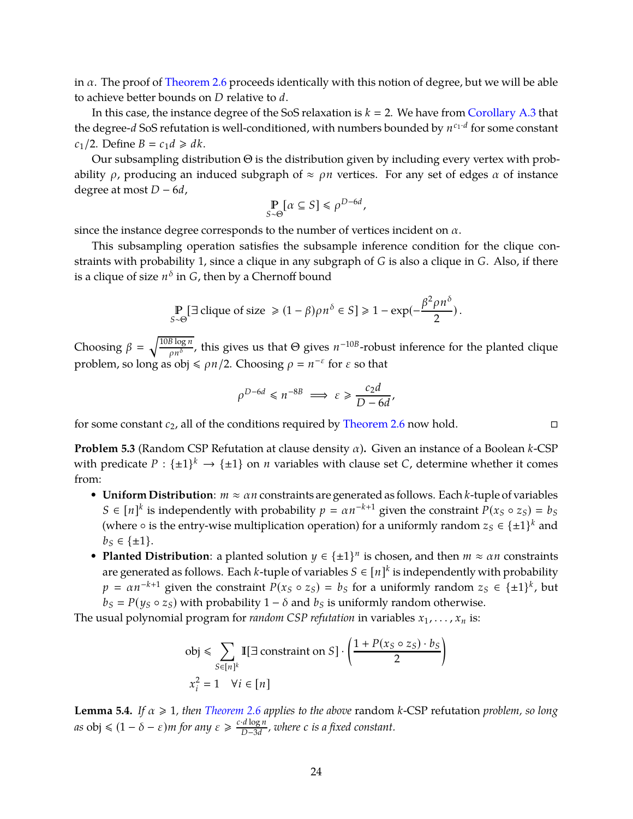in  $\alpha$ . The proof of [Theorem 2.6](#page-13-1) proceeds identically with this notion of degree, but we will be able to achieve better bounds on *D* relative to *d*.

In this case, the instance degree of the SoS relaxation is  $k = 2$ . We have from [Corollary A.3](#page-42-0) that the degree-*d* SoS refutation is well-conditioned, with numbers bounded by *n c*1·*d* for some constant  $c_1/2$ . Define  $B = c_1 d \geq d k$ .

Our subsampling distribution Θ is the distribution given by including every vertex with probability  $\rho$ , producing an induced subgraph of  $\approx \rho n$  vertices. For any set of edges  $\alpha$  of instance degree at most *D* − 6*d*,

$$
\mathop{\mathbb{P}}_{S \sim \Theta} [\alpha \subseteq S] \leq \rho^{D-6d},
$$

since the instance degree corresponds to the number of vertices incident on  $\alpha$ .

This subsampling operation satisfies the subsample inference condition for the clique constraints with probability 1, since a clique in any subgraph of *G* is also a clique in *G*. Also, if there is a clique of size  $n^{\delta}$  in  $G$ , then by a Chernoff bound

$$
\mathop{\mathbb{P}}_{S \sim \Theta} \left[ \exists \text{ clique of size } \geq (1 - \beta) \rho n^{\delta} \in S \right] \geq 1 - \exp(-\frac{\beta^2 \rho n^{\delta}}{2}).
$$

Choosing  $\beta = \sqrt{\frac{10B \log n}{\text{eV}}}$  $\frac{\beta \log n}{\rho n^{\delta}}$ , this gives us that  $\Theta$  gives  $n^{-10B}$ -robust inference for the planted clique problem, so long as  $obj \leq \rho n/2$ . Choosing  $\rho = n^{-\varepsilon}$  for  $\varepsilon$  so that

$$
\rho^{D-6d} \le n^{-8B} \implies \varepsilon \ge \frac{c_2 d}{D - 6d}
$$

,

for some constant  $c_2$ , all of the conditions required by [Theorem 2.6](#page-13-1) now hold.

**Problem 5.3** (Random CSP Refutation at clause density α)**.** Given an instance of a Boolean *k*-CSP with predicate  $P: {\pm 1}^k \to {\pm 1}$  on *n* variables with clause set *C*, determine whether it comes from:

- **Uniform Distribution**: *m* ≈ α*n* constraints are generated as follows. Each *k*-tuple of variables *S* ∈  $[n]^k$  is independently with probability *p* =  $\alpha n^{-k+1}$  given the constraint  $P(x_S \circ z_S) = b_S$ (where  $\circ$  is the entry-wise multiplication operation) for a uniformly random  $z_S \in {\pm 1}^k$  and *b*<sup>*S*</sup> ∈ {±1}.
- **Planted Distribution**: a planted solution  $y \in \{\pm 1\}^n$  is chosen, and then  $m \approx \alpha n$  constraints are generated as follows. Each *k*-tuple of variables  $S \in [n]^k$  is independently with probability  $p = \alpha n^{-k+1}$  given the constraint  $P(x_S \circ z_S) = b_S$  for a uniformly random  $z_S \in {\pm 1}^k$ , but  $b<sub>S</sub> = P(y<sub>S</sub> \circ z<sub>S</sub>)$  with probability 1 –  $\delta$  and  $b<sub>S</sub>$  is uniformly random otherwise.

The usual polynomial program for *random CSP refutation* in variables  $x_1, \ldots, x_n$  is:

$$
\text{obj} \leq \sum_{S \in [n]^k} \mathbb{I}[\exists \text{ constraint on } S] \cdot \left(\frac{1 + P(x_S \circ z_S) \cdot b_S}{2}\right)
$$
\n
$$
x_i^2 = 1 \quad \forall i \in [n]
$$

<span id="page-25-0"></span>**Lemma 5.4.** *If*  $\alpha \ge 1$ *, then [Theorem 2.6](#page-13-1) applies to the above* random *k*-CSP refutation *problem, so long*  $a$ *s* obj  $\leq (1 - \delta - \varepsilon)m$  *for any*  $\varepsilon \geq \frac{c \cdot d \log n}{D - 3d}$ *D*−3*d , where c is a fixed constant.*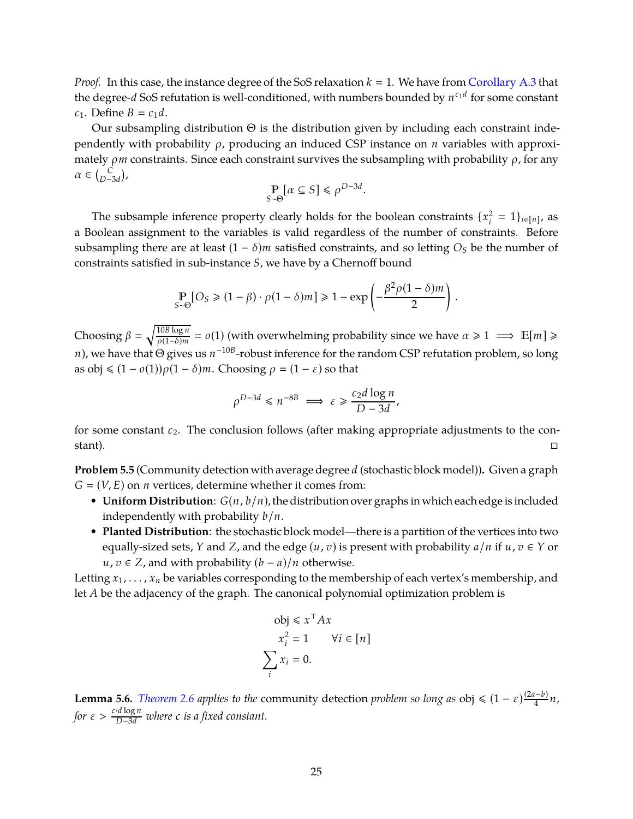*Proof.* In this case, the instance degree of the SoS relaxation  $k = 1$ . We have from [Corollary A.3](#page-42-0) that the degree-*d* SoS refutation is well-conditioned, with numbers bounded by *n c*1*d* for some constant *c*<sub>1</sub>. Define *B* = *c*<sub>1</sub>*d*.

Our subsampling distribution  $\Theta$  is the distribution given by including each constraint independently with probability ρ, producing an induced CSP instance on *n* variables with approximately  $\rho m$  constraints. Since each constraint survives the subsampling with probability  $\rho$ , for any  $\alpha \in {\binom{C}{D-3d}},$ 

$$
\mathop{\mathbb{P}}_{S \sim \Theta} [\alpha \subseteq S] \leq \rho^{D-3d}.
$$

The subsample inference property clearly holds for the boolean constraints  $\{x_i^2\}$  $i^2 = 1$ } $i \in [n]$ , as a Boolean assignment to the variables is valid regardless of the number of constraints. Before subsampling there are at least  $(1 - \delta)m$  satisfied constraints, and so letting  $O_S$  be the number of constraints satisfied in sub-instance *S*, we have by a Chernoff bound

$$
\Pr_{S \sim \Theta}[O_S \geq (1 - \beta) \cdot \rho (1 - \delta) m] \geq 1 - \exp\left(-\frac{\beta^2 \rho (1 - \delta) m}{2}\right).
$$

Choosing  $\beta = \sqrt{\frac{10B \log n}{o(1-\delta)m}}$  $\frac{10B \log n}{\rho(1-\delta)m} = o(1)$  (with overwhelming probability since we have  $\alpha \ge 1 \implies \mathbb{E}[m] \ge$ *n*), we have that Θ gives us  $n^{-10B}$ -robust inference for the random CSP refutation problem, so long as obj  $\leq (1 - o(1))\rho(1 - \delta)m$ . Choosing  $\rho = (1 - \varepsilon)$  so that

$$
\rho^{D-3d} \leq n^{-8B} \implies \varepsilon \geq \frac{c_2 d \log n}{D - 3d},
$$

for some constant *c*2. The conclusion follows (after making appropriate adjustments to the constant).  $\Box$ 

**Problem 5.5** (Community detection with average degree *d* (stochastic block model))**.** Given a graph  $G = (V, E)$  on *n* vertices, determine whether it comes from:

- **Uniform Distribution**: *G*(*n*, *b*/*n*), the distribution over graphs in which each edge is included independently with probability *b*/*n*.
- **Planted Distribution**: the stochastic block model—there is a partition of the vertices into two equally-sized sets, *Y* and *Z*, and the edge  $(u, v)$  is present with probability  $a/n$  if  $u, v \in Y$  or *u*, *v* ∈ *Z*, and with probability  $(b − a)/n$  otherwise.

Letting  $x_1, \ldots, x_n$  be variables corresponding to the membership of each vertex's membership, and let *A* be the adjacency of the graph. The canonical polynomial optimization problem is

$$
obj \leq x^{\top} Ax
$$
  

$$
x_i^2 = 1 \qquad \forall i \in [n]
$$
  

$$
\sum_i x_i = 0.
$$

<span id="page-26-0"></span>**Lemma 5.6.** *[Theorem 2.6](#page-13-1) applies to the community detection <i>problem so long as* obj  $\leq (1 - \varepsilon) \frac{(2a - b)}{4} n$ , *for*  $\varepsilon > \frac{c \cdot d \log n}{D - 3d}$  *where c is a fixed constant.*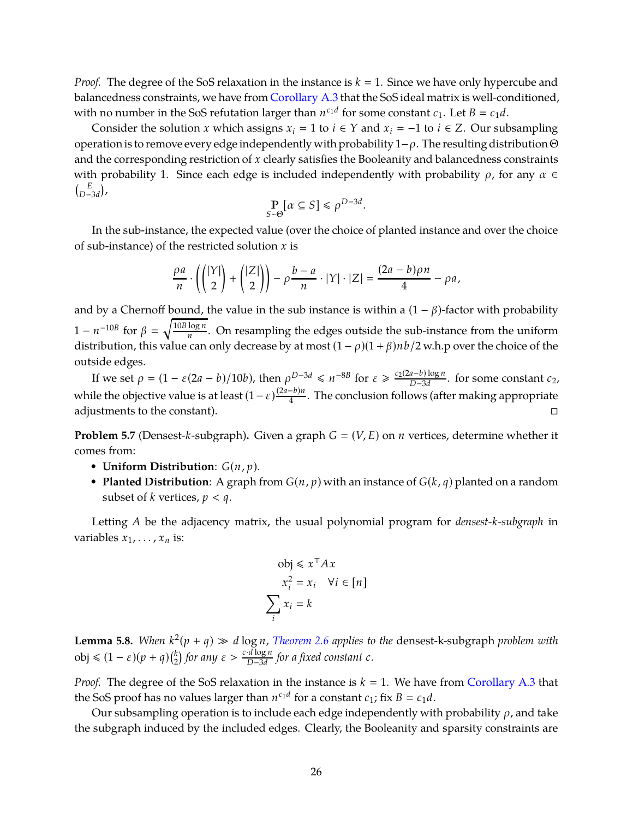*Proof.* The degree of the SoS relaxation in the instance is  $k = 1$ . Since we have only hypercube and balancedness constraints, we have from [Corollary A.3](#page-42-0) that the SoS ideal matrix is well-conditioned, with no number in the SoS refutation larger than  $n^{c_1d}$  for some constant  $c_1$ . Let  $B = c_1d$ .

Consider the solution *x* which assigns  $x_i = 1$  to  $i \in Y$  and  $x_i = -1$  to  $i \in Z$ . Our subsampling operation is to remove every edge independently with probability  $1-\rho$ . The resulting distribution  $\Theta$ and the corresponding restriction of *x* clearly satisfies the Booleanity and balancedness constraints with probability 1. Since each edge is included independently with probability  $\rho$ , for any  $\alpha \in$  $\int_{\mathcal{D}} E$  $_{D-3d}^{E}$ <sub>,</sub>

$$
\mathop{\mathbb{P}}_{S \sim \Theta} [\alpha \subseteq S] \leq \rho^{D-3d}.
$$

In the sub-instance, the expected value (over the choice of planted instance and over the choice of sub-instance) of the restricted solution *x* is

$$
\frac{\rho a}{n} \cdot \left( \binom{|Y|}{2} + \binom{|Z|}{2} \right) - \rho \frac{b-a}{n} \cdot |Y| \cdot |Z| = \frac{(2a-b)\rho n}{4} - \rho a,
$$

and by a Chernoff bound, the value in the sub instance is within a  $(1 - \beta)$ -factor with probability  $1 - n^{-10B}$  for  $\beta = \sqrt{\frac{10B \log n}{n}}$  $\frac{\log n}{n}$ . On resampling the edges outside the sub-instance from the uniform distribution, this value can only decrease by at most  $(1 - \rho)(1 + \beta)nb/2$  w.h.p over the choice of the outside edges.

If we set  $\rho = (1 - \varepsilon(2a - b)/10b)$ , then  $\rho^{D-3d} \le n^{-8B}$  for  $\varepsilon \ge \frac{c_2(2a - b)\log n}{D - 3d}$ *D*−3*d* . for some constant *c*2, while the objective value is at least  $(1 - \varepsilon) \frac{(2a - b)n}{4}$ . The conclusion follows (after making appropriate adjustments to the constant).

**Problem 5.7** (Densest-*k*-subgraph). Given a graph  $G = (V, E)$  on *n* vertices, determine whether it comes from:

- **Uniform Distribution**: *G*(*n*, *p*).
- **Planted Distribution**: A graph from  $G(n, p)$  with an instance of  $G(k, q)$  planted on a random subset of *k* vertices,  $p < q$ .

Letting *A* be the adjacency matrix, the usual polynomial program for *densest-k-subgraph* in variables  $x_1, \ldots, x_n$  is:

$$
obj \leq x^{\top} Ax
$$

$$
x_i^2 = x_i \quad \forall i \in [n]
$$

$$
\sum_i x_i = k
$$

<span id="page-27-0"></span>**Lemma 5.8.** When  $k^2(p+q) \gg d \log n$ , [Theorem 2.6](#page-13-1) applies to the densest-k-subgraph problem with  $\text{obj} \leq (1 - \varepsilon)(p + q) \binom{k}{2}$  $\binom{k}{2}$  for any  $\varepsilon > \frac{c \cdot d \log n}{D - 3d}$ *D*−3*d for a fixed constant c.*

*Proof.* The degree of the SoS relaxation in the instance is  $k = 1$ . We have from [Corollary A.3](#page-42-0) that the SoS proof has no values larger than  $n^{c_1d}$  for a constant  $c_1$ ; fix  $B = c_1d$ .

Our subsampling operation is to include each edge independently with probability  $\rho$ , and take the subgraph induced by the included edges. Clearly, the Booleanity and sparsity constraints are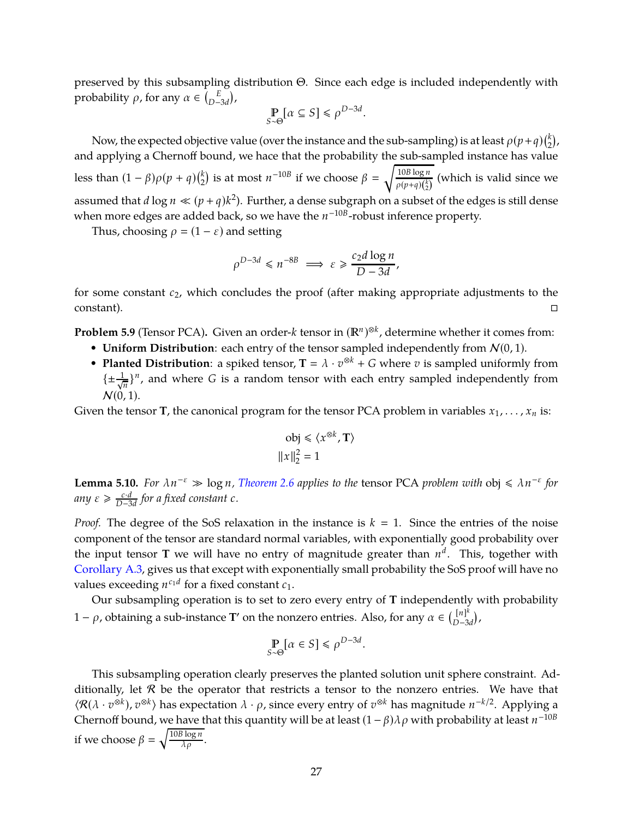preserved by this subsampling distribution Θ. Since each edge is included independently with probability  $\rho$ , for any  $\alpha \in \binom{E}{D}$  $_{D-3d}^{E}$ ),

$$
\mathop{\mathbb{P}}_{S \sim \Theta} [\alpha \subseteq S] \leq \rho^{D-3d}.
$$

Now, the expected objective value (over the instance and the sub-sampling) is at least  $\rho(p+q)\binom{k}{2}$  $_{2}^{k}),$ and applying a Chernoff bound, we hace that the probability the sub-sampled instance has value less than  $(1 - \beta)\rho(p + q)$  $\binom{k}{2}$  $\binom{k}{2}$  is at most  $n^{-10B}$  if we choose  $\beta = \sqrt{\frac{10B \log n}{\rho(p+q)\binom{k}{2}}}$  $\rho(p+q)$ <sup>(k</sup><sub>2</sub>)</sub> (which is valid since we assumed that *d* log  $n \ll (p+q)k^2$ ). Further, a dense subgraph on a subset of the edges is still dense when more edges are added back, so we have the *n* −10*B* -robust inference property.

Thus, choosing  $\rho = (1 - \varepsilon)$  and setting

$$
\rho^{D-3d} \leq n^{-8B} \implies \varepsilon \geq \frac{c_2 d \log n}{D - 3d},
$$

for some constant *c*2, which concludes the proof (after making appropriate adjustments to the  $\Box$ constant).  $\Box$ 

**Problem 5.9** (Tensor PCA). Given an order-*k* tensor in  $(\mathbb{R}^n)^{\otimes k}$ , determine whether it comes from:

- **Uniform Distribution**: each entry of the tensor sampled independently from  $N(0, 1)$ .
- **Planted Distribution**: a spiked tensor,  $T = \lambda \cdot v^{\otimes k} + G$  where *v* is sampled uniformly from  $\{\pm \frac{1}{\sqrt{n}}\}^n$ , and where *G* is a random tensor with each entry sampled independently from  $N(0, 1)$ .

Given the tensor **T**, the canonical program for the tensor PCA problem in variables  $x_1, \ldots, x_n$  is:

$$
obj \leq \langle x^{\otimes k}, \mathbf{T} \rangle
$$

$$
||x||_2^2 = 1
$$

<span id="page-28-0"></span>**Lemma 5.10.** *For*  $\lambda n^{-\epsilon} \gg \log n$ , *[Theorem 2.6](#page-13-1) applies to the tensor PCA problem with*  $\delta \phi \leq \lambda n^{-\epsilon}$  *for any* ε > *c*·*d D*−3*d for a fixed constant c.*

*Proof.* The degree of the SoS relaxation in the instance is  $k = 1$ . Since the entries of the noise component of the tensor are standard normal variables, with exponentially good probability over the input tensor **T** we will have no entry of magnitude greater than  $n^d$ . This, together with [Corollary A.3,](#page-42-0) gives us that except with exponentially small probability the SoS proof will have no values exceeding  $n^{c_1d}$  for a fixed constant  $c_1$ .

Our subsampling operation is to set to zero every entry of **T** independently with probability 1 − *ρ*, obtaining a sub-instance **T**' on the nonzero entries. Also, for any  $\alpha \in \binom{[n]^k}{D-3}$ *D*−3*d* ,

$$
\mathop{\mathbb{P}}_{S \sim \Theta} [\alpha \in S] \leq \rho^{D-3d}.
$$

This subsampling operation clearly preserves the planted solution unit sphere constraint. Additionally, let  $R$  be the operator that restricts a tensor to the nonzero entries. We have that  $\langle \mathcal{R}(\lambda \cdot v^{\otimes k}), v^{\otimes k} \rangle$  has expectation  $\lambda \cdot \rho$ , since every entry of  $v^{\otimes k}$  has magnitude *n*<sup>-*k*/2</sup>. Applying a Chernoff bound, w<u>e have t</u>hat this quantity will be at least  $(1 - \beta)\lambda\rho$  with probability at least  $n^{-10B}$ if we choose  $\beta = \sqrt{\frac{10B \log n}{\lambda \rho}}$ .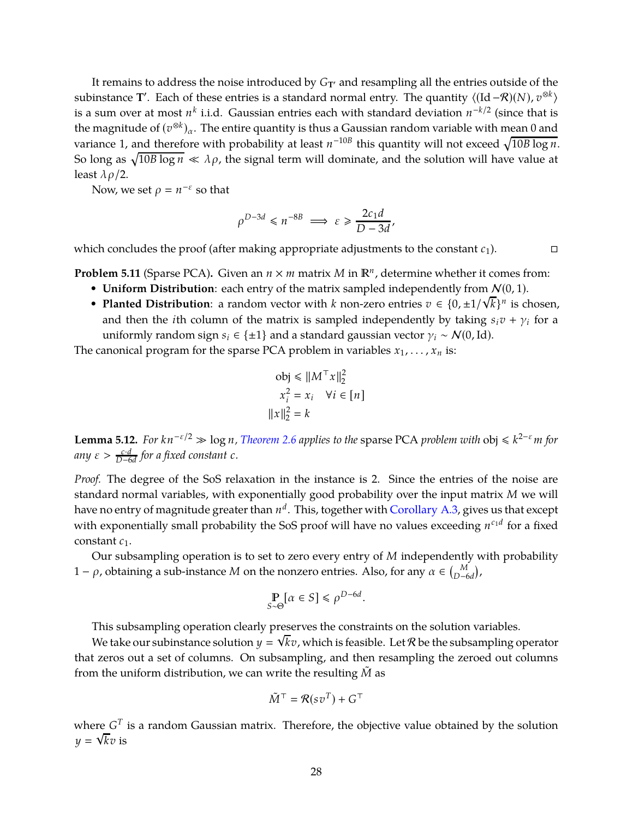It remains to address the noise introduced by  $G_T$ <sup> $\alpha$ </sup> and resampling all the entries outside of the subinstance **T**'. Each of these entries is a standard normal entry. The quantity  $\langle (Id - \mathcal{R})(N), v^{\otimes k} \rangle$ is a sum over at most  $n^k$  i.i.d. Gaussian entries each with standard deviation  $n^{-k/2}$  (since that is the magnitude of  $(v^{\otimes k})_\alpha$ . The entire quantity is thus a Gaussian random variable with mean 0 and variance 1, and therefore with probability at least  $n^{-10B}$  this quantity will not exceed  $\sqrt{10B \log n}$ . So long as  $\sqrt{10B\log n} \ll \lambda \rho$ , the signal term will dominate, and the solution will have value at least  $\lambda \rho/2$ .

Now, we set  $\rho = n^{-\varepsilon}$  so that

$$
\rho^{D-3d} \leq n^{-8B} \implies \varepsilon \geq \frac{2c_1d}{D-3d},
$$

which concludes the proof (after making appropriate adjustments to the constant  $c_1$ ).

**Problem 5.11** (Sparse PCA). Given an  $n \times m$  matrix  $M$  in  $\mathbb{R}^n$ , determine whether it comes from:

- **Uniform Distribution**: each entry of the matrix sampled independently from  $N(0, 1)$ .
- **Planted Distribution**: a random vector with *k* non-zero entries  $v \in \{0, \pm 1/\sqrt{k}\}^n$  is chosen, and then the *i*th column of the matrix is sampled independently by taking  $s_i v + \gamma_i$  for a uniformly random sign  $s_i \in \{\pm 1\}$  and a standard gaussian vector  $\gamma_i \sim \mathcal{N}(0, \text{Id})$ .

The canonical program for the sparse PCA problem in variables  $x_1, \ldots, x_n$  is:

$$
obj \le ||M^{\top}x||_2^2
$$
  

$$
x_i^2 = x_i \quad \forall i \in [n]
$$
  

$$
||x||_2^2 = k
$$

<span id="page-29-0"></span>**Lemma 5.12.** *For*  $kn^{-\epsilon/2} \gg \log n$ , *[Theorem 2.6](#page-13-1) applies to the* sparse PCA *problem with*  $obj \leq k^{2-\epsilon}m$  *for*  $any \varepsilon > \frac{c \cdot d}{D - 6d}$  for a fixed constant  $c$ .

*Proof.* The degree of the SoS relaxation in the instance is 2. Since the entries of the noise are standard normal variables, with exponentially good probability over the input matrix *M* we will have no entry of magnitude greater than *n d* . This, together with [Corollary A.3,](#page-42-0) gives us that except with exponentially small probability the SoS proof will have no values exceeding  $n^{c_1d}$  for a fixed constant *c*1.

Our subsampling operation is to set to zero every entry of *M* independently with probability 1 − *ρ*, obtaining a sub-instance *M* on the nonzero entries. Also, for any *α* ∈  $\binom{M}{D-6d}$ ,

$$
\mathop{\mathbb{P}}_{S \sim \Theta} [\alpha \in S] \leq \rho^{D-6d}.
$$

This subsampling operation clearly preserves the constraints on the solution variables.

We take our subinstance solution  $y = \sqrt{k}v$ , which is feasible. Let R be the subsampling operator that zeros out a set of columns. On subsampling, and then resampling the zeroed out columns from the uniform distribution, we can write the resulting  $\tilde{M}$  as

$$
\tilde{M}^{\top} = \mathcal{R}(sv^T) + G^{\top}
$$

where  $G^T$  is a random Gaussian matrix. Therefore, the objective value obtained by the solution  $y = \sqrt{k}v$  is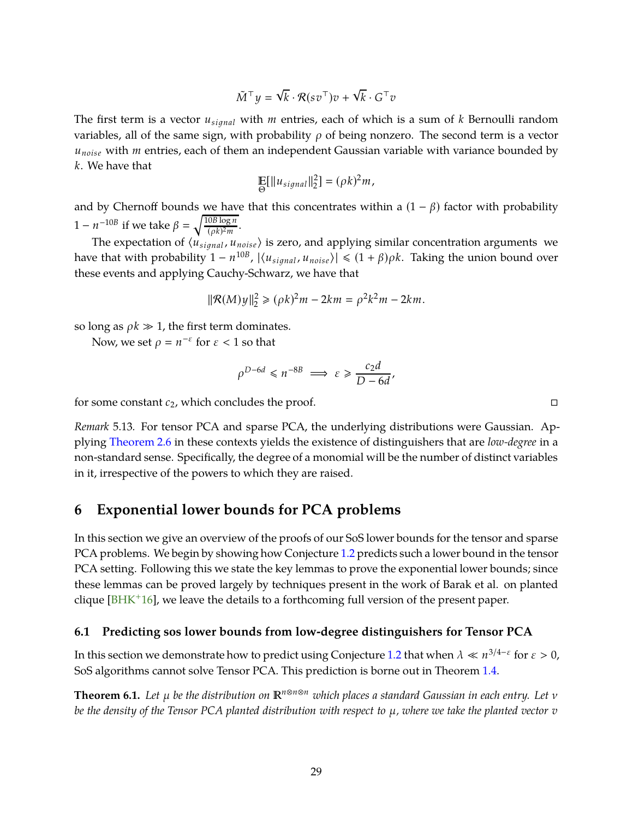$$
\tilde{M}^\top y = \sqrt{k} \cdot \mathcal{R}(s v^\top) v + \sqrt{k} \cdot G^\top v
$$

<span id="page-30-2"></span>The first term is a vector  $u_{signal}$  with *m* entries, each of which is a sum of *k* Bernoulli random variables, all of the same sign, with probability  $\rho$  of being nonzero. The second term is a vector *unoise* with *m* entries, each of them an independent Gaussian variable with variance bounded by *k*. We have that

$$
\mathop{\mathbb{E}}_{\Theta}[\|u_{signal}\|_2^2] = (\rho k)^2 m,
$$

and by Chernoff bounds we have that this concentrates within a  $(1 - \beta)$  factor with probability  $1 - n^{-10B}$  if we take  $\beta = \sqrt{\frac{10B \log n}{(\rho k)^2 m}}$  $\frac{\frac{6b \log n}{(pk)^2 m}}{2m}$ .

The expectation of  $\langle u_{signal} , u_{noise} \rangle$  is zero, and applying similar concentration arguments we have that with probability  $1 - n^{10B}$ ,  $|\langle u_{signal}, u_{noise} \rangle| \leq (1 + \beta)\rho k$ . Taking the union bound over these events and applying Cauchy-Schwarz, we have that

$$
\|\mathcal{R}(M)y\|_{2}^{2} \ge (\rho k)^{2}m - 2km = \rho^{2}k^{2}m - 2km.
$$

so long as  $\rho k \gg 1$ , the first term dominates.

Now, we set  $\rho = n^{-\varepsilon}$  for  $\varepsilon < 1$  so that

$$
\rho^{D-6d} \leq n^{-8B} \implies \varepsilon \geq \frac{c_2 d}{D - 6d}
$$

,

for some constant *c*2, which concludes the proof.

*Remark* 5.13*.* For tensor PCA and sparse PCA, the underlying distributions were Gaussian. Applying [Theorem 2.6](#page-13-1) in these contexts yields the existence of distinguishers that are *low-degree* in a non-standard sense. Specifically, the degree of a monomial will be the number of distinct variables in it, irrespective of the powers to which they are raised.

# <span id="page-30-0"></span>**6 Exponential lower bounds for PCA problems**

In this section we give an overview of the proofs of our SoS lower bounds for the tensor and sparse PCA problems. We begin by showing how Conjecture [1.2](#page-6-1) predicts such a lower bound in the tensor PCA setting. Following this we state the key lemmas to prove the exponential lower bounds; since these lemmas can be proved largely by techniques present in the work of Barak et al. on planted clique  $[BHK^+16]$ , we leave the details to a forthcoming full version of the present paper.

### <span id="page-30-1"></span>**6.1 Predicting sos lower bounds from low-degree distinguishers for Tensor PCA**

In this section we demonstrate how to predict using Conjecture [1.2](#page-6-1) that when  $\lambda \ll n^{3/4-\epsilon}$  for  $\epsilon > 0$ , SoS algorithms cannot solve Tensor PCA. This prediction is borne out in Theorem [1.4.](#page-7-1)

**Theorem 6.1.** *Let* μ *be the distribution on*  $\mathbb{R}^{n⊗n⊗n}$  *which places a standard Gaussian in each entry. Let* ν *be the density of the Tensor PCA planted distribution with respect to* µ*, where we take the planted vector v*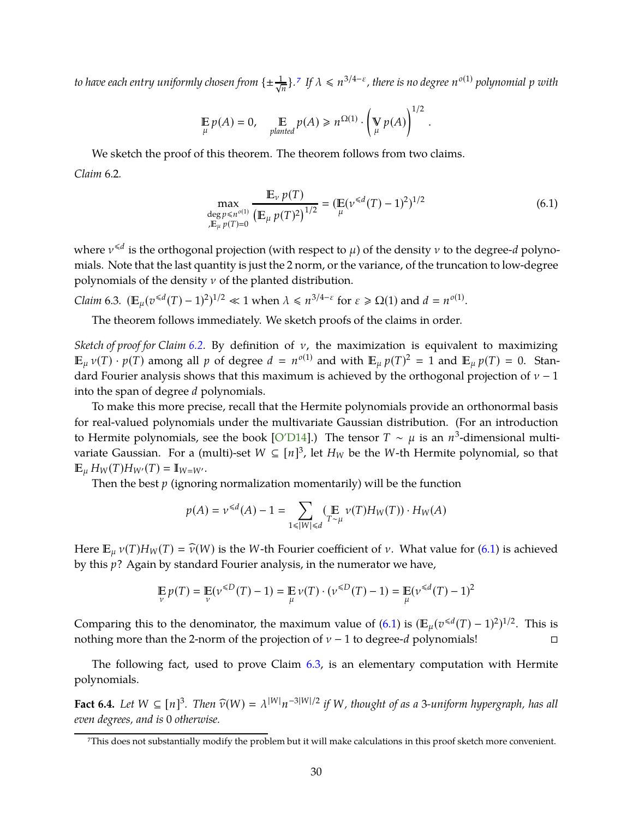<span id="page-31-4"></span> $t$ o have each entry uniformly chosen from  $\{\pm\frac{1}{\sqrt{n}}\}$ .<sup>[7](#page-31-0)</sup> If  $\lambda \leqslant n^{3/4-\varepsilon}$ , there is no degree  $n^{o(1)}$  polynomial  $p$  with

$$
\mathop{\mathbb{E}}_{\mu} p(A) = 0, \quad \mathop{\mathbb{E}}_{\text{planted}} p(A) \geq n^{\Omega(1)} \cdot \left(\mathop{\mathbb{V}}_{\mu} p(A)\right)^{1/2}.
$$

<span id="page-31-1"></span>We sketch the proof of this theorem. The theorem follows from two claims. *Claim* 6.2*.*

<span id="page-31-2"></span>
$$
\max_{\substack{\text{deg }p \leqslant n^{o(1)} \\ J \in \mu}} \frac{\mathbb{E}_{\nu} p(T)}{\left(\mathbb{E}_{\mu} p(T)^2\right)^{1/2}} = \left(\mathbb{E}(\nu^{\leqslant d}(T) - 1)^2\right)^{1/2} \tag{6.1}
$$

where ν 6*d* is the orthogonal projection (with respect to µ) of the density ν to the degree-*d* polynomials. Note that the last quantity is just the 2 norm, or the variance, of the truncation to low-degree polynomials of the density  $\nu$  of the planted distribution.

<span id="page-31-3"></span>*Claim* 6.3.  $(\mathbb{E}_{\mu}(v^{\le d}(T) - 1)^2)^{1/2} \ll 1$  when  $\lambda \le n^{3/4-\varepsilon}$  for  $\varepsilon \ge \Omega(1)$  and  $d = n^{o(1)}$ .

The theorem follows immediately. We sketch proofs of the claims in order.

*Sketch of proof for Claim [6.2.](#page-31-1)* By definition of ν, the maximization is equivalent to maximizing  $\mathbb{E}_{\mu} \nu(T) \cdot p(T)$  among all  $p$  of degree  $d = n^{o(1)}$  and with  $\mathbb{E}_{\mu} p(T)^2 = 1$  and  $\mathbb{E}_{\mu} p(T) = 0$ . Standard Fourier analysis shows that this maximum is achieved by the orthogonal projection of  $v - 1$ into the span of degree *d* polynomials.

To make this more precise, recall that the Hermite polynomials provide an orthonormal basis for real-valued polynomials under the multivariate Gaussian distribution. (For an introduction to Hermite polynomials, see the book [O'D14].) The tensor  $T \sim \mu$  is an  $n^3$ -dimensional multivariate Gaussian. For a (multi)-set  $W \subseteq [n]^3$ , let  $H_W$  be the W-th Hermite polynomial, so that  $\mathbb{E}_{\mu} H_W(T) H_{W'}(T) = \mathbb{I}_{W=W'}.$ 

Then the best *p* (ignoring normalization momentarily) will be the function

$$
p(A) = \nu^{\le d}(A) - 1 = \sum_{1 \le |W| \le d} (\mathop{\mathbb{E}}_{T \sim \mu} \nu(T) H_W(T)) \cdot H_W(A)
$$

Here  $\mathbb{E}_{\mu} v(T)H_W(T) = \widehat{v}(W)$  is the *W*-th Fourier coefficient of *v*. What value for [\(6.1\)](#page-31-2) is achieved by this *p*? Again by standard Fourier analysis, in the numerator we have,

$$
\mathop{\mathbb{E}}_{\nu} p(T) = \mathop{\mathbb{E}}_{\nu} (\nu^{\leq D} (T) - 1) = \mathop{\mathbb{E}}_{\mu} \nu(T) \cdot (\nu^{\leq D} (T) - 1) = \mathop{\mathbb{E}}_{\mu} (\nu^{\leq d} (T) - 1)^2
$$

Comparing this to the denominator, the maximum value of  $(6.1)$  is  $(\mathbb{E}_{\mu}(v^{\le d}(T)-1)^2)^{1/2}$ . This is nothing more than the 2-norm of the projection of ν − 1 to degree-*d* polynomials!

The following fact, used to prove Claim [6.3,](#page-31-3) is an elementary computation with Hermite polynomials.

**Fact 6.4.** Let  $W \subseteq [n]^3$ . Then  $\widehat{v}(W) = \lambda^{|W|} n^{-3|W|/2}$  if W, thought of as a 3-uniform hypergraph, has all *even degrees, and is* 0 *otherwise.*

<span id="page-31-0"></span><sup>7</sup>This does not substantially modify the problem but it will make calculations in this proof sketch more convenient.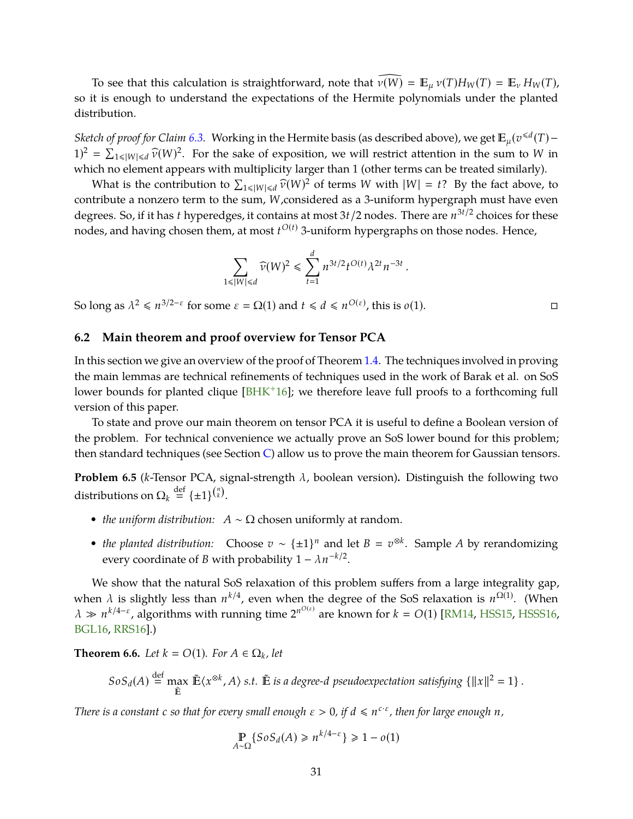<span id="page-32-2"></span>To see that this calculation is straightforward, note that  $\widehat{\nu(W)} = \mathbb{E}_{\mu} \nu(T) H_W(T) = \mathbb{E}_{\nu} H_W(T)$ , so it is enough to understand the expectations of the Hermite polynomials under the planted distribution.

*Sketch of proof for Claim [6.3.](#page-31-3)* Working in the Hermite basis (as described above), we get  $\mathbb{E}_{\mu}(v^{\le d}(T) 1)^2 = \sum_{1 \le |W| \le d} \widehat{v}(W)^2$ . For the sake of exposition, we will restrict attention in the sum to *W* in which no element appears with multiplicity larger than 1 (other terms can be treated similarly).

What is the contribution to  $\sum_{1 \le |W| \le d} \widehat{\nu}(W)^2$  of terms *W* with  $|W| = t$ ? By the fact above, to contribute a nonzero term to the sum, *W*,considered as a 3-uniform hypergraph must have even degrees. So, if it has *t* hyperedges, it contains at most 3*t*/2 nodes. There are  $n^{3t/2}$  choices for these nodes, and having chosen them, at most *t <sup>O</sup>*(*t*) 3-uniform hypergraphs on those nodes. Hence,

$$
\sum_{1 \le |W| \le d} \widehat{\nu}(W)^2 \le \sum_{t=1}^d n^{3t/2} t^{O(t)} \lambda^{2t} n^{-3t}.
$$

So long as  $\lambda^2 \le n^{3/2-\epsilon}$  for some  $\epsilon = \Omega(1)$  and  $t \le d \le n^{O(\epsilon)}$ , this is  $o(1)$ .

## <span id="page-32-0"></span>**6.2 Main theorem and proof overview for Tensor PCA**

In this section we give an overview of the proof of Theorem [1.4.](#page-7-1) The techniques involved in proving the main lemmas are technical refinements of techniques used in the work of Barak et al. on SoS lower bounds for planted clique [BHK<sup>+</sup>16]; we therefore leave full proofs to a forthcoming full version of this paper.

To state and prove our main theorem on tensor PCA it is useful to define a Boolean version of the problem. For technical convenience we actually prove an SoS lower bound for this problem; then standard techniques (see Section  $C$ ) allow us to prove the main theorem for Gaussian tensors.

**Problem 6.5** (*k*-Tensor PCA, signal-strength λ, boolean version)**.** Distinguish the following two distributions on  $\Omega_k \stackrel{\text{def}}{=} {\{\pm 1\}}^{{n \choose k}}$ .

- *the uniform distribution:*  $A \sim \Omega$  chosen uniformly at random.
- *the planted distribution:* Choose  $v \sim {\pm 1}^n$  and let  $B = v^{\otimes k}$ . Sample *A* by rerandomizing every coordinate of *B* with probability  $1 - \lambda n^{-k/2}$ .

We show that the natural SoS relaxation of this problem suffers from a large integrality gap, when  $\lambda$  is slightly less than  $n^{k/4}$ , even when the degree of the SoS relaxation is  $n^{\Omega(1)}$ . (When  $\lambda \gg n^{k/4-\epsilon}$ , algorithms with running time  $2^{n^{O(\epsilon)}}$  are known for  $k = O(1)$  [RM14, HSS15, HSSS16, BGL16, RRS16].)

<span id="page-32-1"></span>**Theorem 6.6.** *Let*  $k = O(1)$ *. For*  $A \in \Omega_k$ *, let* 

$$
SoS_d(A) \stackrel{\text{def}}{=} \max_{\tilde{\mathbb{E}}} \tilde{\mathbb{E}} \langle x^{\otimes k}, A \rangle \text{ s.t. } \tilde{\mathbb{E}} \text{ is a degree-}d \text{ pseudocxpectation satisfying } \{ ||x||^2 = 1 \}.
$$

*There is a constant c so that for every small enough*  $\varepsilon > 0$ , *if*  $d \leq n^{c \cdot \varepsilon}$ , then for large enough *n*,

$$
\mathbb{P}_{A \sim \Omega} \{ SoS_d(A) \ge n^{k/4 - \varepsilon} \} \ge 1 - o(1)
$$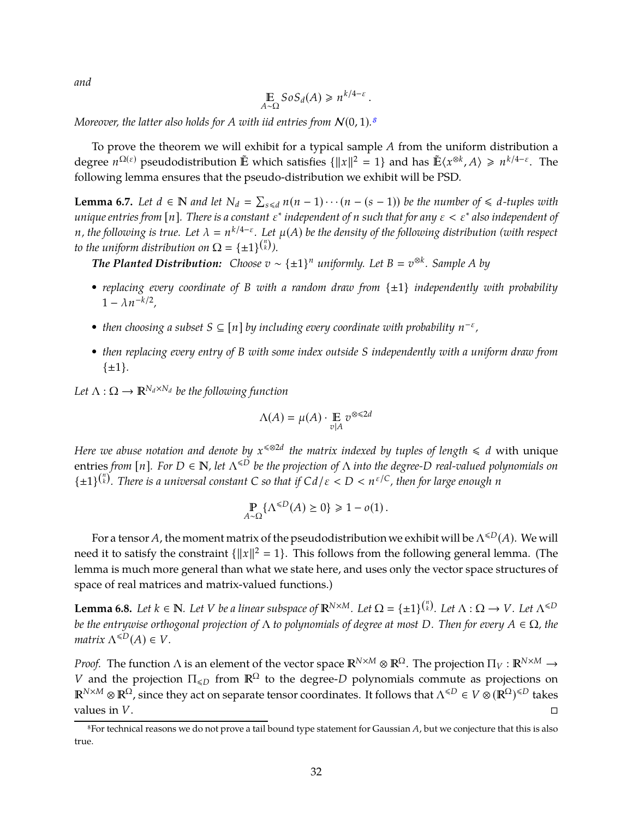*and*

$$
\mathop{\mathbb{E}}_{A \sim \Omega} \text{SoS}_d(A) \geq n^{k/4 - \varepsilon}.
$$

*Moreover, the latter also holds for A with iid entries from*  $N(0, 1)$ .<sup>[8](#page-33-0)</sup>

To prove the theorem we will exhibit for a typical sample *A* from the uniform distribution a degree  $n^{\Omega(\varepsilon)}$  pseudodistribution  $\tilde{E}$  which satisfies  $\{\|x\|^2 = 1\}$  and has  $\tilde{E}\langle x^{\otimes k}, A \rangle \geq n^{k/4-\varepsilon}$ . The following lemma ensures that the pseudo-distribution we exhibit will be PSD.

<span id="page-33-1"></span>**Lemma 6.7.** *Let d* ∈ **N** *and let*  $N_d = \sum_{s \le d} n(n - 1) \cdots (n - (s - 1))$  *be the number of* ≤ *d*-tuples with *unique entries from* [*n*]*. There is a constant* ε ∗ *independent of n such that for any* ε < ε∗ *also independent of n*, the following is true. Let  $\lambda = n^{k/4-\epsilon}$ . Let  $\mu(A)$  be the density of the following distribution (with respect *to the uniform distribution on*  $\Omega = {\pm 1}^{\binom{n}{k}}$ .

*<i>The Planted Distribution:* Choose  $v \sim {\pm 1}^n$  *uniformly. Let*  $B = v^{\otimes k}$ *. Sample* A *by* 

- *• replacing every coordinate of <sup>B</sup> with a random draw from* {±1} *independently with probability*  $1 - \lambda n^{-k/2}$ ,
- then choosing a subset  $S \subseteq [n]$  by including every coordinate with probability  $n^{-\varepsilon}$ ,
- *• then replacing every entry of B with some index outside S independently with a uniform draw from* {±1}*.*

*Let*  $\Lambda: \Omega \to \mathbb{R}^{N_d \times N_d}$  *be the following function* 

$$
\Lambda(A) = \mu(A) \cdot \mathop{\mathbb{E}}_{v|A} v^{\otimes \leq 2d}
$$

*Here we abuse notation and denote by*  $x^{\leq 2d}$  *the matrix indexed by tuples of length*  $\leq d$  with unique entries *from* [*n*]. For  $D \in \mathbb{N}$ , let  $\Lambda^{\leq D}$  be the projection of  $\Lambda$  into the degree- $D$  real-valued polynomials on  $\{ \pm 1 \}^{n \choose k}$ . There is a universal constant C so that if  $Cd/\varepsilon < D < n^{\varepsilon/C}$ , then for large enough n

$$
\mathop{\mathbb{P}}_{A \sim \Omega} \{ \Lambda^{\leq D}(A) \geq 0 \} \geq 1 - o(1).
$$

For a tensor *A*, the moment matrix of the pseudodistribution we exhibit will be  $\Lambda^{\leq D}(A)$ . We will need it to satisfy the constraint  $\{||x||^2 = 1\}$ . This follows from the following general lemma. (The lemma is much more general than what we state here, and uses only the vector space structures of space of real matrices and matrix-valued functions.)

<span id="page-33-2"></span>**Lemma 6.8.** Let  $k \in \mathbb{N}$ . Let V be a linear subspace of  $\mathbb{R}^{N \times M}$ . Let  $\Omega = \{\pm 1\}^{n \choose k}$ . Let  $\Lambda : \Omega \to V$ . Let  $\Lambda^{\leq D}$ *be the entrywise orthogonal projection of* Λ *to polynomials of degree at most D. Then for every A* ∈ Ω*, the matrix*  $\Lambda^{\leq D}(A) \in V$ .

*Proof.* The function  $\Lambda$  is an element of the vector space  $\mathbb{R}^{N\times M}\otimes\mathbb{R}^{\Omega}$ . The projection  $\Pi_V:\mathbb{R}^{N\times M}\to$ *V* and the projection  $\Pi_{\leq D}$  from  $\mathbb{R}^{\Omega}$  to the degree-*D* polynomials commute as projections on  $\mathbb{R}^{N\times M}\otimes\mathbb{R}^{\Omega}$ , since they act on separate tensor coordinates. It follows that  $\Lambda^{\leq D}\in V\otimes(\mathbb{R}^{\Omega})^{\leq D}$  takes values in *V*.

<span id="page-33-0"></span><sup>8</sup>For technical reasons we do not prove a tail bound type statement for Gaussian *A*, but we conjecture that this is also true.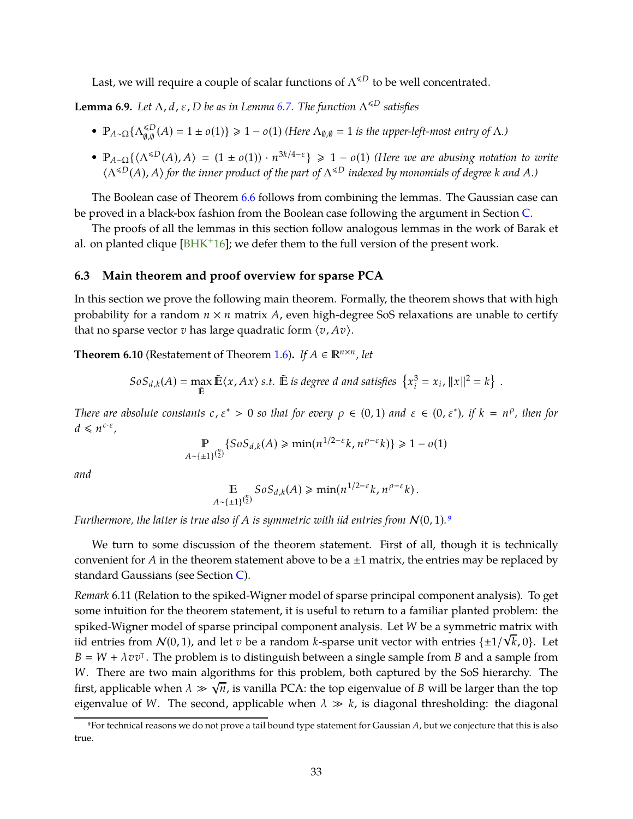<span id="page-34-3"></span>Last, we will require a couple of scalar functions of  $\Lambda^{\leq D}$  to be well concentrated.

<span id="page-34-2"></span>**Lemma 6.9.** *Let*  $Λ$ , *d*, *ε*, *D be as in Lemma [6.7.](#page-33-1) The function*  $Λ^{\le D}$  *satisfies* 

- $\mathbb{P}_{A \sim \Omega} \{\Lambda_{\emptyset, \emptyset}^{\leq D}$  $\binom{≤D}{0,0}(A) = 1 ± o(1)$   $\geq 1 - o(1)$  (Here  $Λ_{0,0} = 1$  is the upper-left-most entry of Λ*.*)
- $\bullet$  **P**<sub>*A*∼Ω</sub>{ $\langle \Lambda^{\leq D}(A), A \rangle = (1 \pm o(1)) \cdot n^{3k/4-\epsilon}$ }  $\geq 1 o(1)$  *(Here we are abusing notation to write*  $\langle \Lambda^{4D}(A), A \rangle$  for the inner product of the part of  $\Lambda^{4D}$  indexed by monomials of degree *k* and *A*.)

The Boolean case of Theorem [6.6](#page-32-1) follows from combining the lemmas. The Gaussian case can be proved in a black-box fashion from the Boolean case following the argument in Section [C.](#page-46-0)

The proofs of all the lemmas in this section follow analogous lemmas in the work of Barak et al. on planted clique  $[BHK^+16]$ ; we defer them to the full version of the present work.

### <span id="page-34-0"></span>**6.3 Main theorem and proof overview for sparse PCA**

In this section we prove the following main theorem. Formally, the theorem shows that with high probability for a random *n* × *n* matrix *A*, even high-degree SoS relaxations are unable to certify that no sparse vector  $v$  has large quadratic form  $\langle v, Av \rangle$ .

**Theorem 6.10** (Restatement of Theorem [1.6\)](#page-9-3). *If*  $A \in \mathbb{R}^{n \times n}$ , *let* 

$$
SoS_{d,k}(A) = \max_{\tilde{\mathbb{E}}} \tilde{\mathbb{E}} \langle x, Ax \rangle \text{ s.t. } \tilde{\mathbb{E}} \text{ is degree } d \text{ and satisfies } \left\{ x_i^3 = x_i, ||x||^2 = k \right\}.
$$

*There are absolute constants*  $c, \varepsilon^* > 0$  *so that for every*  $\rho \in (0, 1)$  *and*  $\varepsilon \in (0, \varepsilon^*)$ *, if*  $k = n^{\rho}$ *, then for*  $d \leq n^{c \cdot \varepsilon},$ 

$$
\mathbb{P}_{A \sim \{\pm 1\}^{n/2}} \{ SoS_{d,k}(A) \ge \min(n^{1/2-\epsilon}k, n^{\rho-\epsilon}k) \} \ge 1 - o(1)
$$

*and*

$$
\mathbb{E} \, \text{SoS}_{d,k}(A) \geq \min(n^{1/2-\varepsilon} k, n^{\rho-\varepsilon} k).
$$

*Furthermore, the latter is true also if A is symmetric with iid entries from*  $N(0, 1)$ .<sup>[9](#page-34-1)</sup>

We turn to some discussion of the theorem statement. First of all, though it is technically convenient for *A* in the theorem statement above to be a  $\pm 1$  matrix, the entries may be replaced by standard Gaussians (see Section [C\)](#page-46-0).

*Remark* 6.11 (Relation to the spiked-Wigner model of sparse principal component analysis)*.* To get some intuition for the theorem statement, it is useful to return to a familiar planted problem: the spiked-Wigner model of sparse principal component analysis. Let *W* be a symmetric matrix with iid entries from  $N(0, 1)$ , and let *v* be a random *k*-sparse unit vector with entries  $\{\pm 1/\sqrt{k}, 0\}$ . Let  $B = W + \lambda v v$ <sup>T</sup>. The problem is to distinguish between a single sample from *B* and a sample from *W*. There are two main algorithms for this problem, both captured by the SoS hierarchy. The first, applicable when  $\lambda \gg \sqrt{n}$ , is vanilla PCA: the top eigenvalue of *B* will be larger than the top eigenvalue of *W*. The second, applicable when  $\lambda \gg k$ , is diagonal thresholding: the diagonal

<span id="page-34-1"></span><sup>9</sup>For technical reasons we do not prove a tail bound type statement for Gaussian *A*, but we conjecture that this is also true.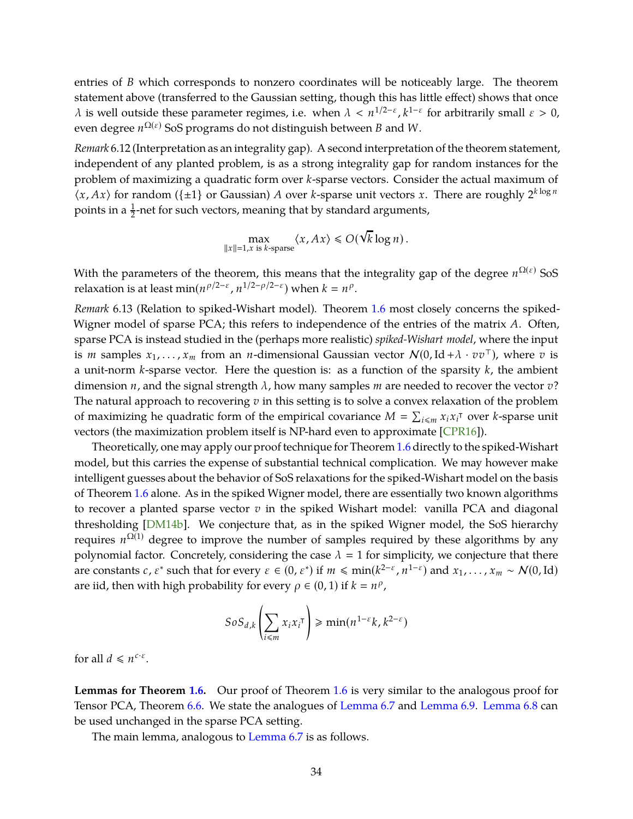<span id="page-35-0"></span>entries of *B* which corresponds to nonzero coordinates will be noticeably large. The theorem statement above (transferred to the Gaussian setting, though this has little effect) shows that once  $λ$  is well outside these parameter regimes, i.e. when  $λ < n^{1/2-ε}$ ,  $k^{1-ε}$  for arbitrarily small  $ε > 0$ , even degree *n* <sup>Ω</sup>(ε) SoS programs do not distinguish between *B* and *W*.

*Remark* 6.12 (Interpretation as an integrality gap)*.* A second interpretation of the theorem statement, independent of any planted problem, is as a strong integrality gap for random instances for the problem of maximizing a quadratic form over *k*-sparse vectors. Consider the actual maximum of  $\langle x, Ax \rangle$  for random ({ $\pm 1$ } or Gaussian) *A* over *k*-sparse unit vectors *x*. There are roughly  $2^{k \log n}$ points in a  $\frac{1}{2}$ -net for such vectors, meaning that by standard arguments,

$$
\max_{\|x\|=1, x \text{ is } k\text{-sparse}} \langle x, Ax \rangle \le O(\sqrt{k} \log n).
$$

With the parameters of the theorem, this means that the integrality gap of the degree  $n^{\Omega(\varepsilon)}$  SoS relaxation is at least  $\min(n^{\rho/2-\varepsilon}, n^{1/2-\rho/2-\varepsilon})$  when  $k = n^{\rho}$ .

*Remark* 6.13 (Relation to spiked-Wishart model)*.* Theorem [1.6](#page-9-3) most closely concerns the spiked-Wigner model of sparse PCA; this refers to independence of the entries of the matrix *A*. Often, sparse PCA is instead studied in the (perhaps more realistic) *spiked-Wishart model*, where the input is *m* samples  $x_1, \ldots, x_m$  from an *n*-dimensional Gaussian vector  $N(0, Id + \lambda \cdot vv^T)$ , where *v* is a unit-norm *k*-sparse vector. Here the question is: as a function of the sparsity *k*, the ambient dimension *n*, and the signal strength λ, how many samples *m* are needed to recover the vector *v*? The natural approach to recovering *v* in this setting is to solve a convex relaxation of the problem of maximizing he quadratic form of the empirical covariance  $M = \sum_{i \leq m} x_i x_i^{\dagger}$  over *k*-sparse unit vectors (the maximization problem itself is NP-hard even to approximate [CPR16]).

Theoretically, one may apply our proof technique for Theorem [1.6](#page-9-3) directly to the spiked-Wishart model, but this carries the expense of substantial technical complication. We may however make intelligent guesses about the behavior of SoS relaxations for the spiked-Wishart model on the basis of Theorem [1.6](#page-9-3) alone. As in the spiked Wigner model, there are essentially two known algorithms to recover a planted sparse vector *v* in the spiked Wishart model: vanilla PCA and diagonal thresholding [DM14b]. We conjecture that, as in the spiked Wigner model, the SoS hierarchy requires  $n^{\Omega(1)}$  degree to improve the number of samples required by these algorithms by any polynomial factor. Concretely, considering the case  $\lambda = 1$  for simplicity, we conjecture that there are constants *c*,  $\varepsilon^*$  such that for every  $\varepsilon \in (0, \varepsilon^*)$  if  $m \le \min(k^{2-\varepsilon}, n^{1-\varepsilon})$  and  $x_1, \ldots, x_m \sim \mathcal{N}(0, \text{Id})$ are iid, then with high probability for every  $\rho \in (0, 1)$  if  $k = n^{\rho}$ ,

$$
SoS_{d,k}\left(\sum_{i\leq m}x_ix_i^{\intercal}\right)\geq \min(n^{1-\varepsilon}k,k^{2-\varepsilon})
$$

for all  $d \leq n^{c \cdot \varepsilon}$ .

**Lemmas for Theorem [1.6.](#page-9-3)** Our proof of Theorem [1.6](#page-9-3) is very similar to the analogous proof for Tensor PCA, Theorem [6.6.](#page-32-1) We state the analogues of [Lemma 6.7](#page-33-1) and [Lemma 6.9.](#page-34-2) [Lemma 6.8](#page-33-2) can be used unchanged in the sparse PCA setting.

The main lemma, analogous to [Lemma 6.7](#page-33-1) is as follows.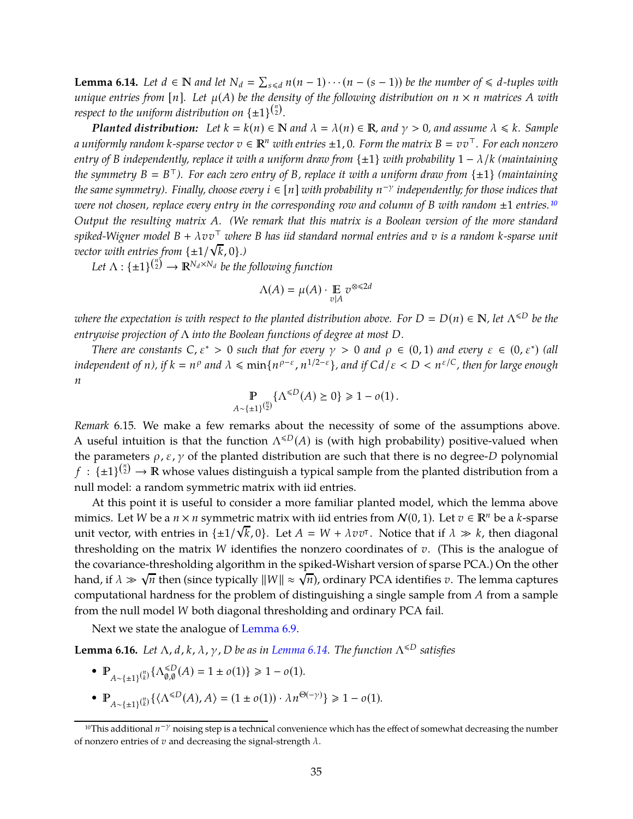<span id="page-36-2"></span>**Lemma 6.14.** Let  $d \in \mathbb{N}$  and let  $N_d = \sum_{s \le d} n(n-1) \cdots (n-(s-1))$  be the number of ≤ *d*-tuples with *unique entries from* [*n*]. Let  $\mu(A)$  be the density of the following distribution on  $n \times n$  matrices A with *respect to the uniform distribution on*  $\{\pm 1\}^{n \choose 2}$ *.* 

*Planted distribution:* Let  $k = k(n) \in \mathbb{N}$  and  $\lambda = \lambda(n) \in \mathbb{R}$ , and  $\gamma > 0$ , and assume  $\lambda \leq k$ *. Sample a* uniformly random *k*-sparse vector  $v \in \mathbb{R}^n$  with entries  $\pm 1$ , 0. Form the matrix  $B = vv^\top$ . For each nonzero *entry of B independently, replace it with a uniform draw from* {±1} *with probability* 1 − λ/*k (maintaining the symmetry B B* <sup>⊤</sup>*). For each zero entry of B, replace it with a uniform draw from* {±1} *(maintaining the same symmetry). Finally, choose every i* ∈ [*n*] *with probability n* −γ *independently; for those indices that were not chosen, replace every entry in the corresponding row and column of <sup>B</sup> with random* <sup>±</sup><sup>1</sup> *entries.[10](#page-36-1) Output the resulting matrix A. (We remark that this matrix is a Boolean version of the more standard spiked-Wigner model B* + λ*vv*<sup>⊤</sup> *where B has iid standard normal entries and v is a random k-sparse unit vector with entries from*  $\{\pm 1/\sqrt{k}, 0\}$ *.*)

Let  $\Lambda: \{\pm 1\}^{n \choose 2} \rightarrow \mathbb{R}^{N_d \times N_d}$  be the following function

$$
\Lambda(A)=\mu(A)\cdot \mathop{\mathbb{E}}_{v|A} v^{\otimes \leq 2d}
$$

*where the expectation is with respect to the planted distribution above. For*  $D = D(n) \in \mathbb{N}$ , let  $\Lambda^{\leq D}$  be the *entrywise projection of* Λ *into the Boolean functions of degree at most D.*

*There are constants*  $C, \varepsilon^* > 0$  *such that for every*  $\gamma > 0$  *and*  $\rho \in (0,1)$  *and every*  $\varepsilon \in (0,\varepsilon^*)$  (all *independent of n), if*  $k = n^{\rho}$  and  $\lambda \leq \min\{n^{\rho-\varepsilon}, n^{1/2-\varepsilon}\}$ , and if  $Cd/\varepsilon < D < n^{\varepsilon/C}$ , then for large enough *n*

$$
\mathbb{P}_{A \sim \{\pm 1\}^{n \choose 2}} \{\Lambda^{\leq D}(A) \geq 0\} \geq 1 - o(1).
$$

*Remark* 6.15*.* We make a few remarks about the necessity of some of the assumptions above. A useful intuition is that the function  $\Lambda^{\leq D}(A)$  is (with high probability) positive-valued when the parameters  $\rho$ ,  $\varepsilon$ ,  $\gamma$  of the planted distribution are such that there is no degree-*D* polynomial  $f: {\{\pm 1\}}^{n \choose 2} \to \mathbb{R}$  whose values distinguish a typical sample from the planted distribution from a null model: a random symmetric matrix with iid entries.

At this point it is useful to consider a more familiar planted model, which the lemma above mimics. Let *W* be a  $n \times n$  symmetric matrix with iid entries from  $\mathcal{N}(0, 1)$ . Let  $v \in \mathbb{R}^n$  be a *k*-sparse unit vector, with entries in  $\{\pm 1/\sqrt{k}, 0\}$ . Let  $A = W + \lambda v v^{\dagger}$ . Notice that if  $\lambda \gg k$ , then diagonal thresholding on the matrix *W* identifies the nonzero coordinates of *v*. (This is the analogue of the covariance-thresholding algorithm in the spiked-Wishart version of sparse PCA.) On the other hand, if  $\lambda \gg \sqrt{n}$  then (since typically  $||W|| \approx \sqrt{n}$ ), ordinary PCA identifies *v*. The lemma captures computational hardness for the problem of distinguishing a single sample from *A* from a sample from the null model *W* both diagonal thresholding and ordinary PCA fail.

Next we state the analogue of [Lemma 6.9.](#page-34-2)

**Lemma 6.16.** *Let*  $\Lambda$ , *d*, *k*,  $\lambda$ ,  $\gamma$ , *D be as in [Lemma 6.14.](#page-36-2) The function*  $\Lambda^{\leq D}$  *satisfies* 

- **P**<sub>*A*∼{±1}</sub><sup>(*n*</sup></sup>)</sub> { $Λ_{\emptyset,\emptyset}^{\leq D}$  $_{0,0}^{\leq D}(A) = 1 \pm o(1) \geq 1 - o(1).$
- $P_{A \sim \{\pm 1\}^{(n)}_{k}} \{ \langle \Lambda^{\leq D}(A), A \rangle = (1 \pm o(1)) \cdot \lambda n^{\Theta(-\gamma)} \} \geq 1 o(1)$ .

<span id="page-36-1"></span><span id="page-36-0"></span><sup>&</sup>lt;sup>10</sup>This additional *n*<sup>−γ</sup> noising step is a technical convenience which has the effect of somewhat decreasing the number of nonzero entries of  $v$  and decreasing the signal-strength  $\lambda$ .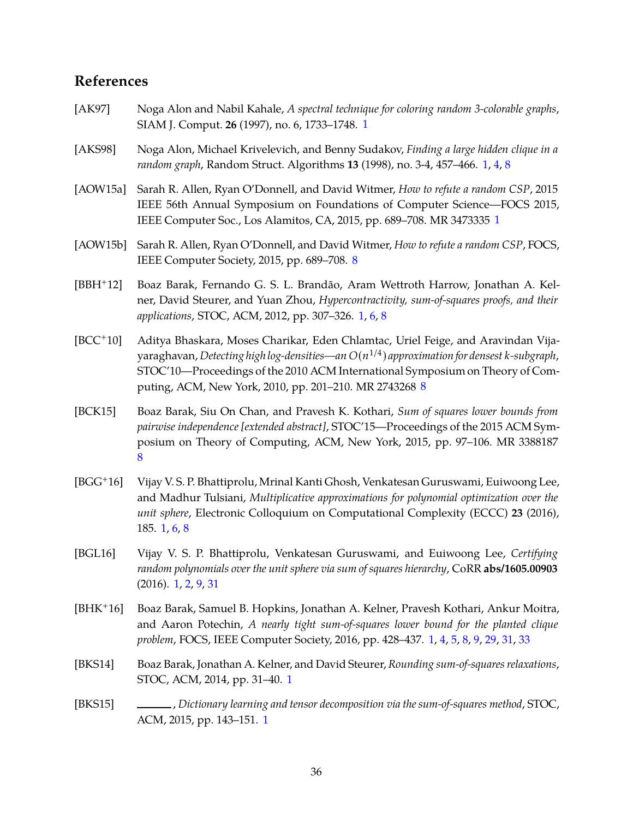# **References**

- [AK97] Noga Alon and Nabil Kahale, *A spectral technique for coloring random 3-colorable graphs*, SIAM J. Comput. **26** (1997), no. 6, 1733–1748. [1](#page-2-2)
- [AKS98] Noga Alon, Michael Krivelevich, and Benny Sudakov, *Finding a large hidden clique in a random graph*, Random Struct. Algorithms **13** (1998), no. 3-4, 457–466. [1,](#page-2-2) [4,](#page-5-1) [8](#page-9-4)
- <span id="page-37-0"></span>[AOW15a] Sarah R. Allen, Ryan O'Donnell, and David Witmer, *How to refute a random CSP*, 2015 IEEE 56th Annual Symposium on Foundations of Computer Science—FOCS 2015, IEEE Computer Soc., Los Alamitos, CA, 2015, pp. 689–708. MR 3473335 [1](#page-2-2)
- [AOW15b] Sarah R. Allen, Ryan O'Donnell, and David Witmer, *How to refute a random CSP*, FOCS, IEEE Computer Society, 2015, pp. 689–708. [8](#page-9-4)
- [BBH+12] Boaz Barak, Fernando G. S. L. Brandão, Aram Wettroth Harrow, Jonathan A. Kelner, David Steurer, and Yuan Zhou, *Hypercontractivity, sum-of-squares proofs, and their applications*, STOC, ACM, 2012, pp. 307–326. [1,](#page-2-2) [6,](#page-7-2) [8](#page-9-4)
- <span id="page-37-1"></span>[BCC+10] Aditya Bhaskara, Moses Charikar, Eden Chlamtac, Uriel Feige, and Aravindan Vijayaraghavan, *Detecting high log-densities—an O*(*n* 1/4 ) *approximation for densest k-subgraph*, STOC'10—Proceedings of the 2010 ACM International Symposium on Theory of Computing, ACM, New York, 2010, pp. 201–210. MR 2743268 [8](#page-9-4)
- <span id="page-37-2"></span>[BCK15] Boaz Barak, Siu On Chan, and Pravesh K. Kothari, *Sum of squares lower bounds from pairwise independence [extended abstract]*, STOC'15—Proceedings of the 2015 ACM Symposium on Theory of Computing, ACM, New York, 2015, pp. 97–106. MR 3388187 [8](#page-9-4)
- [BGG+16] Vijay V. S. P. Bhattiprolu, Mrinal Kanti Ghosh, Venkatesan Guruswami, Euiwoong Lee, and Madhur Tulsiani, *Multiplicative approximations for polynomial optimization over the unit sphere*, Electronic Colloquium on Computational Complexity (ECCC) **23** (2016), 185. [1,](#page-2-2) [6,](#page-7-2) [8](#page-9-4)
- [BGL16] Vijay V. S. P. Bhattiprolu, Venkatesan Guruswami, and Euiwoong Lee, *Certifying random polynomials over the unit sphere via sum of squares hierarchy*, CoRR **abs/1605.00903** (2016). [1,](#page-2-2) [2,](#page-3-1) [9,](#page-10-2) [31](#page-32-2)
- [BHK+16] Boaz Barak, Samuel B. Hopkins, Jonathan A. Kelner, Pravesh Kothari, Ankur Moitra, and Aaron Potechin, *A nearly tight sum-of-squares lower bound for the planted clique problem*, FOCS, IEEE Computer Society, 2016, pp. 428–437. [1,](#page-2-2) [4,](#page-5-1) [5,](#page-6-2) [8,](#page-9-4) [9,](#page-10-2) [29,](#page-30-2) [31,](#page-32-2) [33](#page-34-3)
- [BKS14] Boaz Barak, Jonathan A. Kelner, and David Steurer, *Rounding sum-of-squares relaxations*, STOC, ACM, 2014, pp. 31–40. [1](#page-2-2)
- [BKS15] , *Dictionary learning and tensor decomposition via the sum-of-squares method*, STOC, ACM, 2015, pp. 143–151. [1](#page-2-2)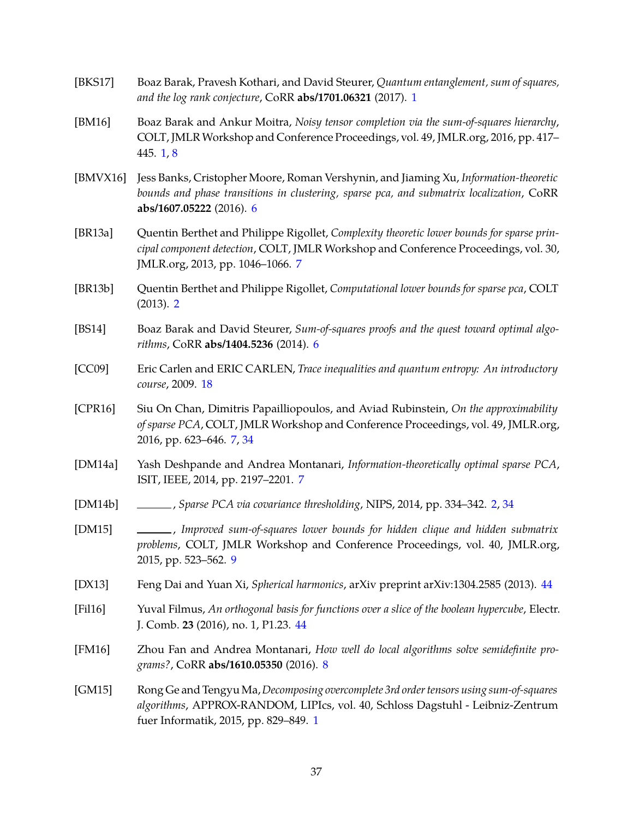- [BKS17] Boaz Barak, Pravesh Kothari, and David Steurer, *Quantum entanglement, sum of squares, and the log rank conjecture*, CoRR **abs/1701.06321** (2017). [1](#page-2-2)
- [BM16] Boaz Barak and Ankur Moitra, *Noisy tensor completion via the sum-of-squares hierarchy*, COLT, JMLR Workshop and Conference Proceedings, vol. 49, JMLR.org, 2016, pp. 417– 445. [1,](#page-2-2) [8](#page-9-4)
- [BMVX16] Jess Banks, Cristopher Moore, Roman Vershynin, and Jiaming Xu, *Information-theoretic bounds and phase transitions in clustering, sparse pca, and submatrix localization*, CoRR **abs/1607.05222** (2016). [6](#page-7-2)
- [BR13a] Quentin Berthet and Philippe Rigollet, *Complexity theoretic lower bounds for sparse principal component detection*, COLT, JMLR Workshop and Conference Proceedings, vol. 30, JMLR.org, 2013, pp. 1046–1066. [7](#page-8-2)
- <span id="page-38-0"></span>[BR13b] Quentin Berthet and Philippe Rigollet, *Computational lower bounds for sparse pca*, COLT (2013). [2](#page-3-1)
- [BS14] Boaz Barak and David Steurer, *Sum-of-squares proofs and the quest toward optimal algorithms*, CoRR **abs/1404.5236** (2014). [6](#page-7-2)
- <span id="page-38-1"></span>[CC09] Eric Carlen and ERIC CARLEN, *Trace inequalities and quantum entropy: An introductory course*, 2009. [18](#page-19-1)
- [CPR16] Siu On Chan, Dimitris Papailliopoulos, and Aviad Rubinstein, *On the approximability of sparse PCA*, COLT, JMLR Workshop and Conference Proceedings, vol. 49, JMLR.org, 2016, pp. 623–646. [7,](#page-8-2) [34](#page-35-0)
- [DM14a] Yash Deshpande and Andrea Montanari, *Information-theoretically optimal sparse PCA*, ISIT, IEEE, 2014, pp. 2197–2201. [7](#page-8-2)
- [DM14b] , *Sparse PCA via covariance thresholding*, NIPS, 2014, pp. 334–342. [2,](#page-3-1) [34](#page-35-0)
- [DM15] , *Improved sum-of-squares lower bounds for hidden clique and hidden submatrix problems*, COLT, JMLR Workshop and Conference Proceedings, vol. 40, JMLR.org, 2015, pp. 523–562. [9](#page-10-2)
- <span id="page-38-2"></span>[DX13] Feng Dai and Yuan Xi, *Spherical harmonics*, arXiv preprint arXiv:1304.2585 (2013). [44](#page-45-0)
- [Fil16] Yuval Filmus, *An orthogonal basis for functions over a slice of the boolean hypercube*, Electr. J. Comb. **23** (2016), no. 1, P1.23. [44](#page-45-0)
- [FM16] Zhou Fan and Andrea Montanari, *How well do local algorithms solve semidefinite programs?*, CoRR **abs/1610.05350** (2016). [8](#page-9-4)
- [GM15] Rong Ge and Tengyu Ma,*Decomposing overcomplete 3rd order tensors using sum-of-squares algorithms*, APPROX-RANDOM, LIPIcs, vol. 40, Schloss Dagstuhl - Leibniz-Zentrum fuer Informatik, 2015, pp. 829–849. [1](#page-2-2)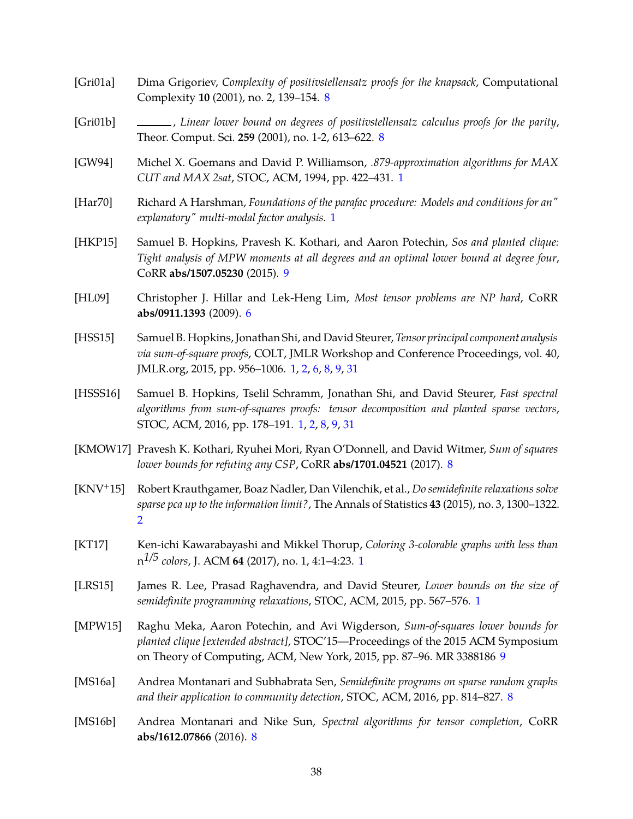- [Gri01a] Dima Grigoriev, *Complexity of positivstellensatz proofs for the knapsack*, Computational Complexity **10** (2001), no. 2, 139–154. [8](#page-9-4)
- [Gri01b] , *Linear lower bound on degrees of positivstellensatz calculus proofs for the parity*, Theor. Comput. Sci. **259** (2001), no. 1-2, 613–622. [8](#page-9-4)
- [GW94] Michel X. Goemans and David P. Williamson, *.879-approximation algorithms for MAX CUT and MAX 2sat*, STOC, ACM, 1994, pp. 422–431. [1](#page-2-2)
- <span id="page-39-0"></span>[Har70] Richard A Harshman, *Foundations of the parafac procedure: Models and conditions for an" explanatory" multi-modal factor analysis*. [1](#page-2-2)
- [HKP15] Samuel B. Hopkins, Pravesh K. Kothari, and Aaron Potechin, *Sos and planted clique: Tight analysis of MPW moments at all degrees and an optimal lower bound at degree four*, CoRR **abs/1507.05230** (2015). [9](#page-10-2)
- [HL09] Christopher J. Hillar and Lek-Heng Lim, *Most tensor problems are NP hard*, CoRR **abs/0911.1393** (2009). [6](#page-7-2)
- [HSS15] Samuel B. Hopkins, Jonathan Shi, and David Steurer, *Tensor principal component analysis via sum-of-square proofs*, COLT, JMLR Workshop and Conference Proceedings, vol. 40, JMLR.org, 2015, pp. 956–1006. [1,](#page-2-2) [2,](#page-3-1) [6,](#page-7-2) [8,](#page-9-4) [9,](#page-10-2) [31](#page-32-2)
- [HSSS16] Samuel B. Hopkins, Tselil Schramm, Jonathan Shi, and David Steurer, *Fast spectral algorithms from sum-of-squares proofs: tensor decomposition and planted sparse vectors*, STOC, ACM, 2016, pp. 178–191. [1,](#page-2-2) [2,](#page-3-1) [8,](#page-9-4) [9,](#page-10-2) [31](#page-32-2)
- [KMOW17] Pravesh K. Kothari, Ryuhei Mori, Ryan O'Donnell, and David Witmer, *Sum of squares lower bounds for refuting any CSP*, CoRR **abs/1701.04521** (2017). [8](#page-9-4)
- <span id="page-39-2"></span>[KNV+15] Robert Krauthgamer, Boaz Nadler, Dan Vilenchik, et al., *Do semidefinite relaxations solve sparse pca up to the information limit?*, The Annals of Statistics **43** (2015), no. 3, 1300–1322. [2](#page-3-1)
- <span id="page-39-1"></span>[KT17] Ken-ichi Kawarabayashi and Mikkel Thorup, *Coloring 3-colorable graphs with less than* n *1/5 colors*, J. ACM **64** (2017), no. 1, 4:1–4:23. [1](#page-2-2)
- [LRS15] James R. Lee, Prasad Raghavendra, and David Steurer, *Lower bounds on the size of semidefinite programming relaxations*, STOC, ACM, 2015, pp. 567–576. [1](#page-2-2)
- <span id="page-39-3"></span>[MPW15] Raghu Meka, Aaron Potechin, and Avi Wigderson, *Sum-of-squares lower bounds for planted clique [extended abstract]*, STOC'15—Proceedings of the 2015 ACM Symposium on Theory of Computing, ACM, New York, 2015, pp. 87–96. MR 3388186 [9](#page-10-2)
- [MS16a] Andrea Montanari and Subhabrata Sen, *Semidefinite programs on sparse random graphs and their application to community detection*, STOC, ACM, 2016, pp. 814–827. [8](#page-9-4)
- [MS16b] Andrea Montanari and Nike Sun, *Spectral algorithms for tensor completion*, CoRR **abs/1612.07866** (2016). [8](#page-9-4)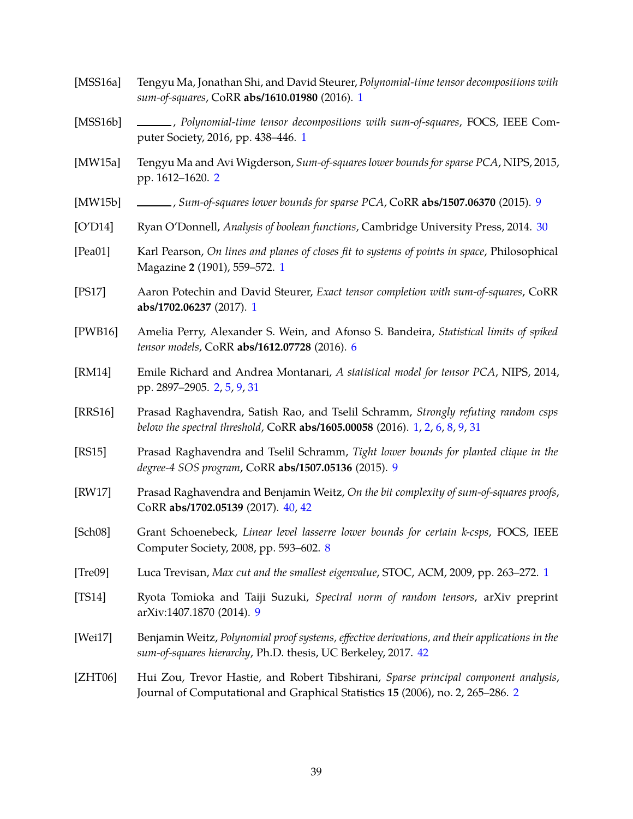- [MSS16a] Tengyu Ma, Jonathan Shi, and David Steurer, *Polynomial-time tensor decompositions with sum-of-squares*, CoRR **abs/1610.01980** (2016). [1](#page-2-2)
- [MSS16b] \_\_\_\_\_\_\_, Polynomial-time tensor decompositions with sum-of-squares, FOCS, IEEE Computer Society, 2016, pp. 438–446. [1](#page-2-2)
- [MW15a] Tengyu Ma and Avi Wigderson, *Sum-of-squares lower bounds for sparse PCA*, NIPS, 2015, pp. 1612–1620. [2](#page-3-1)
- [MW15b] , *Sum-of-squares lower bounds for sparse PCA*, CoRR **abs/1507.06370** (2015). [9](#page-10-2)
- [O'D14] Ryan O'Donnell, *Analysis of boolean functions*, Cambridge University Press, 2014. [30](#page-31-4)
- <span id="page-40-0"></span>[Pea01] Karl Pearson, *On lines and planes of closes fit to systems of points in space*, Philosophical Magazine **2** (1901), 559–572. [1](#page-2-2)
- [PS17] Aaron Potechin and David Steurer, *Exact tensor completion with sum-of-squares*, CoRR **abs/1702.06237** (2017). [1](#page-2-2)
- [PWB16] Amelia Perry, Alexander S. Wein, and Afonso S. Bandeira, *Statistical limits of spiked tensor models*, CoRR **abs/1612.07728** (2016). [6](#page-7-2)
- [RM14] Emile Richard and Andrea Montanari, *A statistical model for tensor PCA*, NIPS, 2014, pp. 2897–2905. [2,](#page-3-1) [5,](#page-6-2) [9,](#page-10-2) [31](#page-32-2)
- [RRS16] Prasad Raghavendra, Satish Rao, and Tselil Schramm, *Strongly refuting random csps below the spectral threshold*, CoRR **abs/1605.00058** (2016). [1,](#page-2-2) [2,](#page-3-1) [6,](#page-7-2) [8,](#page-9-4) [9,](#page-10-2) [31](#page-32-2)
- [RS15] Prasad Raghavendra and Tselil Schramm, *Tight lower bounds for planted clique in the degree-4 SOS program*, CoRR **abs/1507.05136** (2015). [9](#page-10-2)
- [RW17] Prasad Raghavendra and Benjamin Weitz, *On the bit complexity of sum-of-squares proofs*, CoRR **abs/1702.05139** (2017). [40,](#page-41-1) [42](#page-43-0)
- [Sch08] Grant Schoenebeck, *Linear level lasserre lower bounds for certain k-csps*, FOCS, IEEE Computer Society, 2008, pp. 593–602. [8](#page-9-4)
- [Tre09] Luca Trevisan, *Max cut and the smallest eigenvalue*, STOC, ACM, 2009, pp. 263–272. [1](#page-2-2)
- <span id="page-40-2"></span>[TS14] Ryota Tomioka and Taiji Suzuki, *Spectral norm of random tensors*, arXiv preprint arXiv:1407.1870 (2014). [9](#page-10-2)
- <span id="page-40-3"></span>[Wei17] Benjamin Weitz, *Polynomial proof systems, effective derivations, and their applications in the sum-of-squares hierarchy*, Ph.D. thesis, UC Berkeley, 2017. [42](#page-43-0)
- <span id="page-40-1"></span>[ZHT06] Hui Zou, Trevor Hastie, and Robert Tibshirani, *Sparse principal component analysis*, Journal of Computational and Graphical Statistics **15** (2006), no. 2, 265–286. [2](#page-3-1)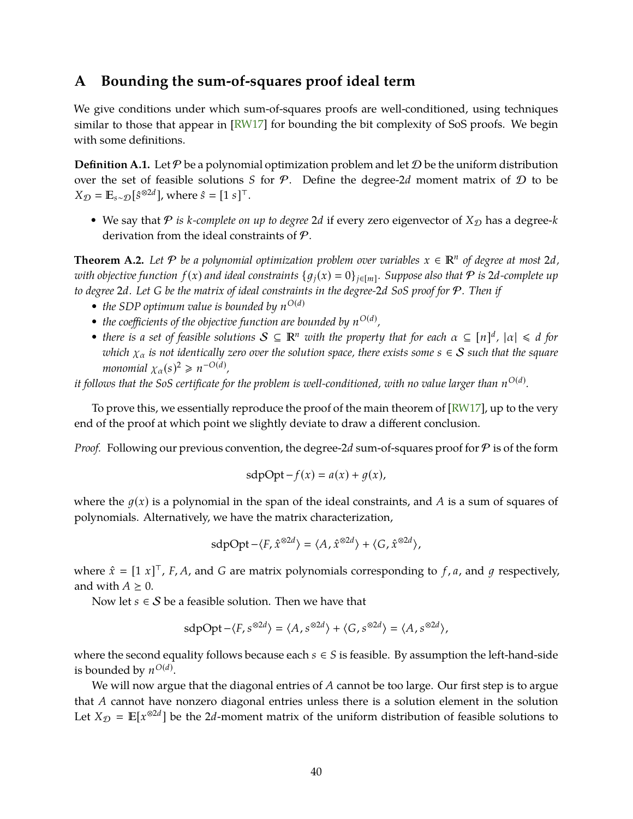# <span id="page-41-1"></span><span id="page-41-0"></span>**A Bounding the sum-of-squares proof ideal term**

We give conditions under which sum-of-squares proofs are well-conditioned, using techniques similar to those that appear in [RW17] for bounding the bit complexity of SoS proofs. We begin with some definitions.

**Definition A.1.** Let  $P$  be a polynomial optimization problem and let  $D$  be the uniform distribution over the set of feasible solutions *S* for  $P$ . Define the degree-2*d* moment matrix of  $D$  to be  $X_{\mathcal{D}} = \mathbb{E}_{s \sim \mathcal{D}}[\hat{s}^{\otimes 2d}]$ , where  $\hat{s} = [1 \ s]^\top$ .

• We say that  $P$  *is k-complete on up to degree* 2*d* if every zero eigenvector of  $X_{\mathcal{D}}$  has a degree-*k* derivation from the ideal constraints of P.

<span id="page-41-2"></span>**Theorem A.2.** Let  $P$  be a polynomial optimization problem over variables  $x \in \mathbb{R}^n$  of degree at most 2*d*, *with objective function*  $f(x)$  *and ideal constraints*  $\{g_j(x) = 0\}_{j \in [m]}$ *. Suppose also that*  $P$  *is 2d-complete up to degree* 2*d. Let G be the matrix of ideal constraints in the degree-*2*d SoS proof for* P*. Then if*

- *the SDP optimum value is bounded by*  $n^{O(d)}$
- *the coefficients of the objective function are bounded by*  $n^{O(d)}$ *,*
- *there is a set of feasible solutions*  $S \subseteq \mathbb{R}^n$  *with the property that for each*  $\alpha \subseteq [n]^d$ ,  $|\alpha| \leq d$  *for which*  $\chi_{\alpha}$  *is not identically zero over the solution space, there exists some*  $s \in S$  *such that the square monomial*  $\chi_{\alpha}(s)^2 \geq n^{-O(d)}$ ,

*it follows that the SoS certificate for the problem is well-conditioned, with no value larger than*  $n^{{\rm O}(d)}$ *.* 

To prove this, we essentially reproduce the proof of the main theorem of [RW17], up to the very end of the proof at which point we slightly deviate to draw a different conclusion.

*Proof.* Following our previous convention, the degree-2d sum-of-squares proof for  $P$  is of the form

$$
\operatorname{sdpOpt} - f(x) = a(x) + g(x),
$$

where the  $q(x)$  is a polynomial in the span of the ideal constraints, and *A* is a sum of squares of polynomials. Alternatively, we have the matrix characterization,

$$
\operatorname{sdpOpt} - \langle F, \hat{x}^{\otimes 2d} \rangle = \langle A, \hat{x}^{\otimes 2d} \rangle + \langle G, \hat{x}^{\otimes 2d} \rangle,
$$

where  $\hat{x} = [1 \; x]^{\top}$ , *F*, *A*, and *G* are matrix polynomials corresponding to *f*, *a*, and *g* respectively, and with  $A \geq 0$ .

Now let  $s \in S$  be a feasible solution. Then we have that

$$
\text{sdpOpt} - \langle F, s^{\otimes 2d} \rangle = \langle A, s^{\otimes 2d} \rangle + \langle G, s^{\otimes 2d} \rangle = \langle A, s^{\otimes 2d} \rangle,
$$

where the second equality follows because each  $s \in S$  is feasible. By assumption the left-hand-side is bounded by  $n^{O(d)}$ .

We will now argue that the diagonal entries of *A* cannot be too large. Our first step is to argue that *A* cannot have nonzero diagonal entries unless there is a solution element in the solution Let  $X_{\mathcal{D}} = \mathbb{E}[x^{\otimes 2d}]$  be the 2*d*-moment matrix of the uniform distribution of feasible solutions to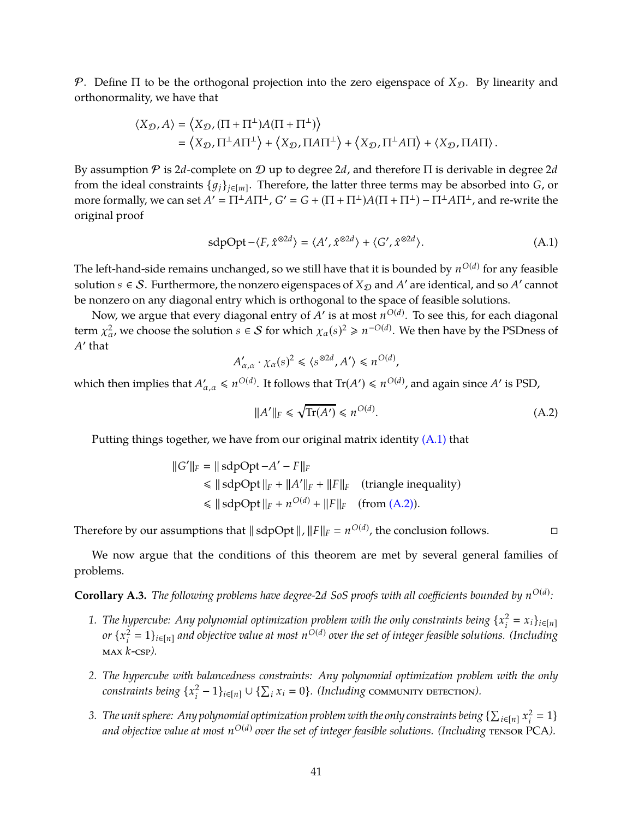P. Define  $\Pi$  to be the orthogonal projection into the zero eigenspace of  $X_{\mathcal{D}}$ . By linearity and orthonormality, we have that

$$
\begin{split} \langle X_{\mathcal{D}}, A \rangle &= \left\langle X_{\mathcal{D}}, (\Pi + \Pi^\perp) A (\Pi + \Pi^\perp) \right\rangle \\ &= \left\langle X_{\mathcal{D}}, \Pi^\perp A \Pi^\perp \right\rangle + \left\langle X_{\mathcal{D}}, \Pi A \Pi^\perp \right\rangle + \left\langle X_{\mathcal{D}}, \Pi^\perp A \Pi \right\rangle + \left\langle X_{\mathcal{D}}, \Pi A \Pi \right\rangle. \end{split}
$$

By assumption P is 2*d*-complete on D up to degree 2*d*, and therefore Π is derivable in degree 2*d* from the ideal constraints {1*j*}*j*∈[*m*] . Therefore, the latter three terms may be absorbed into *G*, or more formally, we can set  $A' = \Pi^{\perp} A \Pi^{\perp}$ ,  $G' = G + (\Pi + \Pi^{\perp})A(\Pi + \Pi^{\perp}) - \Pi^{\perp} A \Pi^{\perp}$ , and re-write the original proof

$$
sdpOpt - \langle F, \hat{x}^{\otimes 2d} \rangle = \langle A', \hat{x}^{\otimes 2d} \rangle + \langle G', \hat{x}^{\otimes 2d} \rangle. \tag{A.1}
$$

The left-hand-side remains unchanged*,* so we still have that it is bounded by  $n^{O(d)}$  for any feasible  ${\rm solution} \ s \in {\mathcal S}.$  Furthermore, the nonzero eigenspaces of  $X_{\mathcal D}$  and  $A'$  are identical, and so  $A'$  cannot be nonzero on any diagonal entry which is orthogonal to the space of feasible solutions.

Now, we argue that every diagonal entry of  $A'$  is at most  $n^{O(d)}$ . To see this, for each diagonal term  $\chi^2_{\alpha}$ , we choose the solution  $s \in S$  for which  $\chi_{\alpha}(s)^2 \geq n^{-O(d)}$ . We then have by the PSDness of *A* ′ that

<span id="page-42-1"></span>
$$
A'_{\alpha,\alpha} \cdot \chi_{\alpha}(s)^2 \leq \langle s^{\otimes 2d}, A' \rangle \leq n^{O(d)},
$$

which then implies that  $A'_{\alpha,\alpha} \leq n^{O(d)}$ . It follows that  $Tr(A') \leq n^{O(d)}$ , and again since A' is PSD,

<span id="page-42-2"></span>
$$
||A'||_F \le \sqrt{\text{Tr}(A')} \le n^{O(d)}.\tag{A.2}
$$

Putting things together, we have from our original matrix identity  $(A.1)$  that

 $\mathbf{I}$ 

$$
|G'||_F = ||\ \text{sdpOpt} - A' - F||_F
$$
  
\n
$$
\le ||\ \text{sdpOpt}\ ||_F + ||A'||_F + ||F||_F \quad \text{(triangle inequality)}
$$
  
\n
$$
\le ||\ \text{sdpOpt}\ ||_F + n^{O(d)} + ||F||_F \quad \text{(from (A.2))}.
$$

Therefore by our assumptions that  $\|\text{ sdpOpt}\|$ ,  $\|F\|_F = n^{O(d)}$ , the conclusion follows.

We now argue that the conditions of this theorem are met by several general families of problems.

<span id="page-42-0"></span> $\bf{Corollary A.3.}$  *The following problems have degree-* $2d$  *SoS proofs with all coefficients bounded by*  $n^{O(d)}$ *:* 

- 1. *The hypercube: Any polynomial optimization problem with the only constraints being*  $\{x_i^2\}$  $\sum_{i}^{2} = x_{i}$ <sub>*i*</sub> $\in$ [*n*] *or*  $\{x_i^2\}$  $\int_{i}^{2} = 1$ }<sub>*i*∈[*n*] and objective value at most  $n^{O(d)}$  over the set of integer feasible solutions. (Including</sub> max *k*-csp*).*
- *2. The hypercube with balancedness constraints: Any polynomial optimization problem with the only constraints being* {*x* 2  $\sum_{i}^{2}$  − 1} $_{i \in [n]}$  ∪ { $\sum_{i} x_i = 0$ }*. (Including* community detection).
- 3. The unit sphere: Any polynomial optimization problem with the only constraints being  $\{\sum_{i\in [n]}x_i^2\}$  $i^2 = 1$ and objective value at most  $n^{{\rm O}(d)}$  over the set of integer feasible solutions. (Including  $\tau$ ENSOR  ${\rm PCA}$ ).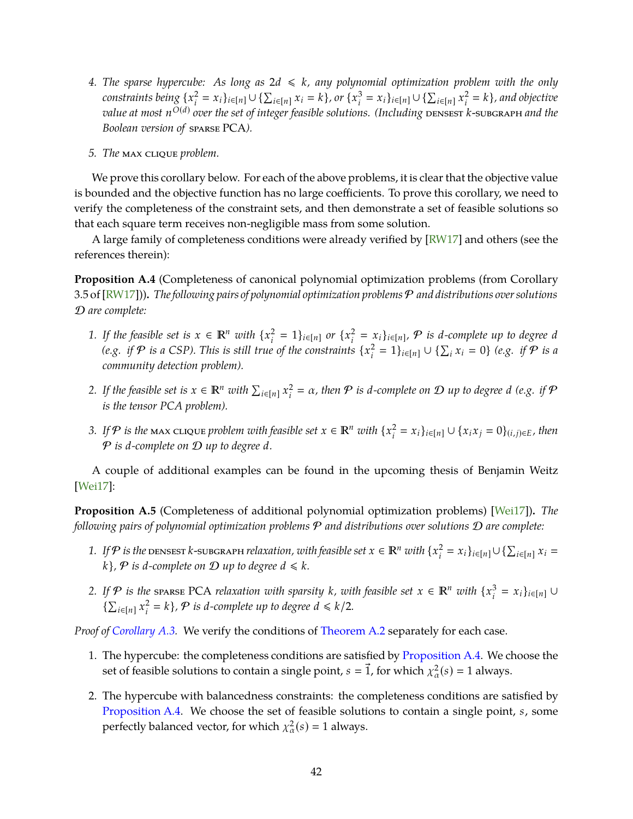- <span id="page-43-0"></span>4. The sparse hypercube: As long as  $2d \le k$ *, any polynomial optimization problem with the only constraints being* {*x* 2  $\sum_{i}^{2}$  =  $x_i$ }<sub>*i*∈[*n*]</sub> ∪ { $\sum_{i \in [n]} x_i = k$ }, or { $x_i^3$ *i*<sup>2</sup> =  $x_i$ }<sub>*i*∈[*n*] ∪ { $\sum_{i \in [n]} x_i^2$ </sub>  $k_i^2 = k$ *}*, and objective *value at most n O*(*d*) *over the set of integer feasible solutions. (Including* densest *k*-subgraph *and the Boolean version of* sparse PCA*).*
- *5. The* max clique *problem.*

We prove this corollary below. For each of the above problems, it is clear that the objective value is bounded and the objective function has no large coefficients. To prove this corollary, we need to verify the completeness of the constraint sets, and then demonstrate a set of feasible solutions so that each square term receives non-negligible mass from some solution.

A large family of completeness conditions were already verified by [RW17] and others (see the references therein):

<span id="page-43-1"></span>**Proposition A.4** (Completeness of canonical polynomial optimization problems (from Corollary 3.5 of [RW17]))**.** *The following pairs of polynomial optimization problems* P *and distributions over solutions* D *are complete:*

- *1. If the feasible set is*  $x \in \mathbb{R}^n$  *with*  $\{x_i^2\}$  $\sum_{i}^{2} = 1$ }<sub>*i*∈[*n*] *or* { $x_i^2$ </sub>  $\mathcal{L}^2_i = x_i \}_{i \in [n]}$ ,  $\mathcal P$  *is d-complete up to degree d (e.g. if*  $P$  *is a* CSP). This is still true of the constraints  $\{x_i^2\}$ *i*<sub>*i*</sub> = 1}<sub>*i*∈[*n*] ∪ { $\sum_i x_i = 0$ } *(e.g. if*  $\mathcal{P}$  *is a*</sub> *community detection problem).*
- 2. If the feasible set is  $x \in \mathbb{R}^n$  with  $\sum_{i \in [n]} x_i^2$  $a_i^2 = \alpha$ , then  $P$  is d-complete on  $D$  up to degree *d* (e.g. if  $P$ *is the tensor PCA problem).*
- *3.* If  $P$  is the max clique problem with feasible set  $x \in \mathbb{R}^n$  with  $\{x_i^2\}$  $\sum_{i}^{2}$  =  $x_i$ }<sub>*i*∈[*n*] ∪ { $x_i x_j = 0$ }<sub>(*i*,*j*)∈*E,* then</sub></sub> P *is d-complete on* D *up to degree d.*

A couple of additional examples can be found in the upcoming thesis of Benjamin Weitz [\[Wei17\]](#page-40-3):

<span id="page-43-2"></span>**Proposition A.5** (Completeness of additional polynomial optimization problems) [\[Wei17\]](#page-40-3))**.** *The following pairs of polynomial optimization problems* P *and distributions over solutions* D *are complete:*

- *1.* If  $P$  is the <code>DENSEST</code>  $k$ -subgraph relaxation, with feasible set  $x \in \mathbb{R}^n$  with  $\{x_i^2\}$  $\sum_{i}^{2}$  =  $x_i$ }<sub>*i*∈[*n*]</sub> ∪ { $\sum_{i \in [n]} x_i$  =  $k$ *}*,  $P$  *is d-complete on*  $D$  *up to degree*  $d \le k$ *.*
- *2.* If P is the sparse PCA relaxation with sparsity *k*, with feasible set  $x \in \mathbb{R}^n$  with  $\{x_i^3\}$  $\sum_{i}^{3} = x_{i}$ <sub>*i*∈[*n*] ∪</sub>  $\{\sum_{i\in[n]} x_i^2\}$  $\mathcal{P}^2_i = k$ ,  $\mathcal{P}$  *is d-complete up to degree*  $d \leq k/2$ *.*

*Proof of [Corollary A.3.](#page-42-0)* We verify the conditions of [Theorem A.2](#page-41-2) separately for each case.

- 1. The hypercube: the completeness conditions are satisfied by [Proposition A.4.](#page-43-1) We choose the set of feasible solutions to contain a single point,  $s = \vec{1}$ , for which  $\chi^2_{\alpha}(s) = 1$  always.
- 2. The hypercube with balancedness constraints: the completeness conditions are satisfied by [Proposition A.4.](#page-43-1) We choose the set of feasible solutions to contain a single point, *s*, some perfectly balanced vector, for which  $\chi^2_{\alpha}(s) = 1$  always.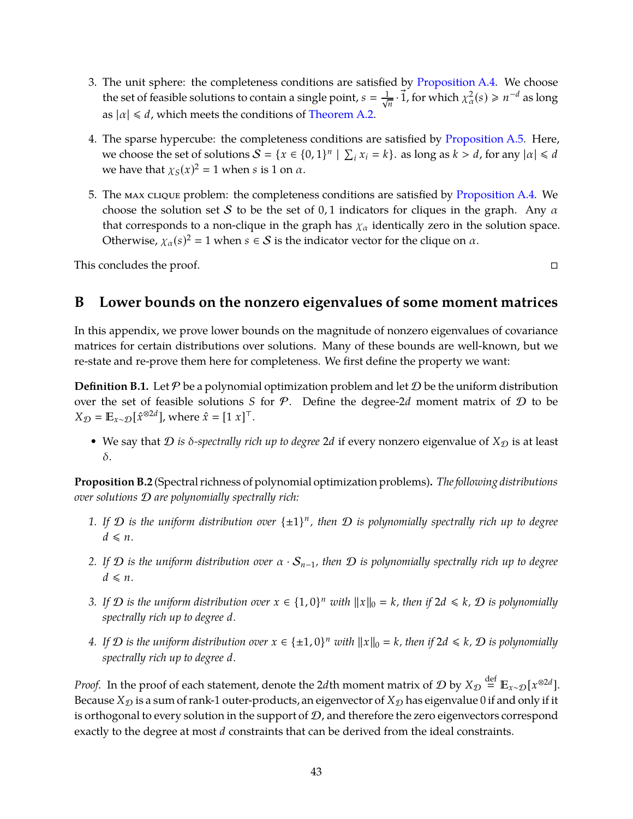- 3. The unit sphere: the completeness conditions are satisfied by [Proposition A.4.](#page-43-1) We choose the set of feasible solutions to contain a single point,  $s = \frac{1}{\sqrt{n}} \cdot \vec{1}$ , for which  $\chi^2_\alpha(s) \ge n^{-d}$  as long as  $|\alpha| \le d$ , which meets the conditions of [Theorem A.2.](#page-41-2)
- 4. The sparse hypercube: the completeness conditions are satisfied by [Proposition A.5.](#page-43-2) Here, we choose the set of solutions  $S = \{x \in \{0, 1\}^n \mid \sum_i x_i = k\}$ . as long as  $k > d$ , for any  $|\alpha| \le d$ we have that  $\chi_S(x)^2 = 1$  when *s* is 1 on  $\alpha$ .
- 5. The max clique problem: the completeness conditions are satisfied by [Proposition A.4.](#page-43-1) We choose the solution set S to be the set of 0,1 indicators for cliques in the graph. Any  $\alpha$ that corresponds to a non-clique in the graph has  $\chi_{\alpha}$  identically zero in the solution space. Otherwise,  $\chi_{\alpha}(s)^2 = 1$  when  $s \in S$  is the indicator vector for the clique on  $\alpha$ .

<span id="page-44-0"></span>This concludes the proof.  $\Box$ 

# **B Lower bounds on the nonzero eigenvalues of some moment matrices**

In this appendix, we prove lower bounds on the magnitude of nonzero eigenvalues of covariance matrices for certain distributions over solutions. Many of these bounds are well-known, but we re-state and re-prove them here for completeness. We first define the property we want:

**Definition B.1.** Let  $P$  be a polynomial optimization problem and let  $D$  be the uniform distribution over the set of feasible solutions *S* for P. Define the degree-2*d* moment matrix of D to be  $X_{\mathcal{D}} = \mathbb{E}_{x \sim \mathcal{D}}[\hat{x}^{\otimes 2d}]$ , where  $\hat{x} = [1 \; x]^\top$ .

• We say that  $D$  *is*  $\delta$ *-spectrally rich up to degree* 2*d* if every nonzero eigenvalue of  $X_{\mathcal{D}}$  is at least δ.

**Proposition B.2** (Spectral richness of polynomial optimization problems)**.** *The following distributions over solutions* D *are polynomially spectrally rich:*

- *1. If* D *is the uniform distribution over* {±1} *n , then* D *is polynomially spectrally rich up to degree*  $d \leq n$ .
- *2. If* D *is the uniform distribution over* α · S*n*−1*, then* D *is polynomially spectrally rich up to degree*  $d \leq n$ .
- *3.* If  $D$  is the uniform distribution over  $x \in \{1,0\}^n$  with  $||x||_0 = k$ , then if  $2d \le k$ ,  $D$  is polynomially *spectrally rich up to degree d.*
- *4.* If  $D$  is the uniform distribution over  $x \in \{\pm 1, 0\}^n$  with  $||x||_0 = k$ , then if  $2d \le k$ ,  $D$  is polynomially *spectrally rich up to degree d.*

*Proof.* In the proof of each statement, denote the 2*d*th moment matrix of  $\mathcal{D}$  by  $X_{\mathcal{D}} \stackrel{\text{def}}{=} \mathbb{E}_{x \sim \mathcal{D}}[x^{\otimes 2d}]$ . Because  $X_{\mathcal{D}}$  is a sum of rank-1 outer-products, an eigenvector of  $X_{\mathcal{D}}$  has eigenvalue 0 if and only if it is orthogonal to every solution in the support of  $D$ , and therefore the zero eigenvectors correspond exactly to the degree at most *d* constraints that can be derived from the ideal constraints.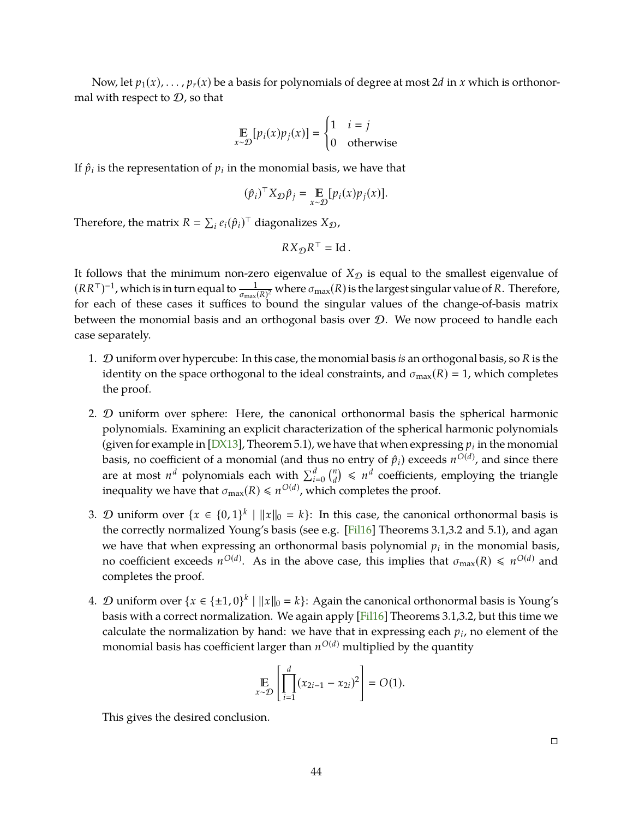<span id="page-45-0"></span>Now, let  $p_1(x), \ldots, p_r(x)$  be a basis for polynomials of degree at most 2*d* in *x* which is orthonormal with respect to  $D$ , so that

$$
\mathop{\mathbb{E}}_{x \sim \mathcal{D}}[p_i(x)p_j(x)] = \begin{cases} 1 & i = j \\ 0 & \text{otherwise} \end{cases}
$$

If  $\hat{p}_i$  is the representation of  $p_i$  in the monomial basis, we have that

$$
(\hat{p}_i)^{\top} X_{\mathcal{D}} \hat{p}_j = \mathop{\mathbb{E}}_{x \sim \mathcal{D}} [p_i(x) p_j(x)].
$$

Therefore, the matrix  $R = \sum_i e_i(\hat{p}_i)^\top$  diagonalizes  $X_{\mathcal{D}}$ ,

$$
RX_{\mathcal{D}}R^{\top} = \text{Id} \, .
$$

It follows that the minimum non-zero eigenvalue of  $X_{\mathcal{D}}$  is equal to the smallest eigenvalue of  $(RR<sup>\top</sup>)<sup>-1</sup>$ , which is in turn equal to  $\frac{1}{\sigma_{\max}(R)^2}$  where  $\sigma_{\max}(R)$  is the largest singular value of *R*. Therefore, for each of these cases it suffices to bound the singular values of the change-of-basis matrix between the monomial basis and an orthogonal basis over  $D$ . We now proceed to handle each case separately.

- 1. D uniform over hypercube: In this case, the monomial basis *is* an orthogonal basis, so *R* is the identity on the space orthogonal to the ideal constraints, and  $\sigma_{\text{max}}(R) = 1$ , which completes the proof.
- 2. D uniform over sphere: Here, the canonical orthonormal basis the spherical harmonic polynomials. Examining an explicit characterization of the spherical harmonic polynomials (given for example in [\[DX13\]](#page-38-2), Theorem 5.1), we have that when expressing  $p_i$  in the monomial basis, no coefficient of a monomial (and thus no entry of  $\hat{p}_i$ ) exceeds  $n^{O(d)}$ , and since there are at most  $n^d$  polynomials each with  $\sum_{i=0}^d \binom{n}{d}$  $\binom{n}{d}$   $\leq$  *n<sup>d</sup>* coefficients, employing the triangle inequality we have that  $\sigma_{\text{max}}(R) \leq n^{O(d)}$ , which completes the proof.
- 3. *D* uniform over  $\{x \in \{0,1\}^k \mid ||x||_0 = k\}$ : In this case, the canonical orthonormal basis is the correctly normalized Young's basis (see e.g. [Fil16] Theorems 3.1,3.2 and 5.1), and agan we have that when expressing an orthonormal basis polynomial  $p_i$  in the monomial basis, no coefficient exceeds  $n^{O(d)}$ . As in the above case, this implies that  $\sigma_{\text{max}}(R) \leq n^{O(d)}$  and completes the proof.
- 4. *D* uniform over  $\{x \in \{\pm 1, 0\}^k \mid ||x||_0 = k\}$ : Again the canonical orthonormal basis is Young's basis with a correct normalization. We again apply [Fil16] Theorems 3.1,3.2, but this time we calculate the normalization by hand: we have that in expressing each  $p_i$ , no element of the monomial basis has coefficient larger than  $n^{O(d)}$  multiplied by the quantity

$$
\mathop{\mathbb{E}}_{x \sim \mathcal{D}} \left[ \prod_{i=1}^{d} (x_{2i-1} - x_{2i})^2 \right] = O(1).
$$

This gives the desired conclusion.